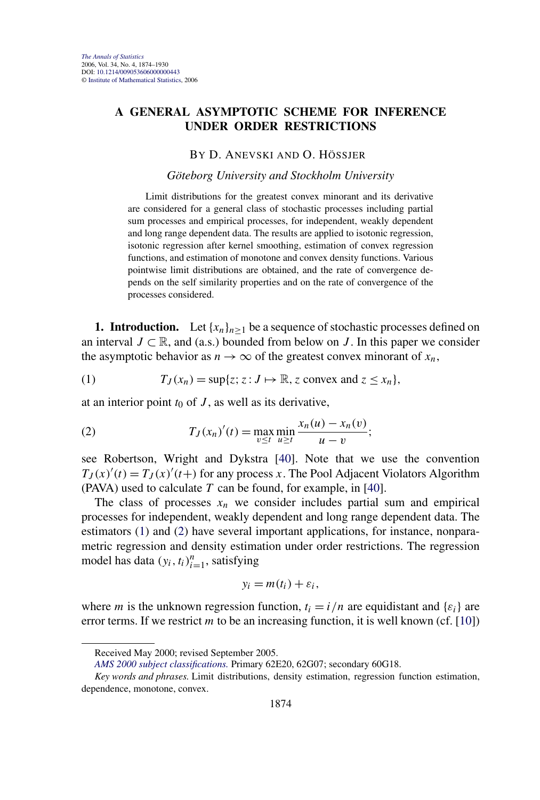# <span id="page-0-0"></span>**A GENERAL ASYMPTOTIC SCHEME FOR INFERENCE UNDER ORDER RESTRICTIONS**

### BY D. ANEVSKI AND O. HÖSSJER

#### *Göteborg University and Stockholm University*

Limit distributions for the greatest convex minorant and its derivative are considered for a general class of stochastic processes including partial sum processes and empirical processes, for independent, weakly dependent and long range dependent data. The results are applied to isotonic regression, isotonic regression after kernel smoothing, estimation of convex regression functions, and estimation of monotone and convex density functions. Various pointwise limit distributions are obtained, and the rate of convergence depends on the self similarity properties and on the rate of convergence of the processes considered.

**1. Introduction.** Let  $\{x_n\}_{n>1}$  be a sequence of stochastic processes defined on an interval  $J \subset \mathbb{R}$ , and (a.s.) bounded from below on *J*. In this paper we consider the asymptotic behavior as  $n \to \infty$  of the greatest convex minorant of  $x_n$ ,

(1) 
$$
T_J(x_n) = \sup\{z; z: J \mapsto \mathbb{R}, z \text{ convex and } z \leq x_n\},
$$

at an interior point  $t_0$  of  $J$ , as well as its derivative,

(2) 
$$
T_J(x_n)'(t) = \max_{v \le t} \min_{u \ge t} \frac{x_n(u) - x_n(v)}{u - v};
$$

see Robertson, Wright and Dykstra [\[40\]](#page-56-0). Note that we use the convention  $T_J(x)'(t) = T_J(x)'(t+)$  for any process *x*. The Pool Adjacent Violators Algorithm (PAVA) used to calculate *T* can be found, for example, in [\[40\]](#page-56-0).

The class of processes  $x_n$  we consider includes partial sum and empirical processes for independent, weakly dependent and long range dependent data. The estimators (1) and (2) have several important applications, for instance, nonparametric regression and density estimation under order restrictions. The regression model has data  $(y_i, t_i)_{i=1}^n$ , satisfying

$$
y_i = m(t_i) + \varepsilon_i,
$$

where *m* is the unknown regression function,  $t_i = i/n$  are equidistant and  $\{\varepsilon_i\}$  are error terms. If we restrict *m* to be an increasing function, it is well known (cf. [\[10\]](#page-55-0))

Received May 2000; revised September 2005.

*[AMS 2000 subject classifications.](http://www.ams.org/msc/)* Primary 62E20, 62G07; secondary 60G18.

*Key words and phrases.* Limit distributions, density estimation, regression function estimation, dependence, monotone, convex.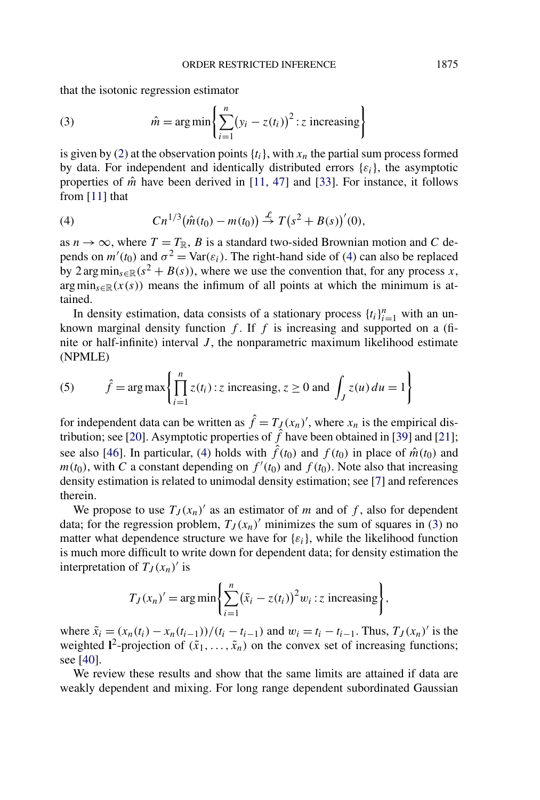<span id="page-1-0"></span>that the isotonic regression estimator

(3) 
$$
\hat{m} = \arg\min\left\{\sum_{i=1}^{n} (y_i - z(t_i))^2 : z \text{ increasing}\right\}
$$

is given by [\(2\)](#page-0-0) at the observation points  $\{t_i\}$ , with  $x_n$  the partial sum process formed by data. For independent and identically distributed errors  $\{\varepsilon_i\}$ , the asymptotic properties of  $\hat{m}$  have been derived in [\[11, 47\]](#page-55-0) and [\[33\]](#page-56-0). For instance, it follows from [\[11\]](#page-55-0) that

(4) 
$$
Cn^{1/3}(\hat{m}(t_0) - m(t_0)) \stackrel{\mathcal{L}}{\rightarrow} T(s^2 + B(s))'(0),
$$

as  $n \to \infty$ , where  $T = T_{\mathbb{R}}$ , *B* is a standard two-sided Brownian motion and *C* depends on  $m'(t_0)$  and  $\sigma^2 = \text{Var}(\varepsilon_i)$ . The right-hand side of (4) can also be replaced by 2 arg min<sub>s</sub>∈ $\mathbb{R}(s^2 + B(s))$ , where we use the convention that, for any process *x*, arg min<sub>s $\epsilon \mathbb{R}(x(s))$  means the infimum of all points at which the minimum is at-</sub> tained.

In density estimation, data consists of a stationary process  $\{t_i\}_{i=1}^n$  with an unknown marginal density function  $f$ . If  $f$  is increasing and supported on a (finite or half-infinite) interval *J* , the nonparametric maximum likelihood estimate (NPMLE)

(5) 
$$
\hat{f} = \arg \max \left\{ \prod_{i=1}^{n} z(t_i) : z \text{ increasing}, z \ge 0 \text{ and } \int_J z(u) du = 1 \right\}
$$

for independent data can be written as  $\hat{f} = T_{J}(x_n)'$ , where  $x_n$  is the empirical dis-tribution; see [\[20\]](#page-55-0). Asymptotic properties of  $\hat{f}$  have been obtained in [\[39\]](#page-56-0) and [\[21\]](#page-55-0); see also [\[46\]](#page-56-0). In particular, (4) holds with  $\hat{f}(t_0)$  and  $f(t_0)$  in place of  $\hat{m}(t_0)$  and  $m(t_0)$ , with *C* a constant depending on  $f'(t_0)$  and  $f(t_0)$ . Note also that increasing density estimation is related to unimodal density estimation; see [\[7\]](#page-54-0) and references therein.

We propose to use  $T_J(x_n)$  as an estimator of *m* and of *f*, also for dependent data; for the regression problem,  $T_J(x_n)$  minimizes the sum of squares in (3) no matter what dependence structure we have for  $\{\varepsilon_i\}$ , while the likelihood function is much more difficult to write down for dependent data; for density estimation the interpretation of  $T_J(x_n)'$  is

$$
T_J(x_n)' = \arg\min\left\{\sum_{i=1}^n (\tilde{x}_i - z(t_i))^2 w_i : z \text{ increasing}\right\},\,
$$

where  $\tilde{x}_i = (x_n(t_i) - x_n(t_{i-1}))/(t_i - t_{i-1})$  and  $w_i = t_i - t_{i-1}$ . Thus,  $T_J(x_n)'$  is the weighted  $\mathbf{l}^2$ -projection of  $(\tilde{x}_1, \ldots, \tilde{x}_n)$  on the convex set of increasing functions; see [\[40\]](#page-56-0).

We review these results and show that the same limits are attained if data are weakly dependent and mixing. For long range dependent subordinated Gaussian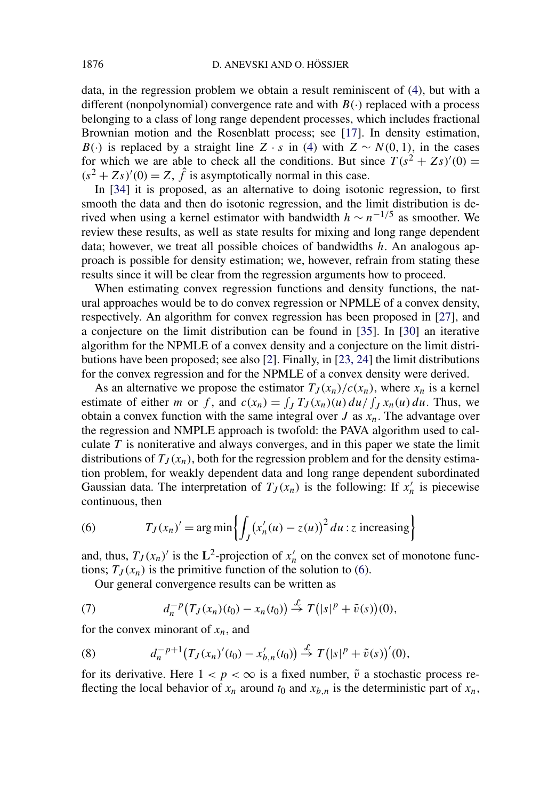<span id="page-2-0"></span>data, in the regression problem we obtain a result reminiscent of [\(4\)](#page-1-0), but with a different (nonpolynomial) convergence rate and with  $B(\cdot)$  replaced with a process belonging to a class of long range dependent processes, which includes fractional Brownian motion and the Rosenblatt process; see [\[17\]](#page-55-0). In density estimation, *B*(·*)* is replaced by a straight line *Z* · *s* in [\(4\)](#page-1-0) with  $Z \sim N(0, 1)$ , in the cases for which we are able to check all the conditions. But since  $T(s^2 + Zs)'(0) =$  $(s^2 + Zs)'(0) = Z$ ,  $\hat{f}$  is asymptotically normal in this case.

In [\[34\]](#page-56-0) it is proposed, as an alternative to doing isotonic regression, to first smooth the data and then do isotonic regression, and the limit distribution is derived when using a kernel estimator with bandwidth  $h \sim n^{-1/5}$  as smoother. We review these results, as well as state results for mixing and long range dependent data; however, we treat all possible choices of bandwidths *h*. An analogous approach is possible for density estimation; we, however, refrain from stating these results since it will be clear from the regression arguments how to proceed.

When estimating convex regression functions and density functions, the natural approaches would be to do convex regression or NPMLE of a convex density, respectively. An algorithm for convex regression has been proposed in [\[27\]](#page-55-0), and a conjecture on the limit distribution can be found in [\[35\]](#page-56-0). In [\[30\]](#page-55-0) an iterative algorithm for the NPMLE of a convex density and a conjecture on the limit distributions have been proposed; see also [\[2\]](#page-54-0). Finally, in [\[23, 24\]](#page-55-0) the limit distributions for the convex regression and for the NPMLE of a convex density were derived.

As an alternative we propose the estimator  $T_J(x_n)/c(x_n)$ , where  $x_n$  is a kernel estimate of either *m* or *f*, and  $c(x_n) = \int_J T_J(x_n)(u) du / \int_J x_n(u) du$ . Thus, we obtain a convex function with the same integral over *J* as  $x_n$ . The advantage over the regression and NMPLE approach is twofold: the PAVA algorithm used to calculate *T* is noniterative and always converges, and in this paper we state the limit distributions of  $T_J(x_n)$ , both for the regression problem and for the density estimation problem, for weakly dependent data and long range dependent subordinated Gaussian data. The interpretation of  $T_J(x_n)$  is the following: If  $x'_n$  is piecewise continuous, then

(6) 
$$
T_J(x_n)' = \arg\min\left\{ \int_J (x'_n(u) - z(u))^2 du : z \text{ increasing} \right\}
$$

and, thus,  $T_J(x_n)'$  is the  $\mathbf{L}^2$ -projection of  $x'_n$  on the convex set of monotone functions;  $T_J(x_n)$  is the primitive function of the solution to (6).

Our general convergence results can be written as

(7) 
$$
d_n^{-p}(T_J(x_n)(t_0) - x_n(t_0)) \stackrel{\mathcal{L}}{\to} T(|s|^p + \tilde{v}(s))(0),
$$

for the convex minorant of *xn*, and

(8) 
$$
d_n^{-p+1}(T_J(x_n)'(t_0) - x'_{b,n}(t_0)) \stackrel{\mathcal{L}}{\to} T(|s|^p + \tilde{v}(s))'(0),
$$

for its derivative. Here  $1 < p < \infty$  is a fixed number,  $\tilde{v}$  a stochastic process reflecting the local behavior of  $x_n$  around  $t_0$  and  $x_{b,n}$  is the deterministic part of  $x_n$ ,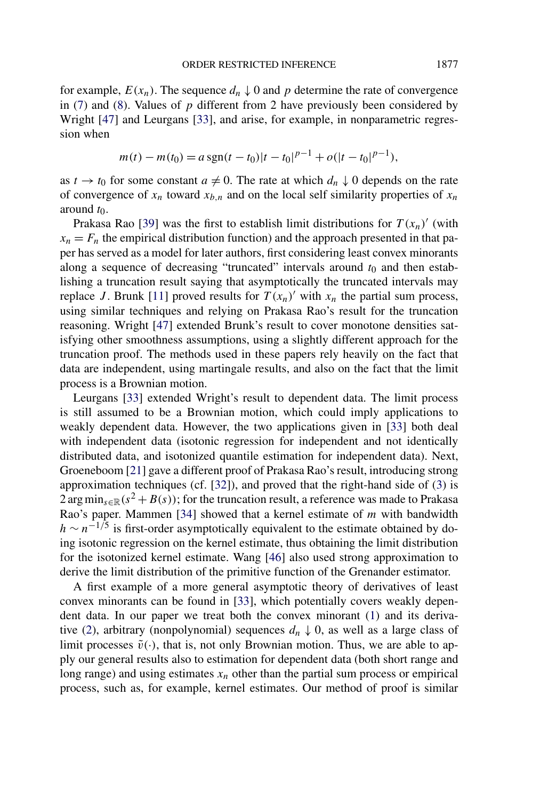for example,  $E(x_n)$ . The sequence  $d_n \downarrow 0$  and p determine the rate of convergence in [\(7\)](#page-2-0) and [\(8\)](#page-2-0). Values of *p* different from 2 have previously been considered by Wright [\[47\]](#page-56-0) and Leurgans [\[33\]](#page-56-0), and arise, for example, in nonparametric regression when

$$
m(t) - m(t_0) = a \operatorname{sgn}(t - t_0)|t - t_0|^{p-1} + o(|t - t_0|^{p-1}),
$$

as  $t \to t_0$  for some constant  $a \neq 0$ . The rate at which  $d_n \downarrow 0$  depends on the rate of convergence of  $x_n$  toward  $x_{b,n}$  and on the local self similarity properties of  $x_n$ around  $t_0$ .

Prakasa Rao [\[39\]](#page-56-0) was the first to establish limit distributions for  $T(x_n)'$  (with  $x_n = F_n$  the empirical distribution function) and the approach presented in that paper has served as a model for later authors, first considering least convex minorants along a sequence of decreasing "truncated" intervals around  $t_0$  and then establishing a truncation result saying that asymptotically the truncated intervals may replace *J*. Brunk [\[11\]](#page-55-0) proved results for  $T(x_n)'$  with  $x_n$  the partial sum process, using similar techniques and relying on Prakasa Rao's result for the truncation reasoning. Wright [\[47\]](#page-56-0) extended Brunk's result to cover monotone densities satisfying other smoothness assumptions, using a slightly different approach for the truncation proof. The methods used in these papers rely heavily on the fact that data are independent, using martingale results, and also on the fact that the limit process is a Brownian motion.

Leurgans [\[33\]](#page-56-0) extended Wright's result to dependent data. The limit process is still assumed to be a Brownian motion, which could imply applications to weakly dependent data. However, the two applications given in [\[33\]](#page-56-0) both deal with independent data (isotonic regression for independent and not identically distributed data, and isotonized quantile estimation for independent data). Next, Groeneboom [\[21\]](#page-55-0) gave a different proof of Prakasa Rao's result, introducing strong approximation techniques (cf. [\[32\]](#page-56-0)), and proved that the right-hand side of [\(3\)](#page-1-0) is  $2 \arg \min_{s \in \mathbb{R}} (s^2 + B(s))$ ; for the truncation result, a reference was made to Prakasa Rao's paper. Mammen [\[34\]](#page-56-0) showed that a kernel estimate of *m* with bandwidth  $h \sim n^{-1/5}$  is first-order asymptotically equivalent to the estimate obtained by doing isotonic regression on the kernel estimate, thus obtaining the limit distribution for the isotonized kernel estimate. Wang [\[46\]](#page-56-0) also used strong approximation to derive the limit distribution of the primitive function of the Grenander estimator.

A first example of a more general asymptotic theory of derivatives of least convex minorants can be found in [\[33\]](#page-56-0), which potentially covers weakly dependent data. In our paper we treat both the convex minorant [\(1\)](#page-0-0) and its deriva-tive [\(2\)](#page-0-0), arbitrary (nonpolynomial) sequences  $d_n \downarrow 0$ , as well as a large class of limit processes  $\tilde{v}(\cdot)$ , that is, not only Brownian motion. Thus, we are able to apply our general results also to estimation for dependent data (both short range and long range) and using estimates  $x_n$  other than the partial sum process or empirical process, such as, for example, kernel estimates. Our method of proof is similar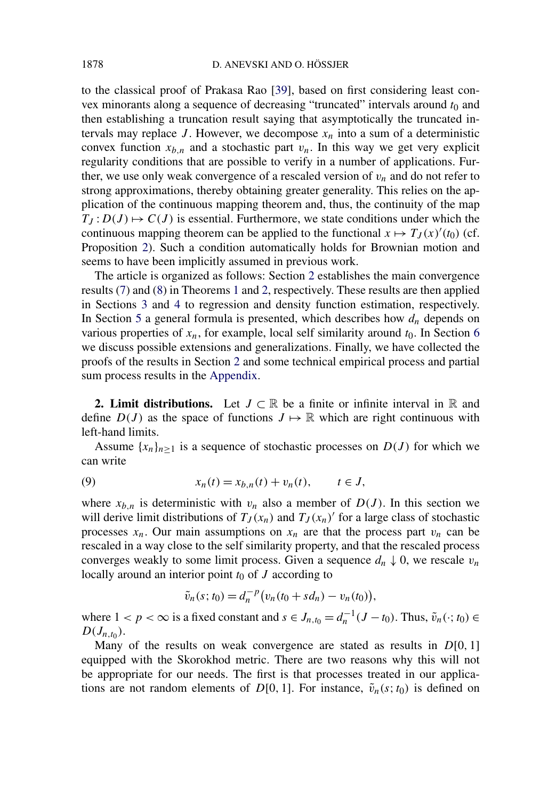<span id="page-4-0"></span>to the classical proof of Prakasa Rao [\[39\]](#page-56-0), based on first considering least convex minorants along a sequence of decreasing "truncated" intervals around  $t_0$  and then establishing a truncation result saying that asymptotically the truncated intervals may replace *J*. However, we decompose  $x_n$  into a sum of a deterministic convex function  $x_{b,n}$  and a stochastic part  $v_n$ . In this way we get very explicit regularity conditions that are possible to verify in a number of applications. Further, we use only weak convergence of a rescaled version of  $v_n$  and do not refer to strong approximations, thereby obtaining greater generality. This relies on the application of the continuous mapping theorem and, thus, the continuity of the map  $T_J: D(J) \mapsto C(J)$  is essential. Furthermore, we state conditions under which the continuous mapping theorem can be applied to the functional  $x \mapsto T_J(x)'(t_0)$  (cf. Proposition [2\)](#page-8-0). Such a condition automatically holds for Brownian motion and seems to have been implicitly assumed in previous work.

The article is organized as follows: Section 2 establishes the main convergence results [\(7\)](#page-2-0) and [\(8\)](#page-2-0) in Theorems [1](#page-7-0) and [2,](#page-9-0) respectively. These results are then applied in Sections [3](#page-11-0) and [4](#page-27-0) to regression and density function estimation, respectively. In Section [5](#page-37-0) a general formula is presented, which describes how  $d_n$  depends on various properties of  $x_n$ , for example, local self similarity around  $t_0$ . In Section [6](#page-39-0) we discuss possible extensions and generalizations. Finally, we have collected the proofs of the results in Section 2 and some technical empirical process and partial sum process results in the [Appendix.](#page-40-0)

**2. Limit distributions.** Let  $J \subset \mathbb{R}$  be a finite or infinite interval in  $\mathbb{R}$  and define  $D(J)$  as the space of functions  $J \mapsto \mathbb{R}$  which are right continuous with left-hand limits.

Assume  ${x_n}_{n>1}$  is a sequence of stochastic processes on  $D(J)$  for which we can write

(9) 
$$
x_n(t) = x_{b,n}(t) + v_n(t), \qquad t \in J,
$$

where  $x_{b,n}$  is deterministic with  $v_n$  also a member of  $D(J)$ . In this section we will derive limit distributions of  $T_J(x_n)$  and  $T_J(x_n)'$  for a large class of stochastic processes  $x_n$ . Our main assumptions on  $x_n$  are that the process part  $v_n$  can be rescaled in a way close to the self similarity property, and that the rescaled process converges weakly to some limit process. Given a sequence  $d_n \downarrow 0$ , we rescale  $v_n$ locally around an interior point  $t_0$  of  $J$  according to

$$
\tilde{v}_n(s; t_0) = d_n^{-p} (v_n(t_0 + s d_n) - v_n(t_0)),
$$

where  $1 < p < \infty$  is a fixed constant and  $s \in J_{n,t_0} = d_n^{-1}(J-t_0)$ . Thus,  $\tilde{v}_n(\cdot; t_0) \in$  $D(J_{n,t_0})$ .

Many of the results on weak convergence are stated as results in *D*[0*,* 1] equipped with the Skorokhod metric. There are two reasons why this will not be appropriate for our needs. The first is that processes treated in our applications are not random elements of  $D[0, 1]$ . For instance,  $\tilde{v}_n(s; t_0)$  is defined on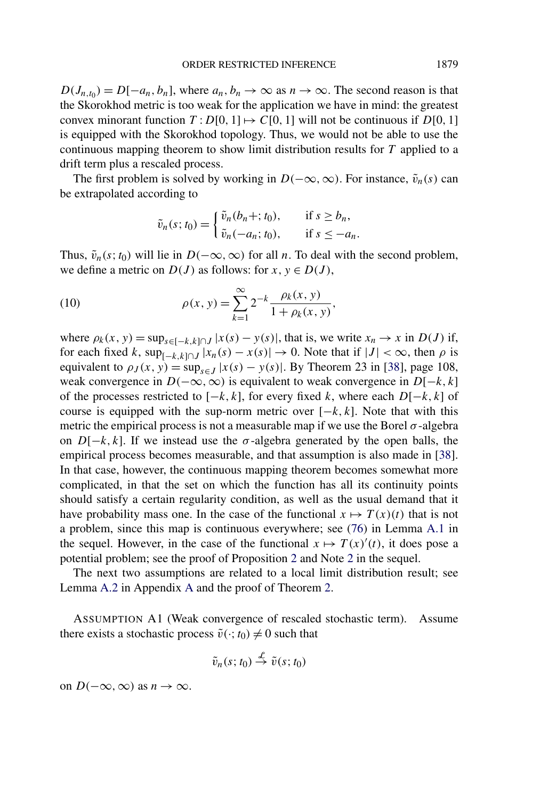<span id="page-5-0"></span> $D(J_{n,t_0}) = D[-a_n, b_n]$ , where  $a_n, b_n \to \infty$  as  $n \to \infty$ . The second reason is that the Skorokhod metric is too weak for the application we have in mind: the greatest convex minorant function  $T: D[0, 1] \mapsto C[0, 1]$  will not be continuous if  $D[0, 1]$ is equipped with the Skorokhod topology. Thus, we would not be able to use the continuous mapping theorem to show limit distribution results for *T* applied to a drift term plus a rescaled process.

The first problem is solved by working in  $D(-\infty, \infty)$ . For instance,  $\tilde{v}_n(s)$  can be extrapolated according to

$$
\tilde{v}_n(s;t_0) = \begin{cases} \tilde{v}_n(b_n +; t_0), & \text{if } s \ge b_n, \\ \tilde{v}_n(-a_n; t_0), & \text{if } s \le -a_n. \end{cases}
$$

Thus,  $\tilde{v}_n(s; t_0)$  will lie in  $D(-\infty, \infty)$  for all *n*. To deal with the second problem, we define a metric on  $D(J)$  as follows: for  $x, y \in D(J)$ ,

(10) 
$$
\rho(x, y) = \sum_{k=1}^{\infty} 2^{-k} \frac{\rho_k(x, y)}{1 + \rho_k(x, y)},
$$

where  $\rho_k(x, y) = \sup_{s \in [-k, k] \cap J} |x(s) - y(s)|$ , that is, we write  $x_n \to x$  in  $D(J)$  if, for each fixed *k*,  $\sup_{[-k,k] \cap J} |x_n(s) - x(s)| \to 0$ . Note that if  $|J| < \infty$ , then  $\rho$  is equivalent to  $\rho_J(x, y) = \sup_{s \in J} |x(s) - y(s)|$ . By Theorem 23 in [\[38\]](#page-56-0), page 108, weak convergence in  $D(-\infty, \infty)$  is equivalent to weak convergence in  $D[-k, k]$ of the processes restricted to [−*k,k*], for every fixed *k*, where each *D*[−*k,k*] of course is equipped with the sup-norm metric over  $[-k, k]$ . Note that with this metric the empirical process is not a measurable map if we use the Borel  $\sigma$ -algebra on  $D[-k, k]$ . If we instead use the  $\sigma$ -algebra generated by the open balls, the empirical process becomes measurable, and that assumption is also made in [\[38\]](#page-56-0). In that case, however, the continuous mapping theorem becomes somewhat more complicated, in that the set on which the function has all its continuity points should satisfy a certain regularity condition, as well as the usual demand that it have probability mass one. In the case of the functional  $x \mapsto T(x)(t)$  that is not a problem, since this map is continuous everywhere; see [\(76\)](#page-41-0) in Lemma [A.1](#page-41-0) in the sequel. However, in the case of the functional  $x \mapsto T(x)'(t)$ , it does pose a potential problem; see the proof of Proposition [2](#page-8-0) and Note [2](#page-9-0) in the sequel.

The next two assumptions are related to a local limit distribution result; see Lemma [A.2](#page-42-0) in Appendix [A](#page-40-0) and the proof of Theorem [2.](#page-9-0)

ASSUMPTION A1 (Weak convergence of rescaled stochastic term). Assume there exists a stochastic process  $\tilde{v}(\cdot; t_0) \neq 0$  such that

$$
\tilde{v}_n(s;t_0) \stackrel{\mathcal{L}}{\rightarrow} \tilde{v}(s;t_0)
$$

on  $D(-\infty, \infty)$  as  $n \to \infty$ .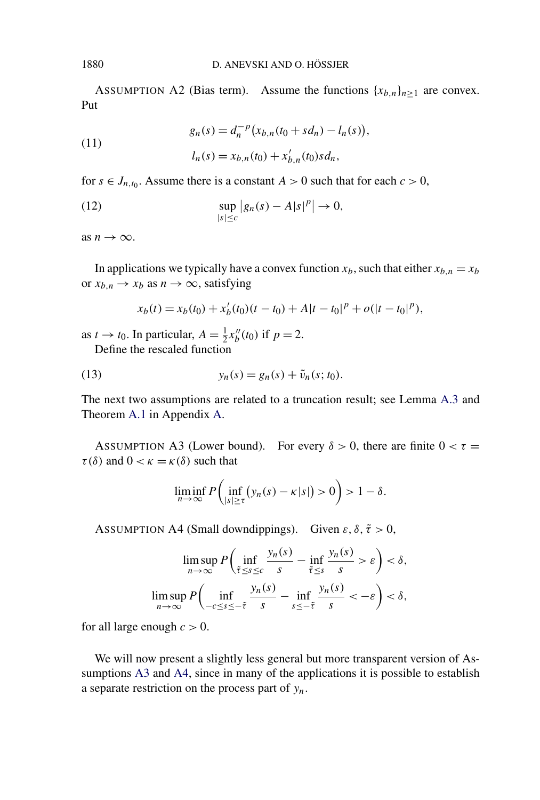ASSUMPTION A2 (Bias term). Assume the functions  ${x_{b,n}}_{n>1}$  are convex. Put

(11) 
$$
g_n(s) = d_n^{-p} (x_{b,n}(t_0 + sd_n) - l_n(s)),
$$

$$
l_n(s) = x_{b,n}(t_0) + x'_{b,n}(t_0)sd_n,
$$

for  $s \in J_{n,t_0}$ . Assume there is a constant  $A > 0$  such that for each  $c > 0$ ,

(12) 
$$
\sup_{|s| \le c} |g_n(s) - A|s|^p \to 0,
$$

as  $n \to \infty$ .

In applications we typically have a convex function  $x_b$ , such that either  $x_{b,n} = x_b$ or  $x_{b,n} \to x_b$  as  $n \to \infty$ , satisfying

$$
x_b(t) = x_b(t_0) + x'_b(t_0)(t - t_0) + A|t - t_0|^p + o(|t - t_0|^p),
$$

as  $t \to t_0$ . In particular,  $A = \frac{1}{2}x''_b(t_0)$  if  $p = 2$ . Define the rescaled function

(13) 
$$
y_n(s) = g_n(s) + \tilde{v}_n(s; t_0).
$$

The next two assumptions are related to a truncation result; see Lemma [A.3](#page-46-0) and Theorem [A.1](#page-43-0) in Appendix [A.](#page-40-0)

ASSUMPTION A3 (Lower bound). For every  $\delta > 0$ , there are finite  $0 < \tau =$ *τ*( $δ$ ) and  $0 < κ = κ(δ)$  such that

$$
\liminf_{n\to\infty} P\left(\inf_{|s|\geq\tau} (y_n(s)-\kappa|s|) > 0\right) > 1-\delta.
$$

ASSUMPTION A4 (Small downdippings). Given  $\varepsilon$ ,  $\delta$ ,  $\tilde{\tau} > 0$ ,

$$
\limsup_{n \to \infty} P\left(\inf_{\tilde{\tau} \le s \le c} \frac{y_n(s)}{s} - \inf_{\tilde{\tau} \le s} \frac{y_n(s)}{s} > \varepsilon\right) < \delta,
$$
  

$$
\limsup_{n \to \infty} P\left(\inf_{-c \le s \le -\tilde{\tau}} \frac{y_n(s)}{s} - \inf_{s \le -\tilde{\tau}} \frac{y_n(s)}{s} < -\varepsilon\right) < \delta,
$$

for all large enough  $c > 0$ .

We will now present a slightly less general but more transparent version of Assumptions A3 and A4, since in many of the applications it is possible to establish a separate restriction on the process part of *yn*.

<span id="page-6-0"></span>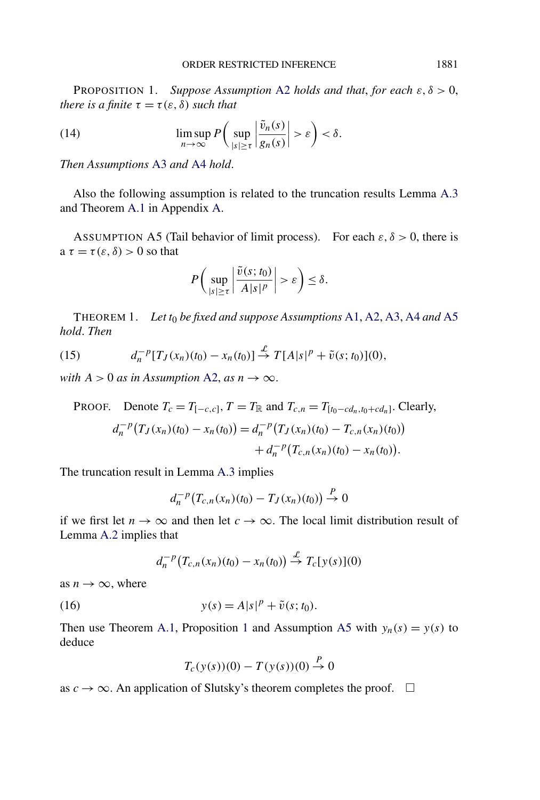<span id="page-7-0"></span>PROPOSITION 1. *Suppose Assumption* [A2](#page-6-0) *holds and that*, *for each ε, δ >* 0, *there is a finite*  $\tau = \tau(\varepsilon, \delta)$  *such that* 

(14) 
$$
\limsup_{n \to \infty} P\left(\sup_{|s| \ge \tau} \left|\frac{\tilde{v}_n(s)}{g_n(s)}\right| > \varepsilon\right) < \delta.
$$

*Then Assumptions* [A3](#page-6-0) *and* [A4](#page-6-0) *hold*.

Also the following assumption is related to the truncation results Lemma [A.3](#page-46-0) and Theorem [A.1](#page-43-0) in Appendix [A.](#page-40-0)

ASSUMPTION A5 (Tail behavior of limit process). For each  $\varepsilon$ ,  $\delta$  > 0, there is a  $\tau = \tau(\varepsilon, \delta) > 0$  so that

$$
P\bigg(\sup_{|s|\geq \tau}\bigg|\frac{\tilde{v}(s;t_0)}{A|s|^p}\bigg|>\varepsilon\bigg)\leq \delta.
$$

THEOREM 1. *Let t*<sup>0</sup> *be fixed and suppose Assumptions* [A1,](#page-5-0) [A2,](#page-6-0) [A3,](#page-6-0) [A4](#page-6-0) *and* A5 *hold*. *Then*

(15) 
$$
d_n^{-p}[T_J(x_n)(t_0) - x_n(t_0)] \stackrel{\mathcal{L}}{\to} T[A|s]^p + \tilde{v}(s;t_0)](0),
$$

*with*  $A > 0$  *as in Assumption* [A2,](#page-6-0) *as*  $n \rightarrow \infty$ .

PROOF. Denote 
$$
T_c = T_{[-c,c]}
$$
,  $T = T_{\mathbb{R}}$  and  $T_{c,n} = T_{[t_0 - cd_n, t_0 + cd_n]}$ . Clearly,  
\n
$$
d_n^{-p}(T_J(x_n)(t_0) - x_n(t_0)) = d_n^{-p}(T_J(x_n)(t_0) - T_{c,n}(x_n)(t_0)) + d_n^{-p}(T_{c,n}(x_n)(t_0) - x_n(t_0)).
$$

The truncation result in Lemma [A.3](#page-46-0) implies

$$
d_n^{-p}(T_{c,n}(x_n)(t_0) - T_J(x_n)(t_0)) \stackrel{P}{\to} 0
$$

if we first let  $n \to \infty$  and then let  $c \to \infty$ . The local limit distribution result of Lemma [A.2](#page-42-0) implies that

$$
d_n^{-p}\big(T_{c,n}(x_n)(t_0)-x_n(t_0)\big) \stackrel{\mathcal{L}}{\rightarrow} T_c[y(s)](0)
$$

as  $n \to \infty$ , where

(16) 
$$
y(s) = A|s|^p + \tilde{v}(s; t_0).
$$

Then use Theorem [A.1,](#page-43-0) Proposition 1 and Assumption A5 with  $y_n(s) = y(s)$  to deduce

$$
T_c(y(s))(0) - T(y(s))(0) \stackrel{P}{\to} 0
$$

as  $c \to \infty$ . An application of Slutsky's theorem completes the proof.  $\square$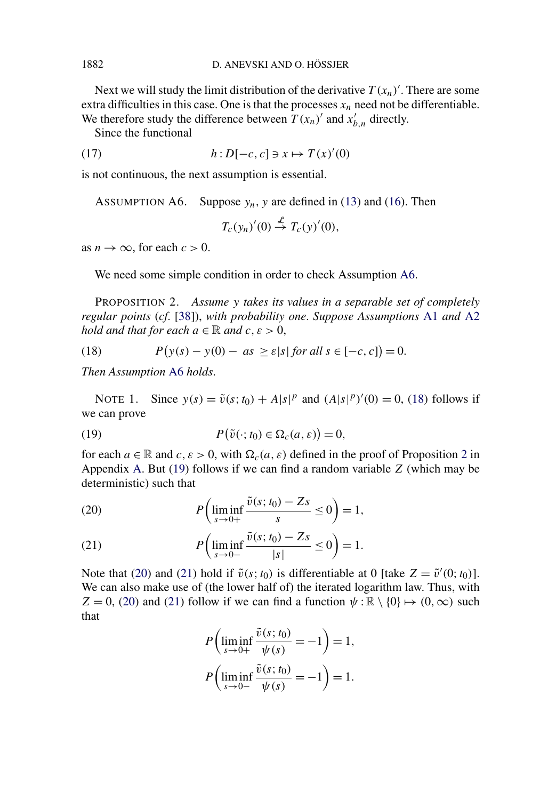Next we will study the limit distribution of the derivative  $T(x_n)'$ . There are some extra difficulties in this case. One is that the processes  $x_n$  need not be differentiable. We therefore study the difference between  $T(x_n)'$  and  $x'_{b,n}$  directly.

Since the functional

(17) 
$$
h: D[-c, c] \ni x \mapsto T(x)'(0)
$$

is not continuous, the next assumption is essential.

ASSUMPTION A6. Suppose  $y_n$ , y are defined in [\(13\)](#page-6-0) and [\(16\)](#page-7-0). Then

$$
T_c(y_n)'(0) \stackrel{\mathcal{L}}{\rightarrow} T_c(y)'(0),
$$

as  $n \to \infty$ , for each  $c > 0$ .

We need some simple condition in order to check Assumption A6.

PROPOSITION 2. *Assume y takes its values in a separable set of completely regular points* (*cf*. [\[38\]](#page-56-0)), *with probability one*. *Suppose Assumptions* [A1](#page-5-0) *and* [A2](#page-6-0) *hold and that for each*  $a \in \mathbb{R}$  *and*  $c, \varepsilon > 0$ ,

(18) 
$$
P(y(s) - y(0) - as \ge \varepsilon |s| \text{ for all } s \in [-c, c]) = 0.
$$

*Then Assumption* A6 *holds*.

NOTE 1. Since  $y(s) = \tilde{v}(s; t_0) + A|s|^p$  and  $(A|s|^p)'(0) = 0$ , (18) follows if we can prove

(19) 
$$
P(\tilde{v}(\cdot; t_0) \in \Omega_c(a, \varepsilon)) = 0,
$$

for each  $a \in \mathbb{R}$  and  $c, \varepsilon > 0$ , with  $\Omega_c(a, \varepsilon)$  defined in the proof of Proposition 2 in Appendix [A.](#page-40-0) But (19) follows if we can find a random variable *Z* (which may be deterministic) such that

(20) 
$$
P\left(\liminf_{s\to 0+}\frac{\tilde{v}(s;t_0)-Zs}{s}\leq 0\right)=1,
$$

(21) 
$$
P\left(\liminf_{s\to 0-}\frac{\tilde{v}(s;t_0)-Zs}{|s|}\leq 0\right)=1.
$$

Note that (20) and (21) hold if  $\tilde{v}(s; t_0)$  is differentiable at 0 [take  $Z = \tilde{v}'(0; t_0)$ ]. We can also make use of (the lower half of) the iterated logarithm law. Thus, with  $Z = 0$ , (20) and (21) follow if we can find a function  $\psi : \mathbb{R} \setminus \{0\} \mapsto (0, \infty)$  such that

$$
P\left(\liminf_{s \to 0+} \frac{\tilde{v}(s; t_0)}{\psi(s)} = -1\right) = 1,
$$
  

$$
P\left(\liminf_{s \to 0-} \frac{\tilde{v}(s; t_0)}{\psi(s)} = -1\right) = 1.
$$

<span id="page-8-0"></span>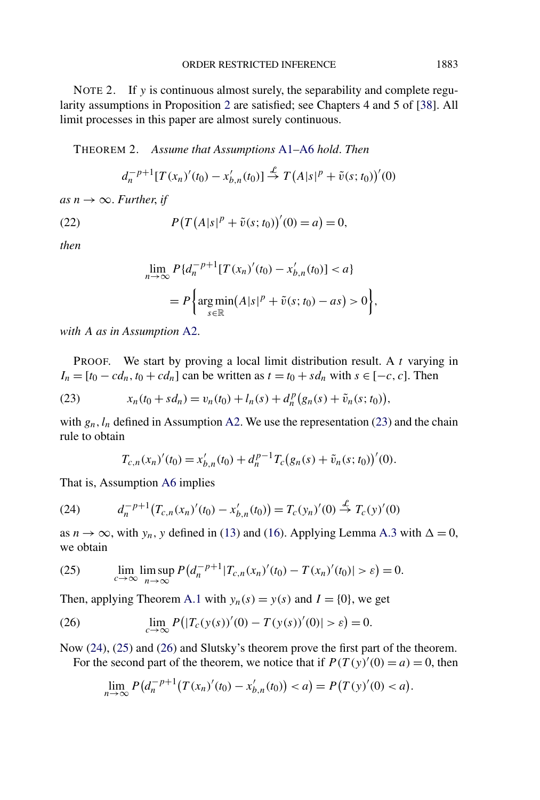<span id="page-9-0"></span>NOTE 2. If *y* is continuous almost surely, the separability and complete regularity assumptions in Proposition [2](#page-8-0) are satisfied; see Chapters 4 and 5 of [\[38\]](#page-56-0). All limit processes in this paper are almost surely continuous.

THEOREM 2. *Assume that Assumptions* [A1](#page-5-0)[–A6](#page-8-0) *hold*. *Then*

$$
d_n^{-p+1}[T(x_n)'(t_0) - x'_{b,n}(t_0)] \stackrel{\mathcal{L}}{\to} T(A|s|^p + \tilde{v}(s;t_0))'(0)
$$

 $as n \rightarrow \infty$ . *Further*, *if* 

(22) 
$$
P(T(A|s|^{p} + \tilde{v}(s; t_{0}))'(0) = a) = 0,
$$

*then*

$$
\lim_{n \to \infty} P\{d_n^{-p+1}[T(x_n)'(t_0) - x'_{b,n}(t_0)] < a\}
$$
\n
$$
= P\left\{\underset{s \in \mathbb{R}}{\arg\min}(A|s|^p + \tilde{v}(s; t_0) - as) > 0\right\},
$$

*with A as in Assumption* [A2.](#page-6-0)

PROOF. We start by proving a local limit distribution result. A *t* varying in  $I_n = [t_0 - cd_n, t_0 + cd_n]$  can be written as  $t = t_0 + sd_n$  with  $s \in [-c, c]$ . Then

(23) 
$$
x_n(t_0 + sd_n) = v_n(t_0) + l_n(s) + d_n^p(g_n(s) + \tilde{v}_n(s; t_0)),
$$

with  $g_n$ ,  $l_n$  defined in Assumption [A2.](#page-6-0) We use the representation (23) and the chain rule to obtain

$$
T_{c,n}(x_n)'(t_0) = x'_{b,n}(t_0) + d_n^{p-1} T_c(g_n(s) + \tilde{v}_n(s;t_0))'(0).
$$

That is, Assumption [A6](#page-8-0) implies

(24) 
$$
d_n^{-p+1}(T_{c,n}(x_n)'(t_0) - x'_{b,n}(t_0)) = T_c(y_n)'(0) \stackrel{\mathcal{L}}{\to} T_c(y)'(0)
$$

as  $n \to \infty$ , with  $y_n$ , y defined in [\(13\)](#page-6-0) and [\(16\)](#page-7-0). Applying Lemma [A.3](#page-46-0) with  $\Delta = 0$ , we obtain

(25) 
$$
\lim_{c \to \infty} \lim_{n \to \infty} P(d_n^{-p+1} | T_{c,n}(x_n)'(t_0) - T(x_n)'(t_0) | > \varepsilon) = 0.
$$

Then, applying Theorem [A.1](#page-43-0) with  $y_n(s) = y(s)$  and  $I = \{0\}$ , we get

(26) 
$$
\lim_{c \to \infty} P(|T_c(y(s))'(0) - T(y(s))'(0)| > \varepsilon) = 0.
$$

Now (24), (25) and (26) and Slutsky's theorem prove the first part of the theorem. For the second part of the theorem, we notice that if  $P(T(y)'(0) = a) = 0$ , then

$$
\lim_{n \to \infty} P\big(d_n^{-p+1}\big(T(x_n)'(t_0) - x'_{b,n}(t_0)\big) < a\big) = P\big(T(y)'(0) < a\big).
$$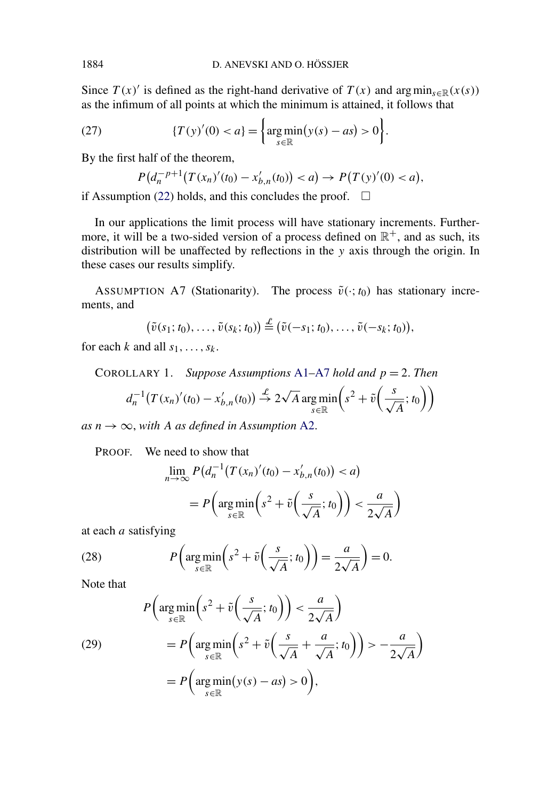<span id="page-10-0"></span>Since  $T(x)$  is defined as the right-hand derivative of  $T(x)$  and  $\arg \min_{s \in \mathbb{R}} (x(s))$ as the infimum of all points at which the minimum is attained, it follows that

(27) 
$$
\{T(y)'(0) < a\} = \left\{\argmin_{s \in \mathbb{R}} (y(s) - as) > 0\right\}.
$$

By the first half of the theorem,

$$
P(d_n^{-p+1}(T(x_n)'(t_0)-x'_{b,n}(t_0))
$$

if Assumption [\(22\)](#page-9-0) holds, and this concludes the proof.  $\Box$ 

In our applications the limit process will have stationary increments. Furthermore, it will be a two-sided version of a process defined on  $\mathbb{R}^+$ , and as such, its distribution will be unaffected by reflections in the *y* axis through the origin. In these cases our results simplify.

ASSUMPTION A7 (Stationarity). The process  $\tilde{v}(\cdot; t_0)$  has stationary increments, and

$$
(\tilde{v}(s_1;t_0),\ldots,\tilde{v}(s_k;t_0))\stackrel{\mathcal{L}}{=} (\tilde{v}(-s_1;t_0),\ldots,\tilde{v}(-s_k;t_0)),
$$

for each *k* and all  $s_1, \ldots, s_k$ .

COROLLARY 1. *Suppose Assumptions* [A1–](#page-5-0)A7 *hold and p* = 2. *Then*  $d_n^{-1}(T(x_n)'(t_0) - x'_{b,n}(t_0)) \stackrel{\mathcal{L}}{\rightarrow} 2$ √ *A*arg min *s*∈R  $\left(s^2 + \tilde{v}\left(\frac{s}{\sqrt{A}}; t_0\right)\right)$ 

 $as n \rightarrow \infty$ , with A *as defined in Assumption A2*.

PROOF. We need to show that

$$
\lim_{n \to \infty} P\left(d_n^{-1} \left(T(x_n)'(t_0) - x'_{b,n}(t_0)\right) < a\right)
$$
\n
$$
= P\left(\arg\min_{s \in \mathbb{R}} \left(s^2 + \tilde{v}\left(\frac{s}{\sqrt{A}}; t_0\right)\right) < \frac{a}{2\sqrt{A}}\right)
$$

at each *a* satisfying

(28) 
$$
P\left(\underset{s\in\mathbb{R}}{\arg\min}\left(s^2+\tilde{v}\left(\frac{s}{\sqrt{A}};t_0\right)\right)=\frac{a}{2\sqrt{A}}\right)=0.
$$

Note that

(29)  
\n
$$
P\left(\underset{s \in \mathbb{R}}{\arg \min} \left(s^2 + \tilde{v}\left(\frac{s}{\sqrt{A}}; t_0\right)\right) < \frac{a}{2\sqrt{A}}\right)
$$
\n
$$
= P\left(\underset{s \in \mathbb{R}}{\arg \min} \left(s^2 + \tilde{v}\left(\frac{s}{\sqrt{A}} + \frac{a}{\sqrt{A}}; t_0\right)\right) > -\frac{a}{2\sqrt{A}}\right)
$$
\n
$$
= P\left(\underset{s \in \mathbb{R}}{\arg \min} \left(y(s) - as\right) > 0\right),
$$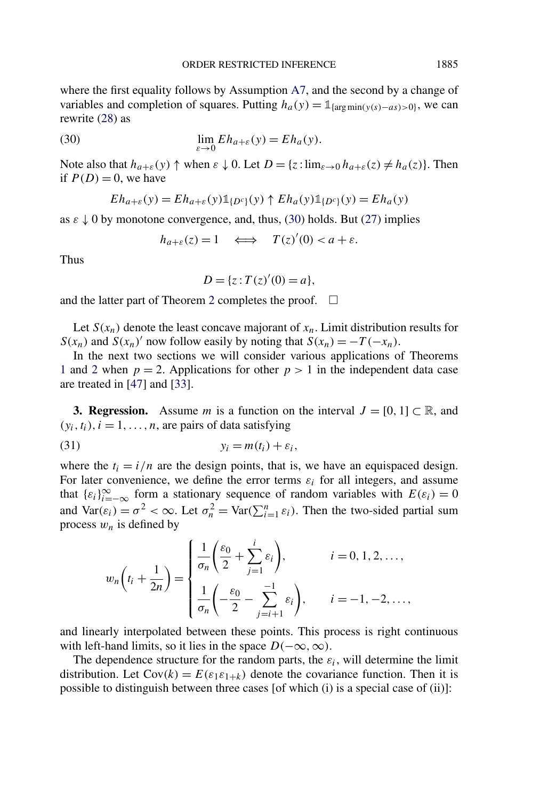<span id="page-11-0"></span>where the first equality follows by Assumption [A7,](#page-10-0) and the second by a change of variables and completion of squares. Putting  $h_a(y) = \mathbb{1}_{\{\arg \min(y(s) - a s) > 0\}}$ , we can rewrite [\(28\)](#page-10-0) as

(30) 
$$
\lim_{\varepsilon \to 0} Eh_{a+\varepsilon}(y) = Eh_a(y).
$$

Note also that  $h_{a+\varepsilon}(y) \uparrow$  when  $\varepsilon \downarrow 0$ . Let  $D = \{z : \lim_{\varepsilon \to 0} h_{a+\varepsilon}(z) \neq h_a(z) \}$ . Then if  $P(D) = 0$ , we have

$$
Eh_{a+\varepsilon}(y) = Eh_{a+\varepsilon}(y) \mathbb{1}_{\{D^c\}}(y) \uparrow Eh_a(y) \mathbb{1}_{\{D^c\}}(y) = Eh_a(y)
$$

as  $\varepsilon \downarrow 0$  by monotone convergence, and, thus, (30) holds. But [\(27\)](#page-10-0) implies

$$
h_{a+\varepsilon}(z) = 1 \quad \Longleftrightarrow \quad T(z)'(0) < a+\varepsilon.
$$

Thus

$$
D = \{ z : T(z)'(0) = a \},
$$

and the latter part of Theorem [2](#page-9-0) completes the proof.  $\Box$ 

Let  $S(x_n)$  denote the least concave majorant of  $x_n$ . Limit distribution results for *S*( $x_n$ ) and *S*( $x_n$ )' now follow easily by noting that  $S(x_n) = -T(-x_n)$ .

In the next two sections we will consider various applications of Theorems [1](#page-7-0) and [2](#page-9-0) when  $p = 2$ . Applications for other  $p > 1$  in the independent data case are treated in [\[47\]](#page-56-0) and [\[33\]](#page-56-0).

**3. Regression.** Assume *m* is a function on the interval  $J = [0, 1] \subset \mathbb{R}$ , and  $(y_i, t_i)$ ,  $i = 1, \ldots, n$ , are pairs of data satisfying

$$
(31) \t\t\t y_i = m(t_i) + \varepsilon_i,
$$

where the  $t_i = i/n$  are the design points, that is, we have an equispaced design. For later convenience, we define the error terms  $\varepsilon_i$  for all integers, and assume that  $\{\varepsilon_i\}_{i=-\infty}^{\infty}$  form a stationary sequence of random variables with  $E(\varepsilon_i) = 0$ and  $\text{Var}(\varepsilon_i) = \sigma^2 < \infty$ . Let  $\sigma_n^2 = \text{Var}(\sum_{i=1}^n \varepsilon_i)$ . Then the two-sided partial sum process  $w_n$  is defined by

$$
w_n\left(t_i + \frac{1}{2n}\right) = \begin{cases} \frac{1}{\sigma_n} \left(\frac{\varepsilon_0}{2} + \sum_{j=1}^i \varepsilon_i\right), & i = 0, 1, 2, \dots, \\ \frac{1}{\sigma_n} \left(-\frac{\varepsilon_0}{2} - \sum_{j=i+1}^{-1} \varepsilon_i\right), & i = -1, -2, \dots, \end{cases}
$$

and linearly interpolated between these points. This process is right continuous with left-hand limits, so it lies in the space  $D(-\infty, \infty)$ .

The dependence structure for the random parts, the  $\varepsilon_i$ , will determine the limit distribution. Let  $Cov(k) = E(\varepsilon_1 \varepsilon_{1+k})$  denote the covariance function. Then it is possible to distinguish between three cases [of which (i) is a special case of (ii)]: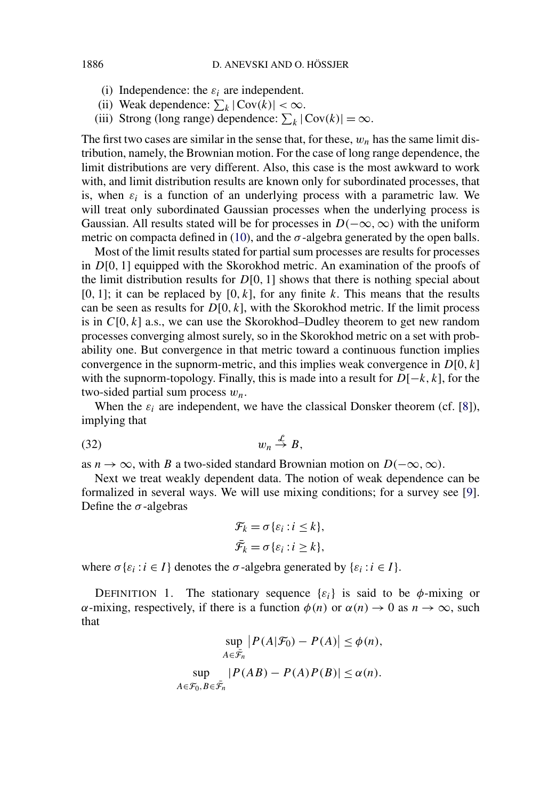- (i) Independence: the  $\varepsilon_i$  are independent.
- (ii) Weak dependence:  $\sum_{k} |\text{Cov}(k)| < \infty$ .
- (iii) Strong (long range) dependence:  $\sum_k |\text{Cov}(k)| = \infty$ .

The first two cases are similar in the sense that, for these,  $w_n$  has the same limit distribution, namely, the Brownian motion. For the case of long range dependence, the limit distributions are very different. Also, this case is the most awkward to work with, and limit distribution results are known only for subordinated processes, that is, when  $\varepsilon_i$  is a function of an underlying process with a parametric law. We will treat only subordinated Gaussian processes when the underlying process is Gaussian. All results stated will be for processes in  $D(-\infty, \infty)$  with the uniform metric on compacta defined in [\(10\)](#page-5-0), and the  $\sigma$ -algebra generated by the open balls.

Most of the limit results stated for partial sum processes are results for processes in *D*[0*,* 1] equipped with the Skorokhod metric. An examination of the proofs of the limit distribution results for *D*[0*,* 1] shows that there is nothing special about  $[0, 1]$ ; it can be replaced by  $[0, k]$ , for any finite *k*. This means that the results can be seen as results for  $D[0, k]$ , with the Skorokhod metric. If the limit process is in *C*[0*, k*] a.s., we can use the Skorokhod–Dudley theorem to get new random processes converging almost surely, so in the Skorokhod metric on a set with probability one. But convergence in that metric toward a continuous function implies convergence in the supnorm-metric, and this implies weak convergence in *D*[0*, k*] with the supnorm-topology. Finally, this is made into a result for *D*[−*k,k*], for the two-sided partial sum process *wn*.

When the  $\varepsilon_i$  are independent, we have the classical Donsker theorem (cf. [\[8\]](#page-54-0)), implying that

$$
(32) \t\t\t w_n \stackrel{\mathcal{L}}{\rightarrow} B,
$$

as *n* → ∞, with *B* a two-sided standard Brownian motion on  $D(-\infty, \infty)$ .

Next we treat weakly dependent data. The notion of weak dependence can be formalized in several ways. We will use mixing conditions; for a survey see [\[9\]](#page-55-0). Define the  $\sigma$ -algebras

$$
\mathcal{F}_k = \sigma \{ \varepsilon_i : i \leq k \},
$$
  

$$
\bar{\mathcal{F}}_k = \sigma \{ \varepsilon_i : i \geq k \},
$$

where  $\sigma\{\varepsilon_i : i \in I\}$  denotes the  $\sigma$ -algebra generated by  $\{\varepsilon_i : i \in I\}$ .

DEFINITION 1. The stationary sequence  $\{\varepsilon_i\}$  is said to be  $\phi$ -mixing or *α*-mixing, respectively, if there is a function  $\phi(n)$  or  $\alpha(n) \to 0$  as  $n \to \infty$ , such that

$$
\sup_{A \in \tilde{\mathcal{F}}_n} |P(A|\mathcal{F}_0) - P(A)| \le \phi(n),
$$
  
\n
$$
\sup_{A \in \mathcal{F}_0} |P(AB) - P(A)P(B)| \le \alpha(n).
$$
  
\n
$$
\sup_{A \in \mathcal{F}_0, B \in \tilde{\mathcal{F}}_n} |P(AB) - P(A)P(B)| \le \alpha(n).
$$

<span id="page-12-0"></span>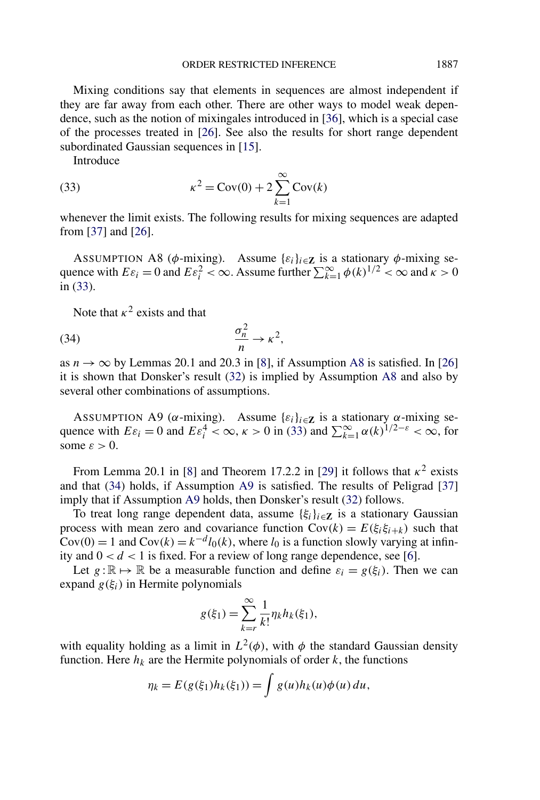<span id="page-13-0"></span>Mixing conditions say that elements in sequences are almost independent if they are far away from each other. There are other ways to model weak dependence, such as the notion of mixingales introduced in [\[36\]](#page-56-0), which is a special case of the processes treated in [\[26\]](#page-55-0). See also the results for short range dependent subordinated Gaussian sequences in [\[15\]](#page-55-0).

Introduce

(33) 
$$
\kappa^{2} = \text{Cov}(0) + 2 \sum_{k=1}^{\infty} \text{Cov}(k)
$$

whenever the limit exists. The following results for mixing sequences are adapted from [\[37\]](#page-56-0) and [\[26\]](#page-55-0).

ASSUMPTION A8 ( $\phi$ -mixing). Assume  $\{\varepsilon_i\}_{i \in \mathbb{Z}}$  is a stationary  $\phi$ -mixing sequence with  $E\varepsilon_i = 0$  and  $E\varepsilon_i^2 < \infty$ . Assume further  $\sum_{k=1}^{\infty} \phi(k)^{1/2} < \infty$  and  $\kappa > 0$ in (33).

Note that  $\kappa^2$  exists and that

$$
\frac{\sigma_n^2}{n} \to \kappa^2,
$$

as  $n \to \infty$  by Lemmas 20.1 and 20.3 in [\[8\]](#page-54-0), if Assumption A8 is satisfied. In [\[26\]](#page-55-0) it is shown that Donsker's result [\(32\)](#page-12-0) is implied by Assumption A8 and also by several other combinations of assumptions.

ASSUMPTION A9 ( $\alpha$ -mixing). Assume  $\{\varepsilon_i\}_{i \in \mathbb{Z}}$  is a stationary  $\alpha$ -mixing sequence with  $E\varepsilon_i = 0$  and  $E\varepsilon_i^4 < \infty$ ,  $\kappa > 0$  in (33) and  $\sum_{k=1}^{\infty} \alpha(k)^{1/2-\varepsilon} < \infty$ , for some  $\varepsilon > 0$ .

From Lemma 20.1 in [\[8\]](#page-54-0) and Theorem 17.2.2 in [\[29\]](#page-55-0) it follows that  $\kappa^2$  exists and that (34) holds, if Assumption A9 is satisfied. The results of Peligrad [\[37\]](#page-56-0) imply that if Assumption A9 holds, then Donsker's result [\(32\)](#page-12-0) follows.

To treat long range dependent data, assume  $\{\xi_i\}_{i \in \mathbb{Z}}$  is a stationary Gaussian process with mean zero and covariance function  $Cov(k) = E(\xi_i \xi_{i+k})$  such that  $Cov(0) = 1$  and  $Cov(k) = k^{-d}l_0(k)$ , where  $l_0$  is a function slowly varying at infinity and  $0 < d < 1$  is fixed. For a review of long range dependence, see [\[6\]](#page-54-0).

Let  $g : \mathbb{R} \mapsto \mathbb{R}$  be a measurable function and define  $\varepsilon_i = g(\xi_i)$ . Then we can expand  $g(\xi_i)$  in Hermite polynomials

$$
g(\xi_1) = \sum_{k=r}^{\infty} \frac{1}{k!} \eta_k h_k(\xi_1),
$$

with equality holding as a limit in  $L^2(\phi)$ , with  $\phi$  the standard Gaussian density function. Here  $h_k$  are the Hermite polynomials of order  $k$ , the functions

$$
\eta_k = E(g(\xi_1)h_k(\xi_1)) = \int g(u)h_k(u)\phi(u) du,
$$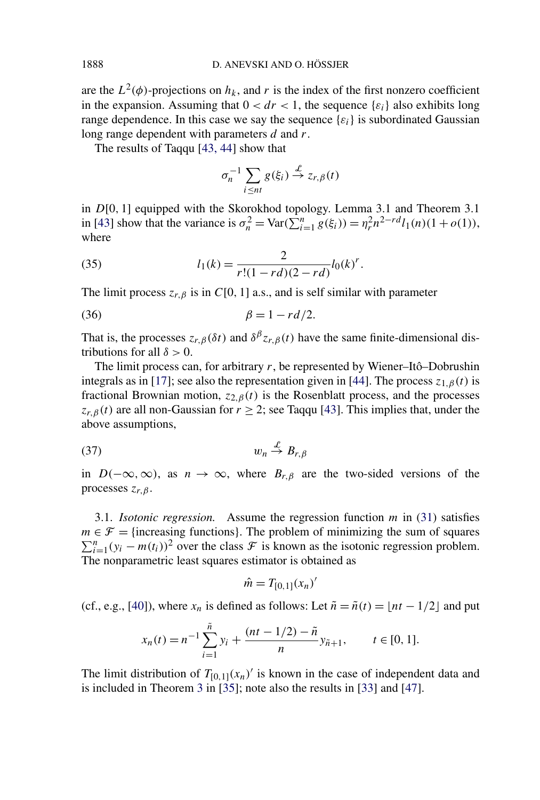are the  $L^2(\phi)$ -projections on  $h_k$ , and r is the index of the first nonzero coefficient in the expansion. Assuming that  $0 < dr < 1$ , the sequence  $\{\varepsilon_i\}$  also exhibits long range dependence. In this case we say the sequence  $\{\varepsilon_i\}$  is subordinated Gaussian long range dependent with parameters *d* and *r*.

The results of Taqqu [\[43, 44\]](#page-56-0) show that

$$
\sigma_n^{-1} \sum_{i \le nt} g(\xi_i) \stackrel{\mathcal{L}}{\to} z_{r,\beta}(t)
$$

in *D*[0*,* 1] equipped with the Skorokhod topology. Lemma 3.1 and Theorem 3.1 in [\[43\]](#page-56-0) show that the variance is  $\sigma_n^2 = \text{Var}(\sum_{i=1}^n g(\xi_i)) = \eta_r^2 n^{2-rd} l_1(n) (1 + o(1)),$ where

(35) 
$$
l_1(k) = \frac{2}{r!(1-rd)(2-rd)}l_0(k)^r.
$$

The limit process  $z_{r,\beta}$  is in *C*[0, 1] a.s., and is self similar with parameter

$$
\beta = 1 - rd/2.
$$

That is, the processes  $z_{r,\beta}(\delta t)$  and  $\delta^{\beta} z_{r,\beta}(t)$  have the same finite-dimensional distributions for all  $\delta > 0$ .

The limit process can, for arbitrary *r*, be represented by Wiener–Itô–Dobrushin integrals as in [\[17\]](#page-55-0); see also the representation given in [\[44\]](#page-56-0). The process  $z_{1,\beta}(t)$  is fractional Brownian motion,  $z_{2,\beta}(t)$  is the Rosenblatt process, and the processes  $z_{r,\beta}(t)$  are all non-Gaussian for  $r \geq 2$ ; see Taqqu [\[43\]](#page-56-0). This implies that, under the above assumptions,

$$
(37) \t\t\t w_n \stackrel{\mathcal{L}}{\rightarrow} B_{r,\beta}
$$

in  $D(-\infty,\infty)$ , as  $n \to \infty$ , where  $B_{r,\beta}$  are the two-sided versions of the processes *zr,β* .

3.1. *Isotonic regression.* Assume the regression function *m* in [\(31\)](#page-11-0) satisfies  $m \in \mathcal{F}$  = {increasing functions}. The problem of minimizing the sum of squares  $\sum_{i=1}^{n} (y_i - m(t_i))^2$  over the class  $\mathcal F$  is known as the isotonic regression problem. The nonparametric least squares estimator is obtained as

$$
\hat{m}=T_{[0,1]}(x_n)'
$$

(cf., e.g., [\[40\]](#page-56-0)), where  $x_n$  is defined as follows: Let  $\tilde{n} = \tilde{n}(t) = \lfloor nt - 1/2 \rfloor$  and put

$$
x_n(t) = n^{-1} \sum_{i=1}^{\tilde{n}} y_i + \frac{(nt - 1/2) - \tilde{n}}{n} y_{\tilde{n}+1}, \qquad t \in [0, 1].
$$

The limit distribution of  $T_{[0,1]}(x_n)'$  is known in the case of independent data and is included in Theorem [3](#page-15-0) in [\[35\]](#page-56-0); note also the results in [\[33\]](#page-56-0) and [\[47\]](#page-56-0).

<span id="page-14-0"></span>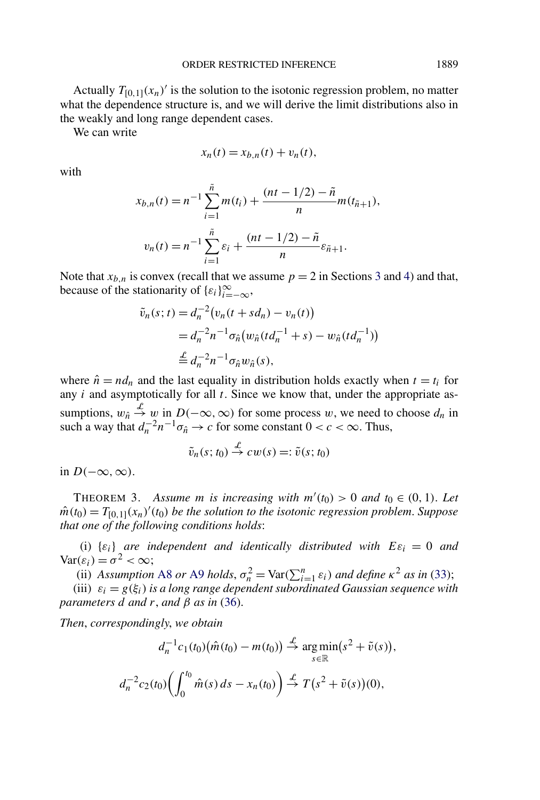<span id="page-15-0"></span>Actually  $T_{[0,1]}(x_n)$  is the solution to the isotonic regression problem, no matter what the dependence structure is, and we will derive the limit distributions also in the weakly and long range dependent cases.

We can write

$$
x_n(t) = x_{b,n}(t) + v_n(t),
$$

with

$$
x_{b,n}(t) = n^{-1} \sum_{i=1}^{\tilde{n}} m(t_i) + \frac{(nt - 1/2) - \tilde{n}}{n} m(t_{\tilde{n}+1}),
$$
  

$$
v_n(t) = n^{-1} \sum_{i=1}^{\tilde{n}} \varepsilon_i + \frac{(nt - 1/2) - \tilde{n}}{n} \varepsilon_{\tilde{n}+1}.
$$

Note that  $x_{b,n}$  is convex (recall that we assume  $p = 2$  in Sections [3](#page-11-0) and [4\)](#page-27-0) and that, because of the stationarity of  $\{\varepsilon_i\}_{i=-\infty}^{\infty}$ ,

$$
\tilde{v}_n(s;t) = d_n^{-2} (v_n(t + sd_n) - v_n(t))
$$
  
=  $d_n^{-2} n^{-1} \sigma_{\hat{n}} (w_{\hat{n}} (td_n^{-1} + s) - w_{\hat{n}} (td_n^{-1}))$   

$$
\stackrel{\mathcal{L}}{=} d_n^{-2} n^{-1} \sigma_{\hat{n}} w_{\hat{n}}(s),
$$

where  $\hat{n} = nd_n$  and the last equality in distribution holds exactly when  $t = t_i$  for any *i* and asymptotically for all *t*. Since we know that, under the appropriate assumptions,  $w_{\hat{n}} \stackrel{\mathcal{L}}{\rightarrow} w$  in  $D(-\infty, \infty)$  for some process w, we need to choose  $d_n$  in such a way that  $d_n^{-2}n^{-1}\sigma_{\hat{n}} \to c$  for some constant  $0 < c < \infty$ . Thus,

$$
\tilde{v}_n(s;t_0) \stackrel{\mathcal{L}}{\rightarrow} cw(s) =: \tilde{v}(s;t_0)
$$

in *D(*−∞*,*∞*)*.

THEOREM 3. Assume *m* is increasing with  $m'(t_0) > 0$  and  $t_0 \in (0, 1)$ . Let  $\hat{m}(t_0) = T_{[0,1]}(x_n)'(t_0)$  *be the solution to the isotonic regression problem. Suppose that one of the following conditions holds*:

(i)  $\{\varepsilon_i\}$  *are independent and identically distributed with*  $E\varepsilon_i = 0$  *and*  $Var(\varepsilon_i) = \sigma^2 < \infty;$ 

(ii) *Assumption* [A8](#page-13-0) *or* [A9](#page-13-0) *holds*,  $\sigma_n^2 = \text{Var}(\sum_{i=1}^n \varepsilon_i)$  *and define*  $\kappa^2$  *as in* [\(33\)](#page-13-0);

(iii)  $\varepsilon_i = g(\xi_i)$  *is a long range dependent subordinated Gaussian sequence with parameters d and r*, *and β as in* [\(36\)](#page-14-0).

*Then*, *correspondingly*, *we obtain*

$$
d_n^{-1}c_1(t_0)\big(\hat{m}(t_0) - m(t_0)\big) \stackrel{\mathcal{L}}{\to} \argmin_{s \in \mathbb{R}}(s^2 + \tilde{v}(s)),
$$
  

$$
d_n^{-2}c_2(t_0)\bigg(\int_0^{t_0} \hat{m}(s) ds - x_n(t_0)\bigg) \stackrel{\mathcal{L}}{\to} T(s^2 + \tilde{v}(s))(0),
$$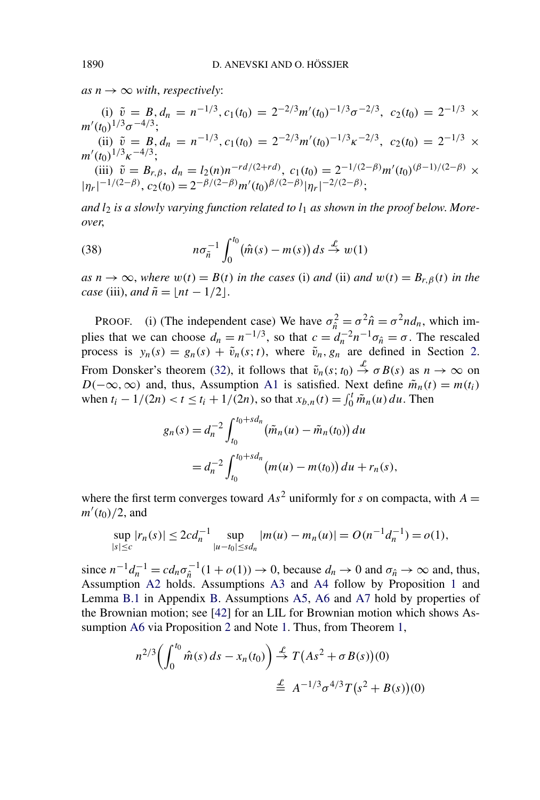$as n \rightarrow \infty$  *with, respectively:* 

(i) 
$$
\tilde{v} = B, d_n = n^{-1/3}, c_1(t_0) = 2^{-2/3} m'(t_0)^{-1/3} \sigma^{-2/3}, c_2(t_0) = 2^{-1/3} \times m'(t_0)^{1/3} \sigma^{-4/3};
$$

(ii)  $\tilde{v} = B, d_n = n^{-1/3}, c_1(t_0) = 2^{-2/3} m'(t_0)^{-1/3} \kappa^{-2/3}, c_2(t_0) = 2^{-1/3} \times$ *m (t*0*)*1*/*3*κ*−4*/*3;

(iii)  $\tilde{v} = B_{r,\beta}$ ,  $d_n = l_2(n)n^{-rd/(2+rd)}$ ,  $c_1(t_0) = 2^{-1/(2-\beta)}m'(t_0)^{(\beta-1)/(2-\beta)} \times$  $|\eta_r|^{-1/(2-\beta)}$ ,  $c_2(t_0) = 2^{-\beta/(2-\beta)}m'(t_0)^{\beta/(2-\beta)}|\eta_r|^{-2/(2-\beta)}$ ;

*and l*<sup>2</sup> *is a slowly varying function related to l*<sup>1</sup> *as shown in the proof below*. *Moreover*,

(38) 
$$
n\sigma_{\tilde{n}}^{-1}\int_0^{t_0} (\hat{m}(s)-m(s)) ds \stackrel{\mathcal{L}}{\rightarrow} w(1)
$$

 $as n \rightarrow \infty$ , *where*  $w(t) = B(t)$  *in the cases* (i) *and* (ii) *and*  $w(t) = B_{r,\beta}(t)$  *in the case* (iii), *and*  $\tilde{n} = |nt - 1/2|$ .

PROOF. (i) (The independent case) We have  $\sigma_{\hat{n}}^2 = \sigma^2 \hat{n} = \sigma^2 n d_n$ , which implies that we can choose  $d_n = n^{-1/3}$ , so that  $c = d_n^{-2} n^{-1} \sigma_{\hat{n}} = \sigma$ . The rescaled process is  $y_n(s) = g_n(s) + \tilde{v}_n(s; t)$ , where  $\tilde{v}_n, g_n$  are defined in Section [2.](#page-4-0) From Donsker's theorem [\(32\)](#page-12-0), it follows that  $\tilde{v}_n(s; t_0) \stackrel{\mathcal{L}}{\rightarrow} \sigma B(s)$  as  $n \rightarrow \infty$  on *D*( $-\infty$ *,* $\infty$ ) and, thus, Assumption [A1](#page-5-0) is satisfied. Next define  $\tilde{m}_n(t) = m(t_i)$ when  $t_i - 1/(2n) < t \le t_i + 1/(2n)$ , so that  $x_{b,n}(t) = \int_0^t \tilde{m}_n(u) du$ . Then

$$
g_n(s) = d_n^{-2} \int_{t_0}^{t_0 + sd_n} (\tilde{m}_n(u) - \tilde{m}_n(t_0)) du
$$
  
=  $d_n^{-2} \int_{t_0}^{t_0 + sd_n} (m(u) - m(t_0)) du + r_n(s),$ 

where the first term converges toward  $As^2$  uniformly for *s* on compacta, with  $A =$  $m'(t_0)/2$ , and

$$
\sup_{|s| \leq c} |r_n(s)| \leq 2cd_n^{-1} \sup_{|u-t_0| \leq sd_n} |m(u) - m_n(u)| = O(n^{-1}d_n^{-1}) = o(1),
$$

since  $n^{-1}d_n^{-1} = cd_n\sigma_{\hat{n}}^{-1}(1 + o(1)) \to 0$ , because  $d_n \to 0$  and  $\sigma_{\hat{n}} \to \infty$  and, thus, Assumption [A2](#page-6-0) holds. Assumptions [A3](#page-6-0) and [A4](#page-6-0) follow by Proposition [1](#page-7-0) and Lemma [B.1](#page-47-0) in Appendix [B.](#page-46-0) Assumptions [A5,](#page-7-0) [A6](#page-8-0) and [A7](#page-10-0) hold by properties of the Brownian motion; see [\[42\]](#page-56-0) for an LIL for Brownian motion which shows Assumption [A6](#page-8-0) via Proposition [2](#page-8-0) and Note [1.](#page-8-0) Thus, from Theorem [1,](#page-7-0)

$$
n^{2/3} \left( \int_0^{t_0} \hat{m}(s) \, ds - x_n(t_0) \right) \stackrel{\mathcal{L}}{\to} T\left( As^2 + \sigma B(s) \right)(0)
$$
  

$$
\stackrel{\mathcal{L}}{\to} A^{-1/3} \sigma^{4/3} T\left(s^2 + B(s) \right)(0)
$$

<span id="page-16-0"></span>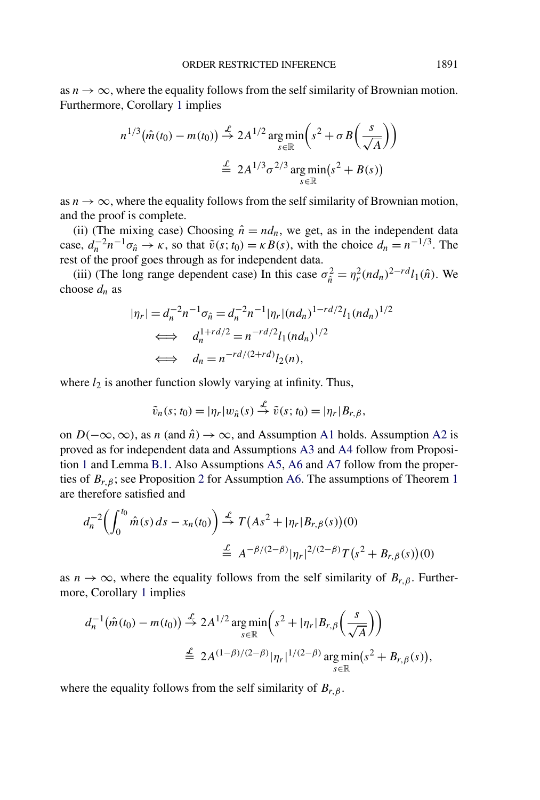as  $n \to \infty$ , where the equality follows from the self similarity of Brownian motion. Furthermore, Corollary [1](#page-10-0) implies

$$
n^{1/3}(\hat{m}(t_0) - m(t_0)) \stackrel{\mathcal{L}}{\rightarrow} 2A^{1/2} \underset{s \in \mathbb{R}}{\arg \min} \left( s^2 + \sigma B \left( \frac{s}{\sqrt{A}} \right) \right)
$$

$$
\stackrel{\mathcal{L}}{\equiv} 2A^{1/3} \sigma^{2/3} \underset{s \in \mathbb{R}}{\arg \min} (s^2 + B(s))
$$

as  $n \to \infty$ , where the equality follows from the self similarity of Brownian motion, and the proof is complete.

(ii) (The mixing case) Choosing  $\hat{n} = nd_n$ , we get, as in the independent data case,  $d_n^{-2}n^{-1}\sigma_{\hat{n}} \to \kappa$ , so that  $\tilde{v}(s; t_0) = \kappa B(s)$ , with the choice  $d_n = n^{-1/3}$ . The rest of the proof goes through as for independent data.

(iii) (The long range dependent case) In this case  $\sigma_{\hat{n}}^2 = \eta_r^2 (nd_n)^{2-rd} l_1(\hat{n})$ . We choose  $d_n$  as

$$
|\eta_r| = d_n^{-2} n^{-1} \sigma_{\hat{n}} = d_n^{-2} n^{-1} |\eta_r| (n d_n)^{1 - r d/2} l_1 (n d_n)^{1/2}
$$
  
\n
$$
\iff d_n^{1 + r d/2} = n^{-r d/2} l_1 (n d_n)^{1/2}
$$
  
\n
$$
\iff d_n = n^{-r d/(2 + r d)} l_2(n),
$$

where  $l_2$  is another function slowly varying at infinity. Thus,

$$
\tilde{v}_n(s;t_0) = |\eta_r| w_{\hat{n}}(s) \stackrel{\mathcal{L}}{\rightarrow} \tilde{v}(s;t_0) = |\eta_r| B_{r,\beta},
$$

on  $D(-\infty, \infty)$ , as *n* (and  $\hat{n}$ )  $\rightarrow \infty$ , and Assumption [A1](#page-5-0) holds. Assumption [A2](#page-6-0) is proved as for independent data and Assumptions [A3](#page-6-0) and [A4](#page-6-0) follow from Proposition [1](#page-7-0) and Lemma [B.1.](#page-47-0) Also Assumptions [A5,](#page-7-0) [A6](#page-8-0) and [A7](#page-10-0) follow from the properties of *Br,β*; see Proposition [2](#page-8-0) for Assumption [A6.](#page-8-0) The assumptions of Theorem [1](#page-7-0) are therefore satisfied and

$$
d_n^{-2} \left( \int_0^{t_0} \hat{m}(s) \, ds - x_n(t_0) \right) \stackrel{\mathcal{L}}{\to} T\left( As^2 + |\eta_r| B_{r,\beta}(s) \right)(0)
$$
  

$$
\stackrel{\mathcal{L}}{\to} A^{-\beta/(2-\beta)} |\eta_r|^{2/(2-\beta)} T\left(s^2 + B_{r,\beta}(s) \right)(0)
$$

as  $n \to \infty$ , where the equality follows from the self similarity of  $B_{r,\beta}$ . Furthermore, Corollary [1](#page-10-0) implies

$$
d_n^{-1}(\hat{m}(t_0) - m(t_0)) \stackrel{\mathcal{L}}{\rightarrow} 2A^{1/2} \underset{s \in \mathbb{R}}{\arg \min} \left( s^2 + |\eta_r| B_{r,\beta} \left( \frac{s}{\sqrt{A}} \right) \right)
$$
  

$$
\stackrel{\mathcal{L}}{=} 2A^{(1-\beta)/(2-\beta)} |\eta_r|^{1/(2-\beta)} \underset{s \in \mathbb{R}}{\arg \min} (s^2 + B_{r,\beta}(s)),
$$

where the equality follows from the self similarity of *Br,β*.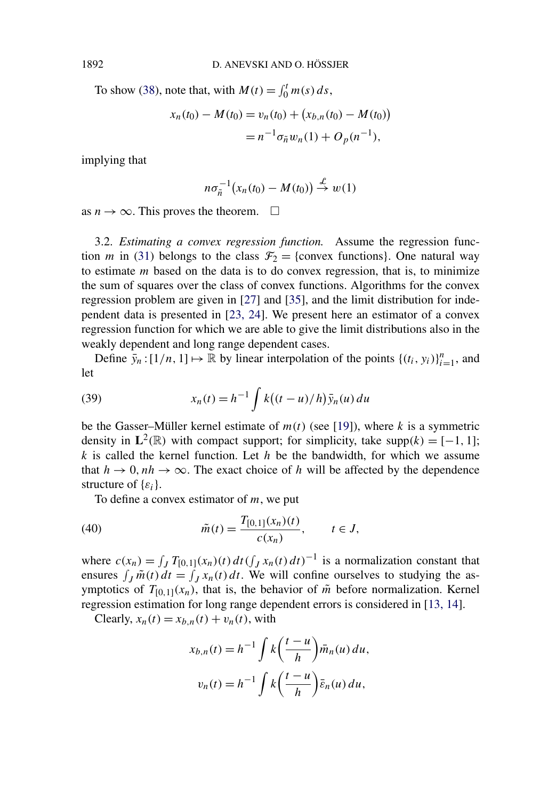To show [\(38\)](#page-16-0), note that, with  $M(t) = \int_0^t m(s) ds$ ,

$$
x_n(t_0) - M(t_0) = v_n(t_0) + (x_{b,n}(t_0) - M(t_0))
$$
  
=  $n^{-1} \sigma_{\tilde{n}} w_n(1) + O_p(n^{-1}),$ 

implying that

$$
n\sigma_{\tilde{n}}^{-1}(x_n(t_0)-M(t_0))\stackrel{\mathcal{L}}{\rightarrow}w(1)
$$

as  $n \to \infty$ . This proves the theorem.  $\square$ 

3.2. *Estimating a convex regression function.* Assume the regression function *m* in [\(31\)](#page-11-0) belongs to the class  $\mathcal{F}_2$  = {convex functions}. One natural way to estimate *m* based on the data is to do convex regression, that is, to minimize the sum of squares over the class of convex functions. Algorithms for the convex regression problem are given in [\[27\]](#page-55-0) and [\[35\]](#page-56-0), and the limit distribution for independent data is presented in [\[23, 24\]](#page-55-0). We present here an estimator of a convex regression function for which we are able to give the limit distributions also in the weakly dependent and long range dependent cases.

Define  $\bar{y}_n$ :  $[1/n, 1] \mapsto \mathbb{R}$  by linear interpolation of the points  $\{(t_i, y_i)\}_{i=1}^n$ , and let

(39) 
$$
x_n(t) = h^{-1} \int k((t - u)/h) \bar{y}_n(u) du
$$

be the Gasser–Müller kernel estimate of  $m(t)$  (see [\[19\]](#page-55-0)), where *k* is a symmetric density in  $L^2(\mathbb{R})$  with compact support; for simplicity, take supp $(k) = [-1, 1]$ ; *k* is called the kernel function. Let *h* be the bandwidth, for which we assume that  $h \to 0$ ,  $nh \to \infty$ . The exact choice of h will be affected by the dependence structure of {*εi*}.

To define a convex estimator of *m*, we put

(40) 
$$
\tilde{m}(t) = \frac{T_{[0,1]}(x_n)(t)}{c(x_n)}, \qquad t \in J,
$$

where  $c(x_n) = \int_J T_{[0,1]}(x_n)(t) dt (\int_J x_n(t) dt)^{-1}$  is a normalization constant that ensures  $\int_J \tilde{m}(t) dt = \int_J x_n(t) dt$ . We will confine ourselves to studying the asymptotics of  $T_{[0,1]}(x_n)$ , that is, the behavior of  $\tilde{m}$  before normalization. Kernel regression estimation for long range dependent errors is considered in [\[13, 14\]](#page-55-0).

Clearly,  $x_n(t) = x_{b,n}(t) + v_n(t)$ , with

$$
x_{b,n}(t) = h^{-1} \int k \left(\frac{t-u}{h}\right) \bar{m}_n(u) du,
$$
  

$$
v_n(t) = h^{-1} \int k \left(\frac{t-u}{h}\right) \bar{\varepsilon}_n(u) du,
$$

<span id="page-18-0"></span>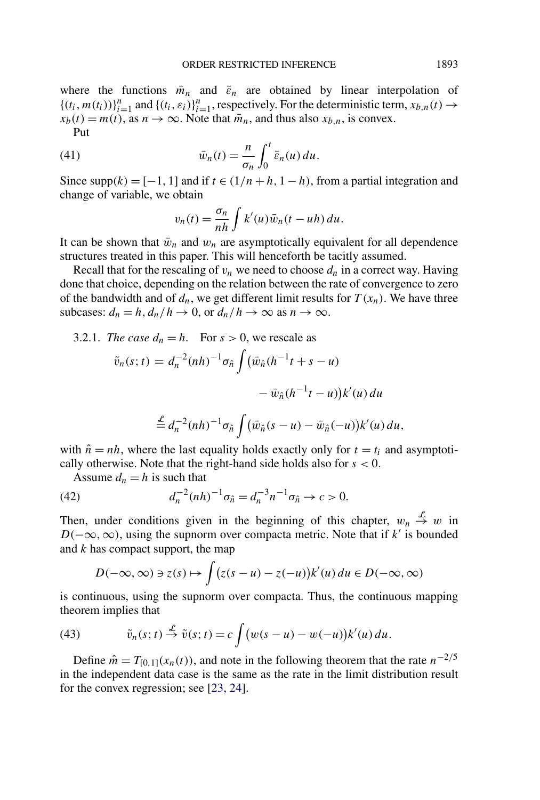<span id="page-19-0"></span>where the functions  $\bar{m}_n$  and  $\bar{\varepsilon}_n$  are obtained by linear interpolation of  $\{(t_i, m(t_i))\}_{i=1}^n$  and  $\{(t_i, \varepsilon_i)\}_{i=1}^n$ , respectively. For the deterministic term,  $x_{b,n}(t) \rightarrow$  $x_b(t) = m(t)$ , as  $n \to \infty$ . Note that  $\overline{m}_n$ , and thus also  $x_{b,n}$ , is convex. Put

(41) 
$$
\bar{w}_n(t) = \frac{n}{\sigma_n} \int_0^t \bar{\varepsilon}_n(u) du.
$$

Since  $\text{supp}(k) = [-1, 1]$  and if  $t \in (1/n + h, 1 - h)$ , from a partial integration and change of variable, we obtain

$$
v_n(t) = \frac{\sigma_n}{nh} \int k'(u)\bar{w}_n(t - uh) du.
$$

It can be shown that  $\bar{w}_n$  and  $w_n$  are asymptotically equivalent for all dependence structures treated in this paper. This will henceforth be tacitly assumed.

Recall that for the rescaling of  $v_n$  we need to choose  $d_n$  in a correct way. Having done that choice, depending on the relation between the rate of convergence to zero of the bandwidth and of  $d_n$ , we get different limit results for  $T(x_n)$ . We have three subcases:  $d_n = h$ ,  $d_n/h \to 0$ , or  $d_n/h \to \infty$  as  $n \to \infty$ .

3.2.1. *The case*  $d_n = h$ . For  $s > 0$ , we rescale as

$$
\tilde{v}_n(s;t) = d_n^{-2}(nh)^{-1} \sigma_{\hat{n}} \int (\bar{w}_{\hat{n}}(h^{-1}t + s - u) - \bar{w}_{\hat{n}}(h^{-1}t - u))k'(u) du
$$

$$
\stackrel{L}{=} d_n^{-2}(nh)^{-1}\sigma_{\hat{n}}\int (\bar{w}_{\hat{n}}(s-u)-\bar{w}_{\hat{n}}(-u))k'(u)\,du,
$$

with  $\hat{n} = nh$ , where the last equality holds exactly only for  $t = t_i$  and asymptotically otherwise. Note that the right-hand side holds also for *s <* 0.

Assume  $d_n = h$  is such that

(42) 
$$
d_n^{-2}(nh)^{-1}\sigma_{\hat{n}} = d_n^{-3}n^{-1}\sigma_{\hat{n}} \to c > 0.
$$

Then, under conditions given in the beginning of this chapter,  $w_n \stackrel{\mathcal{L}}{\rightarrow} w$  in *D*( $-\infty$ ,  $\infty$ ), using the supnorm over compacta metric. Note that if *k'* is bounded and *k* has compact support, the map

$$
D(-\infty, \infty) \ni z(s) \mapsto \int (z(s-u) - z(-u))k'(u) du \in D(-\infty, \infty)
$$

is continuous, using the supnorm over compacta. Thus, the continuous mapping theorem implies that

(43) 
$$
\tilde{v}_n(s;t) \stackrel{\mathcal{L}}{\rightarrow} \tilde{v}(s;t) = c \int (w(s-u) - w(-u))k'(u) du.
$$

Define  $\hat{m} = T_{[0,1]}(x_n(t))$ , and note in the following theorem that the rate  $n^{-2/5}$ in the independent data case is the same as the rate in the limit distribution result for the convex regression; see [\[23, 24\]](#page-55-0).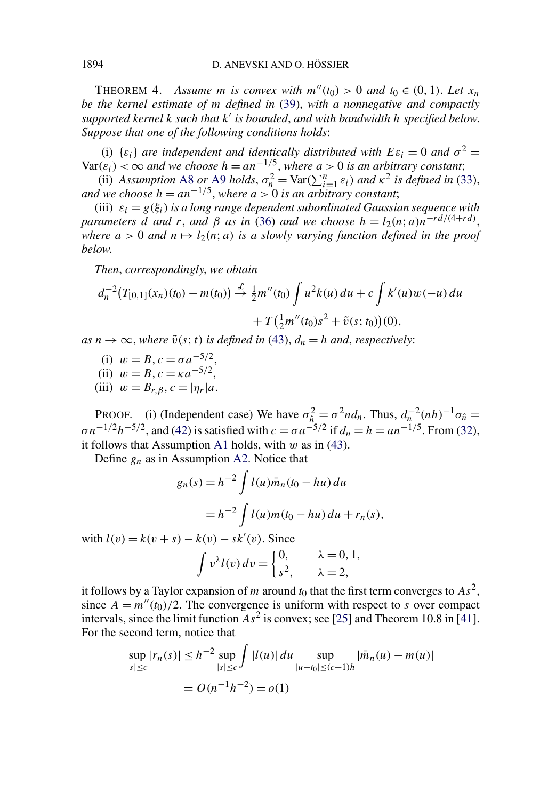<span id="page-20-0"></span>THEOREM 4. Assume *m* is convex with  $m''(t_0) > 0$  and  $t_0 \in (0, 1)$ . Let  $x_n$ *be the kernel estimate of m defined in* [\(39\)](#page-18-0), *with a nonnegative and compactly supported kernel k such that k is bounded*, *and with bandwidth h specified below*. *Suppose that one of the following conditions holds*:

(i)  $\{\varepsilon_i\}$  *are independent and identically distributed with*  $E\varepsilon_i = 0$  *and*  $\sigma^2 = 0$  $Var(\varepsilon_i) < \infty$  *and we choose*  $h = a n^{-1/5}$ , *where*  $a > 0$  *is an arbitrary constant*;

(ii) *Assumption* [A8](#page-13-0) *or* [A9](#page-13-0) *holds*,  $\sigma_n^2 = \text{Var}(\sum_{i=1}^n \varepsilon_i)$  *and*  $\kappa^2$  *is defined in* [\(33\)](#page-13-0), *and we choose*  $h = a n^{-1/5}$ , *where*  $a > 0$  *is an arbitrary constant*;

(iii)  $\varepsilon_i = g(\xi_i)$  *is a long range dependent subordinated Gaussian sequence with parameters d and r*, *and*  $\beta$  *as in* [\(36\)](#page-14-0) *and we choose*  $h = l_2(n; a)n^{-rd/(4+rd)}$ , *where*  $a > 0$  *and*  $n \mapsto l_2(n; a)$  *is a slowly varying function defined in the proof below*.

*Then*, *correspondingly*, *we obtain*

$$
d_n^{-2}(T_{[0,1]}(x_n)(t_0) - m(t_0)) \stackrel{\mathcal{L}}{\rightarrow} \frac{1}{2}m''(t_0) \int u^2k(u) du + c \int k'(u)w(-u) du
$$
  
+  $T(\frac{1}{2}m''(t_0)s^2 + \tilde{v}(s;t_0))(0),$ 

 $as n \rightarrow \infty$ , *where*  $\tilde{v}(s; t)$  *is defined in* [\(43\)](#page-19-0),  $d_n = h$  *and*, *respectively*:

- (i)  $w = B$ ,  $c = \sigma a^{-5/2}$ , (iii)  $w = B$ ,  $c = \kappa a^{-5/2}$ .
- 
- (iii)  $w = B_{r,\beta}, c = |\eta_r|a.$

PROOF. (i) (Independent case) We have  $\sigma_{\hat{n}}^2 = \sigma^2 n d_n$ . Thus,  $d_n^{-2} (n h)^{-1} \sigma_{\hat{n}} =$  $\sigma n^{-1/2}h^{-5/2}$ , and [\(42\)](#page-19-0) is satisfied with  $c = \sigma a^{-5/2}$  if  $d_n = h = a n^{-1/5}$ . From [\(32\)](#page-12-0), it follows that Assumption [A1](#page-5-0) holds, with *w* as in [\(43\)](#page-19-0).

Define *gn* as in Assumption [A2.](#page-6-0) Notice that

$$
g_n(s) = h^{-2} \int l(u)\bar{m}_n(t_0 - hu) du
$$
  
=  $h^{-2} \int l(u)m(t_0 - hu) du + r_n(s),$ 

 $\text{with } l(v) = k(v + s) - k(v) - sk'(v)$ . Since

$$
\int v^{\lambda} l(v) dv = \begin{cases} 0, & \lambda = 0, 1, \\ s^2, & \lambda = 2, \end{cases}
$$

it follows by a Taylor expansion of *m* around  $t_0$  that the first term converges to  $As^2$ , since  $A = m''(t_0)/2$ . The convergence is uniform with respect to *s* over compact intervals, since the limit function  $As^2$  is convex; see [\[25\]](#page-55-0) and Theorem 10.8 in [\[41\]](#page-56-0). For the second term, notice that

$$
\sup_{|s| \le c} |r_n(s)| \le h^{-2} \sup_{|s| \le c} \int |l(u)| \, du \sup_{|u - t_0| \le (c+1)h} |\bar{m}_n(u) - m(u)|
$$
\n
$$
= O(n^{-1}h^{-2}) = o(1)
$$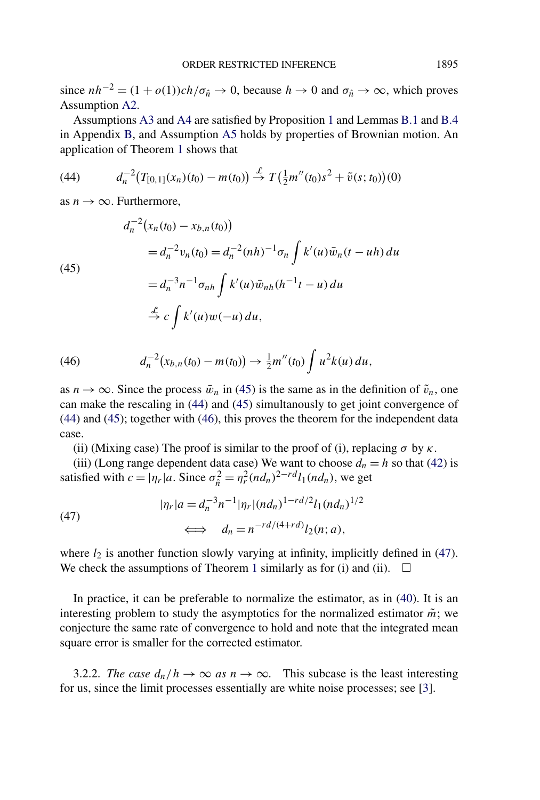since  $nh^{-2} = (1 + o(1))ch/\sigma_{\hat{n}} \rightarrow 0$ , because  $h \rightarrow 0$  and  $\sigma_{\hat{n}} \rightarrow \infty$ , which proves Assumption [A2.](#page-6-0)

Assumptions [A3](#page-6-0) and [A4](#page-6-0) are satisfied by Proposition [1](#page-7-0) and Lemmas [B.1](#page-47-0) and [B.4](#page-51-0) in Appendix [B,](#page-46-0) and Assumption [A5](#page-7-0) holds by properties of Brownian motion. An application of Theorem [1](#page-7-0) shows that

(44) 
$$
d_n^{-2}(T_{[0,1]}(x_n)(t_0) - m(t_0)) \stackrel{\mathcal{L}}{\rightarrow} T(\frac{1}{2}m''(t_0)s^2 + \tilde{v}(s;t_0))(0)
$$

as  $n \to \infty$ . Furthermore,

(45)  
\n
$$
d_n^{-2}(x_n(t_0) - x_{b,n}(t_0))
$$
\n
$$
= d_n^{-2}v_n(t_0) = d_n^{-2}(nh)^{-1}\sigma_n \int k'(u)\bar{w}_n(t - uh) du
$$
\n
$$
= d_n^{-3}n^{-1}\sigma_{nh} \int k'(u)\bar{w}_{nh}(h^{-1}t - u) du
$$
\n
$$
\stackrel{\mathcal{L}}{\rightarrow} c \int k'(u)w(-u) du,
$$

(46) 
$$
d_n^{-2}(x_{b,n}(t_0)-m(t_0))\to \frac{1}{2}m''(t_0)\int u^2k(u)\,du,
$$

as  $n \to \infty$ . Since the process  $\bar{w}_n$  in (45) is the same as in the definition of  $\tilde{v}_n$ , one can make the rescaling in (44) and (45) simultanously to get joint convergence of (44) and (45); together with (46), this proves the theorem for the independent data case.

(ii) (Mixing case) The proof is similar to the proof of (i), replacing  $\sigma$  by  $\kappa$ .

(iii) (Long range dependent data case) We want to choose  $d_n = h$  so that [\(42\)](#page-19-0) is satisfied with  $c = |\eta_r|a$ . Since  $\sigma_{\hat{n}}^2 = \eta_r^2 (nd_n)^{2-rd} l_1 (nd_n)$ , we get

(47) 
$$
|\eta_r|a = d_n^{-3}n^{-1}|\eta_r|(nd_n)^{1-rd/2}l_1(nd_n)^{1/2}
$$

$$
\iff d_n = n^{-rd/(4+rd)}l_2(n;a),
$$

where  $l_2$  is another function slowly varying at infinity, implicitly defined in (47). We check the assumptions of Theorem [1](#page-7-0) similarly as for (i) and (ii).  $\Box$ 

In practice, it can be preferable to normalize the estimator, as in [\(40\)](#page-18-0). It is an interesting problem to study the asymptotics for the normalized estimator  $\tilde{m}$ ; we conjecture the same rate of convergence to hold and note that the integrated mean square error is smaller for the corrected estimator.

3.2.2. *The case*  $d_n/h \to \infty$  *as*  $n \to \infty$ . This subcase is the least interesting for us, since the limit processes essentially are white noise processes; see [\[3\]](#page-54-0).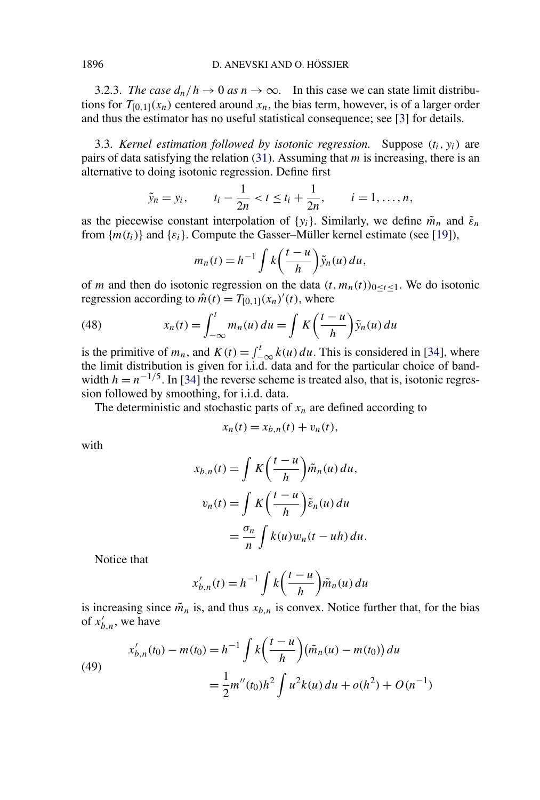<span id="page-22-0"></span>3.2.3. *The case*  $d_n/h \to 0$  *as*  $n \to \infty$ . In this case we can state limit distributions for  $T_{[0,1]}(x_n)$  centered around  $x_n$ , the bias term, however, is of a larger order and thus the estimator has no useful statistical consequence; see [\[3\]](#page-54-0) for details.

3.3. *Kernel estimation followed by isotonic regression.* Suppose *(ti, yi)* are pairs of data satisfying the relation [\(31\)](#page-11-0). Assuming that *m* is increasing, there is an alternative to doing isotonic regression. Define first

$$
\tilde{y}_n = y_i
$$
,  $t_i - \frac{1}{2n} < t \le t_i + \frac{1}{2n}$ ,  $i = 1, ..., n$ ,

as the piecewise constant interpolation of  $\{y_i\}$ . Similarly, we define  $\tilde{m}_n$  and  $\tilde{\varepsilon}_n$ from  ${m(t_i)}$  and  ${\varepsilon_i}$ . Compute the Gasser–Müller kernel estimate (see [\[19\]](#page-55-0)),

$$
m_n(t) = h^{-1} \int k\left(\frac{t-u}{h}\right) \tilde{y}_n(u) du,
$$

of *m* and then do isotonic regression on the data  $(t, m_n(t))_{0 \le t \le 1}$ . We do isotonic regression according to  $\hat{m}(t) = T_{[0,1]}(x_n)'(t)$ , where

(48) 
$$
x_n(t) = \int_{-\infty}^t m_n(u) du = \int K\left(\frac{t-u}{h}\right) \tilde{y}_n(u) du
$$

is the primitive of  $m_n$ , and  $K(t) = \int_{-\infty}^{t} k(u) du$ . This is considered in [\[34\]](#page-56-0), where the limit distribution is given for i.i.d. data and for the particular choice of bandwidth  $h = n^{-1/5}$ . In [\[34\]](#page-56-0) the reverse scheme is treated also, that is, isotonic regression followed by smoothing, for i.i.d. data.

The deterministic and stochastic parts of  $x_n$  are defined according to

$$
x_n(t) = x_{b,n}(t) + v_n(t),
$$

with

$$
x_{b,n}(t) = \int K\left(\frac{t-u}{h}\right) \tilde{m}_n(u) du,
$$
  

$$
v_n(t) = \int K\left(\frac{t-u}{h}\right) \tilde{\varepsilon}_n(u) du
$$
  

$$
= \frac{\sigma_n}{n} \int k(u) w_n(t - uh) du.
$$

Notice that

$$
x'_{b,n}(t) = h^{-1} \int k \left(\frac{t-u}{h}\right) \tilde{m}_n(u) du
$$

is increasing since  $\tilde{m}_n$  is, and thus  $x_{b,n}$  is convex. Notice further that, for the bias of  $x'_{b,n}$ , we have

(49)  

$$
x'_{b,n}(t_0) - m(t_0) = h^{-1} \int k \left( \frac{t - u}{h} \right) (\tilde{m}_n(u) - m(t_0)) du
$$

$$
= \frac{1}{2} m''(t_0) h^2 \int u^2 k(u) du + o(h^2) + O(n^{-1})
$$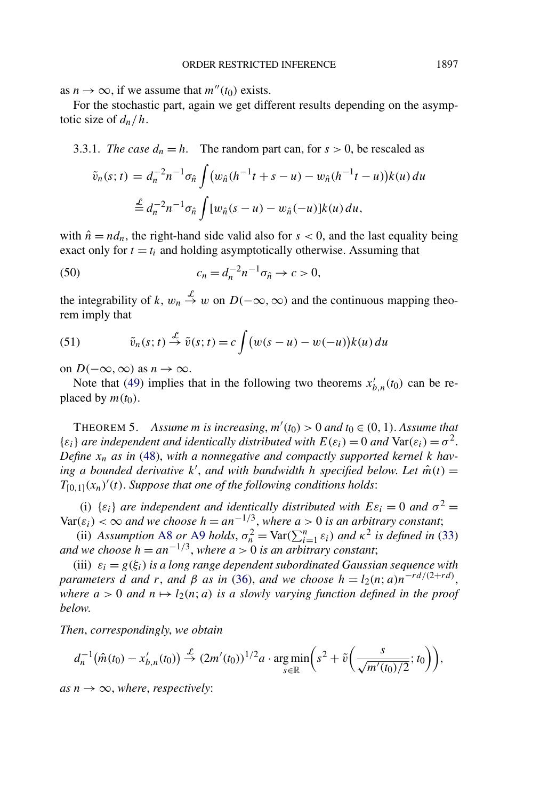<span id="page-23-0"></span>as  $n \to \infty$ , if we assume that  $m''(t_0)$  exists.

For the stochastic part, again we get different results depending on the asymptotic size of *dn/h*.

3.3.1. *The case*  $d_n = h$ . The random part can, for  $s > 0$ , be rescaled as

$$
\tilde{v}_n(s;t) = d_n^{-2} n^{-1} \sigma_{\hat{n}} \int (w_{\hat{n}} (h^{-1}t + s - u) - w_{\hat{n}} (h^{-1}t - u)) k(u) du
$$
  

$$
\stackrel{d}{=} d_n^{-2} n^{-1} \sigma_{\hat{n}} \int [w_{\hat{n}} (s - u) - w_{\hat{n}} (-u)] k(u) du,
$$

with  $\hat{n} = nd_n$ , the right-hand side valid also for  $s < 0$ , and the last equality being exact only for  $t = t_i$  and holding asymptotically otherwise. Assuming that

(50) 
$$
c_n = d_n^{-2} n^{-1} \sigma_{\hat{n}} \to c > 0,
$$

the integrability of k,  $w_n \stackrel{\mathcal{L}}{\rightarrow} w$  on  $D(-\infty, \infty)$  and the continuous mapping theorem imply that

(51) 
$$
\tilde{v}_n(s;t) \stackrel{\mathcal{L}}{\rightarrow} \tilde{v}(s;t) = c \int (w(s-u) - w(-u))k(u) du
$$

on *D*( $-\infty$ *,* ∞) as *n* → ∞.

Note that [\(49\)](#page-22-0) implies that in the following two theorems  $x'_{b,n}(t_0)$  can be replaced by  $m(t_0)$ .

THEOREM 5. Assume *m* is increasing,  $m'(t_0) > 0$  and  $t_0 \in (0, 1)$ . Assume that  $\{\varepsilon_i\}$  *are independent and identically distributed with*  $E(\varepsilon_i) = 0$  *and*  $Var(\varepsilon_i) = \sigma^2$ . *Define*  $x_n$  *as in* [\(48\)](#page-22-0), with a nonnegative and compactly supported kernel k hav- $\hat{m}$  *a bounded derivative k'*, *and with bandwidth h specified below. Let*  $\hat{m}(t)$  =  $T_{[0,1]}(x_n)'(t)$ . *Suppose that one of the following conditions holds*:

(i)  $\{\varepsilon_i\}$  *are independent and identically distributed with*  $E\varepsilon_i = 0$  *and*  $\sigma^2 =$  $Var(\varepsilon_i) < \infty$  *and we choose*  $h = an^{-1/3}$ , *where*  $a > 0$  *is an arbitrary constant*;

(ii) *Assumption* [A8](#page-13-0) *or* [A9](#page-13-0) *holds*,  $\sigma_n^2 = \text{Var}(\sum_{i=1}^n \varepsilon_i)$  *and*  $\kappa^2$  *is defined in* [\(33\)](#page-13-0) *and we choose*  $h = a n^{-1/3}$ , *where*  $a > 0$  *is an arbitrary constant*;

(iii)  $\varepsilon_i = g(\xi_i)$  *is a long range dependent subordinated Gaussian sequence with parameters d and r*, *and*  $\beta$  *as in* [\(36\)](#page-14-0), *and we choose*  $h = l_2(n; a)n^{-rd/(2+rd)}$ , *where*  $a > 0$  *and*  $n \mapsto l_2(n; a)$  *is a slowly varying function defined in the proof below*.

*Then*, *correspondingly*, *we obtain*

$$
d_n^{-1}(\hat{m}(t_0) - x'_{b,n}(t_0)) \stackrel{\mathcal{L}}{\to} (2m'(t_0))^{1/2} a \cdot \underset{s \in \mathbb{R}}{\arg \min} \bigg( s^2 + \tilde{v} \bigg( \frac{s}{\sqrt{m'(t_0)/2}}; t_0 \bigg) \bigg),
$$

 $as n \rightarrow \infty$ , *where*, *respectively*: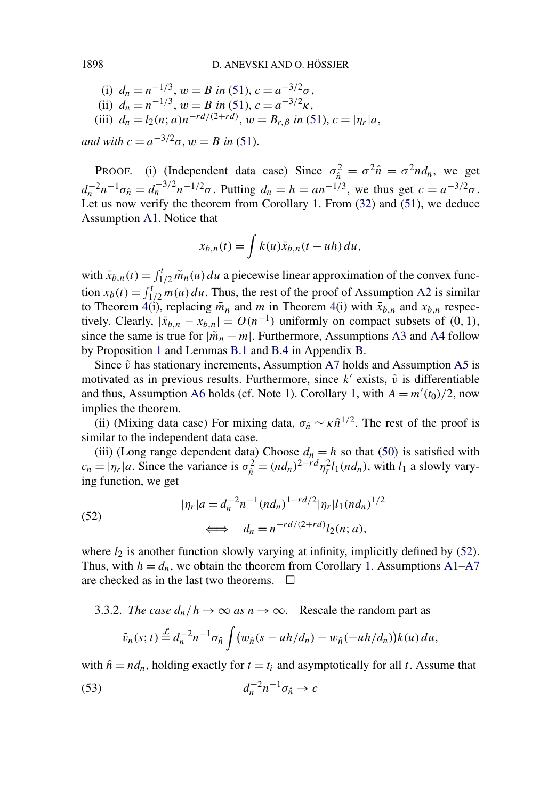(i)  $d_n = n^{-1/3}, w = B$  *in* [\(51\)](#page-23-0),  $c = a^{-3/2}\sigma$ , (ii)  $d_n = n^{-1/3}, w = B$  *in* [\(51\)](#page-23-0),  $c = a^{-3/2}\kappa$ , (iii)  $d_n = l_2(n; a)n^{-rd/(2+rd)}, w = B_{r, \beta}$  *in* [\(51\)](#page-23-0),  $c = |\eta_r|a$ ,

*and with*  $c = a^{-3/2}\sigma$ ,  $w = B$  *in* [\(51\)](#page-23-0).

PROOF. (i) (Independent data case) Since  $\sigma_{\hat{n}}^2 = \sigma^2 \hat{n} = \sigma^2 n d_n$ , we get  $d_n^{-2}n^{-1}\sigma_{\hat{n}} = d_n^{-3/2}n^{-1/2}\sigma$ . Putting  $d_n = h = an^{-1/3}$ , we thus get  $c = a^{-3/2}\sigma$ . Let us now verify the theorem from Corollary [1.](#page-10-0) From [\(32\)](#page-12-0) and [\(51\)](#page-23-0), we deduce Assumption [A1.](#page-5-0) Notice that

$$
x_{b,n}(t) = \int k(u)\bar{x}_{b,n}(t - uh) du,
$$

with  $\bar{x}_{b,n}(t) = \int_{1/2}^{t} \tilde{m}_n(u) du$  a piecewise linear approximation of the convex function  $x_b(t) = \int_{1/2}^{t} m(u) du$ . Thus, the rest of the proof of Assumption [A2](#page-6-0) is similar to Theorem [4\(](#page-20-0)i), replacing  $\bar{m}_n$  and *m* in Theorem 4(i) with  $\bar{x}_{b,n}$  and  $x_{b,n}$  respectively. Clearly,  $|\bar{x}_{b,n} - x_{b,n}| = O(n^{-1})$  uniformly on compact subsets of  $(0, 1)$ , since the same is true for  $|\tilde{m}_n - m|$ . Furthermore, Assumptions [A3](#page-6-0) and [A4](#page-6-0) follow by Proposition [1](#page-7-0) and Lemmas [B.1](#page-47-0) and [B.4](#page-51-0) in Appendix [B.](#page-46-0)

Since  $\tilde{v}$  has stationary increments, Assumption [A7](#page-10-0) holds and Assumption [A5](#page-7-0) is motivated as in previous results. Furthermore, since  $k'$  exists,  $\tilde{v}$  is differentiable and thus, Assumption [A6](#page-8-0) holds (cf. Note [1\)](#page-8-0). Corollary [1,](#page-10-0) with  $A = m'(t_0)/2$ , now implies the theorem.

(ii) (Mixing data case) For mixing data,  $\sigma_{\hat{n}} \sim \kappa \hat{n}^{1/2}$ . The rest of the proof is similar to the independent data case.

(iii) (Long range dependent data) Choose  $d_n = h$  so that ([50](#page-23-0)) is satisfied with  $c_n = |\eta_r|a$ . Since the variance is  $\sigma_{\hat{n}}^2 = (nd_n)^{2-rd} \eta_r^2 l_1(nd_n)$ , with  $l_1$  a slowly varying function, we get

(52) 
$$
|\eta_r|a = d_n^{-2}n^{-1}(nd_n)^{1-rd/2}|\eta_r|l_1(nd_n)^{1/2}
$$

$$
\iff d_n = n^{-rd/(2+rd)}l_2(n;a),
$$

where  $l_2$  is another function slowly varying at infinity, implicitly defined by  $(52)$ . Thus, with  $h = d_n$ , we obtain the theorem from Corollary [1.](#page-10-0) Assumptions [A1–](#page-5-0)[A7](#page-10-0) are checked as in the last two theorems.  $\Box$ 

3.3.2. *The case*  $d_n/h \to \infty$  *as*  $n \to \infty$ . Rescale the random part as  $\tilde{v}_n(s; t) \stackrel{\mathcal{L}}{=} d_n^{-2} n^{-1} \sigma_{\hat{n}} \int (w_{\hat{n}}(s - uh/d_n) - w_{\hat{n}}(-uh/d_n)) k(u) du,$ 

with  $\hat{n} = nd_n$ , holding exactly for  $t = t_i$  and asymptotically for all *t*. Assume that

$$
(53) \t\t d_n^{-2}n^{-1}\sigma_{\hat{n}} \to c
$$

<span id="page-24-0"></span>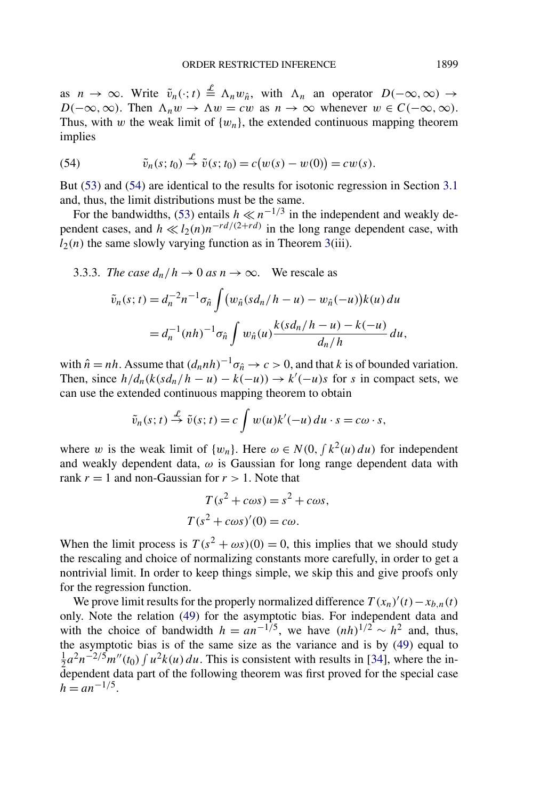<span id="page-25-0"></span>as  $n \to \infty$ . Write  $\tilde{v}_n(\cdot; t) \stackrel{\mathcal{L}}{=} \Lambda_n w_{\hat{n}}$ , with  $\Lambda_n$  an operator  $D(-\infty, \infty) \to$ *D*( $-\infty$ *,*∞). Then  $\Lambda_n w \to \Lambda w = cw$  as  $n \to \infty$  whenever  $w \in C(-\infty, \infty)$ . Thus, with *w* the weak limit of  $\{w_n\}$ , the extended continuous mapping theorem implies

(54) 
$$
\tilde{v}_n(s;t_0) \stackrel{\mathcal{L}}{\rightarrow} \tilde{v}(s;t_0) = c(w(s) - w(0)) = cw(s).
$$

But [\(53\)](#page-24-0) and (54) are identical to the results for isotonic regression in Section [3.1](#page-14-0) and, thus, the limit distributions must be the same.

For the bandwidths, [\(53\)](#page-24-0) entails  $h \ll n^{-1/3}$  in the independent and weakly dependent cases, and  $h \ll l_2(n)n^{-rd/(2+rd)}$  in the long range dependent case, with  $l_2(n)$  the same slowly varying function as in Theorem [3\(](#page-15-0)iii).

3.3.3. The case 
$$
d_n/h \to 0
$$
 as  $n \to \infty$ . We rescale as  
\n
$$
\tilde{v}_n(s; t) = d_n^{-2} n^{-1} \sigma_{\hat{n}} \int (w_{\hat{n}} (sd_n/h - u) - w_{\hat{n}}(-u)) k(u) du
$$
\n
$$
= d_n^{-1} (nh)^{-1} \sigma_{\hat{n}} \int w_{\hat{n}} (u) \frac{k(s d_n/h - u) - k(-u)}{d_n/h} du,
$$

with  $\hat{n} = nh$ . Assume that  $(d_nnh)^{-1}\sigma_{\hat{n}} \to c > 0$ , and that *k* is of bounded variation. Then, since  $h/d_n(k(sd_n/h - u) - k(-u)) \rightarrow k'(-u)s$  for *s* in compact sets, we can use the extended continuous mapping theorem to obtain

$$
\tilde{v}_n(s; t) \stackrel{\mathcal{L}}{\rightarrow} \tilde{v}(s; t) = c \int w(u)k'(-u) du \cdot s = c\omega \cdot s,
$$

where *w* is the weak limit of  $\{w_n\}$ . Here  $\omega \in N(0, \int k^2(u) du)$  for independent and weakly dependent data,  $\omega$  is Gaussian for long range dependent data with rank  $r = 1$  and non-Gaussian for  $r > 1$ . Note that

$$
T(s2 + cos) = s2 + cos,
$$
  
\n
$$
T(s2 + cos)'(0) = c\omega.
$$

When the limit process is  $T(s^2 + \omega s)(0) = 0$ , this implies that we should study the rescaling and choice of normalizing constants more carefully, in order to get a nontrivial limit. In order to keep things simple, we skip this and give proofs only for the regression function.

We prove limit results for the properly normalized difference  $T(x_n)'(t) - x_{b,n}(t)$ only. Note the relation [\(49\)](#page-22-0) for the asymptotic bias. For independent data and with the choice of bandwidth  $h = a n^{-1/5}$ , we have  $(nh)^{1/2} \sim h^2$  and, thus, the asymptotic bias is of the same size as the variance and is by [\(49\)](#page-22-0) equal to  $\frac{1}{2}a^2n^{-2/5}m''(t_0)\int u^2k(u)\,du$ . This is consistent with results in [\[34\]](#page-56-0), where the independent data part of the following theorem was first proved for the special case  $h = a n^{-1/5}$ .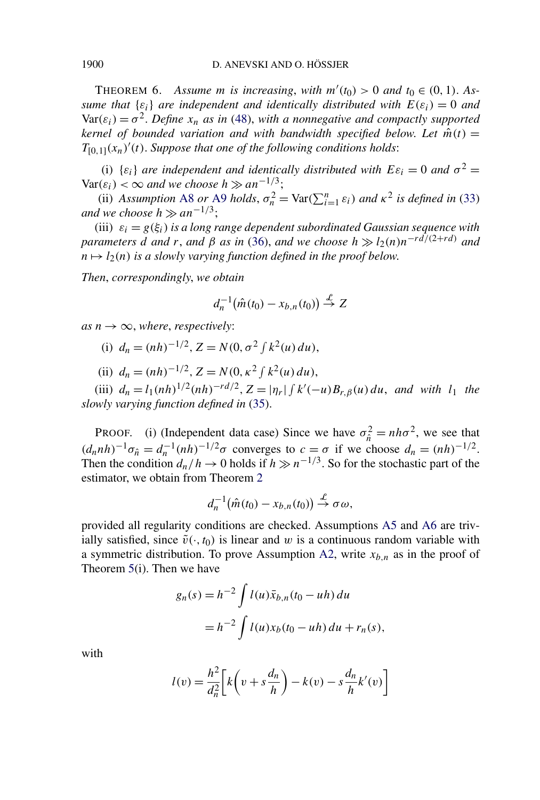<span id="page-26-0"></span>THEOREM 6. Assume *m* is increasing, with  $m'(t_0) > 0$  and  $t_0 \in (0, 1)$ . As*sume that*  $\{ \varepsilon_i \}$  *are independent and identically distributed with*  $E(\varepsilon_i) = 0$  *and*  $Var(\varepsilon_i) = \sigma^2$ . *Define*  $x_n$  *as in* [\(48\)](#page-22-0), with a nonnegative and compactly supported *kernel of bounded variation and with bandwidth specified below. Let*  $\hat{m}(t)$  =  $T_{[0,1]}(x_n)'(t)$ . *Suppose that one of the following conditions holds*:

(i)  $\{\varepsilon_i\}$  *are independent and identically distributed with*  $E\varepsilon_i = 0$  *and*  $\sigma^2 =$  $Var(\varepsilon_i) < \infty$  *and we choose h*  $\gg an^{-1/3}$ ;

(ii) *Assumption* [A8](#page-13-0) *or* [A9](#page-13-0) *holds*,  $\sigma_n^2 = \text{Var}(\sum_{i=1}^n \varepsilon_i)$  *and*  $\kappa^2$  *is defined in* [\(33\)](#page-13-0) *and we choose*  $h \gg an^{-1/3}$ ;

(iii)  $\varepsilon_i = g(\xi_i)$  *is a long range dependent subordinated Gaussian sequence with parameters d and r*, *and*  $\beta$  *as in* [\(36\)](#page-14-0), *and we choose*  $h \gg l_2(n)n^{-rd/(2+rd)}$  *and*  $n \mapsto l_2(n)$  *is a slowly varying function defined in the proof below.* 

*Then*, *correspondingly*, *we obtain*

$$
d_n^{-1}(\hat{m}(t_0)-x_{b,n}(t_0)) \stackrel{\mathcal{L}}{\rightarrow} Z
$$

 $as n \rightarrow \infty$ , *where*, *respectively*:

- (i)  $d_n = (nh)^{-1/2}, Z = N(0, \sigma^2 \int k^2(u) \, du),$
- (ii)  $d_n = (nh)^{-1/2}, Z = N(0, \kappa^2 \int k^2(u) du),$

(iii)  $d_n = l_1(nh)^{1/2}(nh)^{-rd/2}, Z = |\eta_r| \int k'(-u)B_{r,\beta}(u) du$ , and with  $l_1$  the *slowly varying function defined in* [\(35\)](#page-14-0).

PROOF. (i) (Independent data case) Since we have  $\sigma_{\hat{n}}^2 = nh\sigma^2$ , we see that  $(d_n nh)^{-1}\sigma_{\hat{n}} = d_n^{-1}(nh)^{-1/2}\sigma$  converges to  $c = \sigma$  if we choose  $d_n = (nh)^{-1/2}$ . Then the condition  $d_n/h \to 0$  holds if  $h \gg n^{-1/3}$ . So for the stochastic part of the estimator, we obtain from Theorem [2](#page-9-0)

$$
d_n^{-1}(\hat{m}(t_0)-x_{b,n}(t_0)) \stackrel{\mathcal{L}}{\rightarrow} \sigma \omega,
$$

provided all regularity conditions are checked. Assumptions [A5](#page-7-0) and [A6](#page-8-0) are trivially satisfied, since  $\tilde{v}(\cdot, t_0)$  is linear and *w* is a continuous random variable with a symmetric distribution. To prove Assumption [A2,](#page-6-0) write  $x_{b,n}$  as in the proof of Theorem [5\(](#page-23-0)i). Then we have

$$
g_n(s) = h^{-2} \int l(u)\bar{x}_{b,n}(t_0 - uh) du
$$
  
=  $h^{-2} \int l(u)x_b(t_0 - uh) du + r_n(s),$ 

with

$$
l(v) = \frac{h^2}{d_n^2} \left[ k \left( v + s \frac{d_n}{h} \right) - k(v) - s \frac{d_n}{h} k'(v) \right]
$$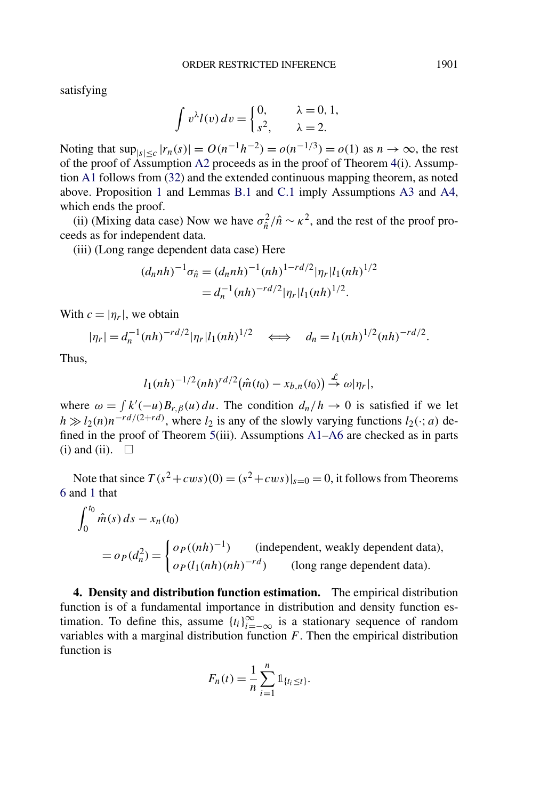<span id="page-27-0"></span>satisfying

$$
\int v^{\lambda} l(v) dv = \begin{cases} 0, & \lambda = 0, 1, \\ s^2, & \lambda = 2. \end{cases}
$$

Noting that  $\sup_{|s| \leq c} |r_n(s)| = O(n^{-1}h^{-2}) = o(n^{-1/3}) = o(1)$  as *n* → ∞, the rest of the proof of Assumption [A2](#page-6-0) proceeds as in the proof of Theorem [4\(](#page-20-0)i). Assumption [A1](#page-5-0) follows from [\(32\)](#page-12-0) and the extended continuous mapping theorem, as noted above. Proposition [1](#page-7-0) and Lemmas [B.1](#page-47-0) and [C.1](#page-52-0) imply Assumptions [A3](#page-6-0) and [A4,](#page-6-0) which ends the proof.

(ii) (Mixing data case) Now we have  $\sigma_{\hat{n}}^2 / \hat{n} \sim \kappa^2$ , and the rest of the proof proceeds as for independent data.

(iii) (Long range dependent data case) Here

$$
(d_n nh)^{-1} \sigma_{\hat{n}} = (d_n nh)^{-1} (nh)^{1 - rd/2} |\eta_r| l_1 (nh)^{1/2}
$$
  
=  $d_n^{-1} (nh)^{-rd/2} |\eta_r| l_1 (nh)^{1/2}.$ 

With  $c = |\eta_r|$ , we obtain

$$
|\eta_r| = d_n^{-1} (nh)^{-rd/2} |\eta_r| l_1 (nh)^{1/2} \iff d_n = l_1 (nh)^{1/2} (nh)^{-rd/2}.
$$

Thus,

$$
l_1(nh)^{-1/2}(nh)^{rd/2}(\hat{m}(t_0)-x_{b,n}(t_0)) \stackrel{\mathcal{L}}{\rightarrow} \omega|\eta_r|,
$$

where  $\omega = \int k'(-u)B_{r,\beta}(u) du$ . The condition  $d_n/h \to 0$  is satisfied if we let  $h \gg l_2(n)n^{-rd/(2+rd)}$ , where  $l_2$  is any of the slowly varying functions  $l_2(\cdot; a)$  defined in the proof of Theorem [5\(](#page-23-0)iii). Assumptions [A1–](#page-5-0)[A6](#page-8-0) are checked as in parts  $(i)$  and  $(ii)$ .  $\square$ 

Note that since  $T(s^2+cws)(0) = (s^2+cws)|_{s=0} = 0$ , it follows from Theorems [6](#page-26-0) and [1](#page-7-0) that

$$
\int_0^{t_0} \hat{m}(s) ds - x_n(t_0)
$$
  
=  $o_P(d_n^2) = \begin{cases} o_P((nh)^{-1}) & \text{(independent, weakly dependent data)}, \\ o_P(l_1(nh)(nh)^{-rd}) & \text{(long range dependent data)}. \end{cases}$ 

**4. Density and distribution function estimation.** The empirical distribution function is of a fundamental importance in distribution and density function estimation. To define this, assume  $\{t_i\}_{i=-\infty}^{\infty}$  is a stationary sequence of random variables with a marginal distribution function *F*. Then the empirical distribution function is

$$
F_n(t) = \frac{1}{n} \sum_{i=1}^n \mathbb{1}_{\{t_i \le t\}}.
$$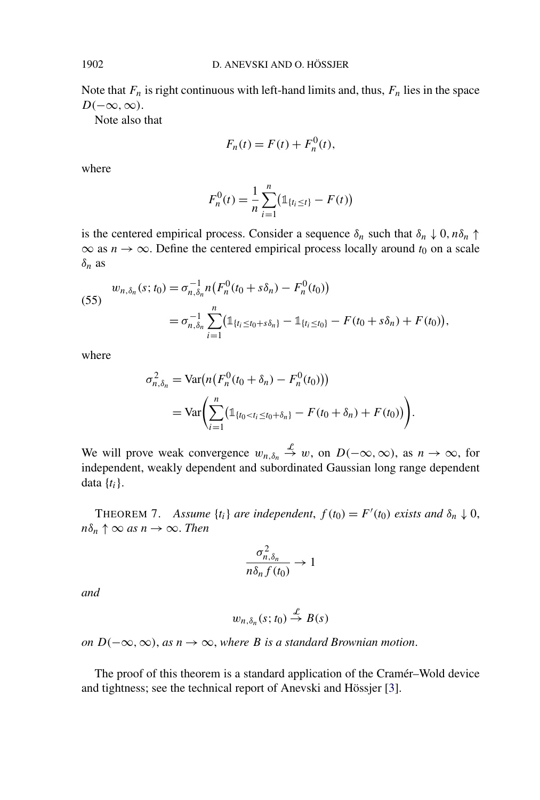Note that  $F_n$  is right continuous with left-hand limits and, thus,  $F_n$  lies in the space *D(*−∞*,*∞*)*.

Note also that

$$
F_n(t) = F(t) + F_n^0(t),
$$

where

$$
F_n^0(t) = \frac{1}{n} \sum_{i=1}^n (\mathbb{1}_{\{t_i \le t\}} - F(t))
$$

is the centered empirical process. Consider a sequence  $\delta_n$  such that  $\delta_n \downarrow 0$ ,  $n\delta_n \uparrow$  $\infty$  as  $n \to \infty$ . Define the centered empirical process locally around  $t_0$  on a scale *δn* as

(55) 
$$
w_{n,\delta_n}(s; t_0) = \sigma_{n,\delta_n}^{-1} n \big( F_n^0(t_0 + s\delta_n) - F_n^0(t_0) \big)
$$

$$
= \sigma_{n,\delta_n}^{-1} \sum_{i=1}^n \big( \mathbb{1}_{\{t_i \le t_0 + s\delta_n\}} - \mathbb{1}_{\{t_i \le t_0\}} - F(t_0 + s\delta_n) + F(t_0) \big),
$$

where

$$
\sigma_{n,\delta_n}^2 = \text{Var}(n(F_n^0(t_0 + \delta_n) - F_n^0(t_0)))
$$
  
= 
$$
\text{Var}\bigg(\sum_{i=1}^n (\mathbb{1}_{\{t_0 < t_i \le t_0 + \delta_n\}} - F(t_0 + \delta_n) + F(t_0))\bigg).
$$

We will prove weak convergence  $w_{n,\delta_n} \stackrel{\mathcal{L}}{\rightarrow} w$ , on  $D(-\infty,\infty)$ , as  $n \to \infty$ , for independent, weakly dependent and subordinated Gaussian long range dependent data {*ti*}.

THEOREM 7. *Assume*  $\{t_i\}$  *are independent,*  $f(t_0) = F'(t_0)$  *exists and*  $\delta_n \downarrow 0$ ,  $n\delta_n \uparrow \infty$  *as*  $n \to \infty$ *. Then* 

$$
\frac{\sigma_{n,\delta_n}^2}{n\delta_n f(t_0)} \to 1
$$

*and*

$$
w_{n,\delta_n}(s;t_0)\stackrel{\mathcal{L}}{\rightarrow}B(s)
$$

*on*  $D(-\infty, \infty)$ , *as*  $n \to \infty$ , *where B is a standard Brownian motion*.

The proof of this theorem is a standard application of the Cramér–Wold device and tightness; see the technical report of Anevski and Hössjer [\[3\]](#page-54-0).

<span id="page-28-0"></span>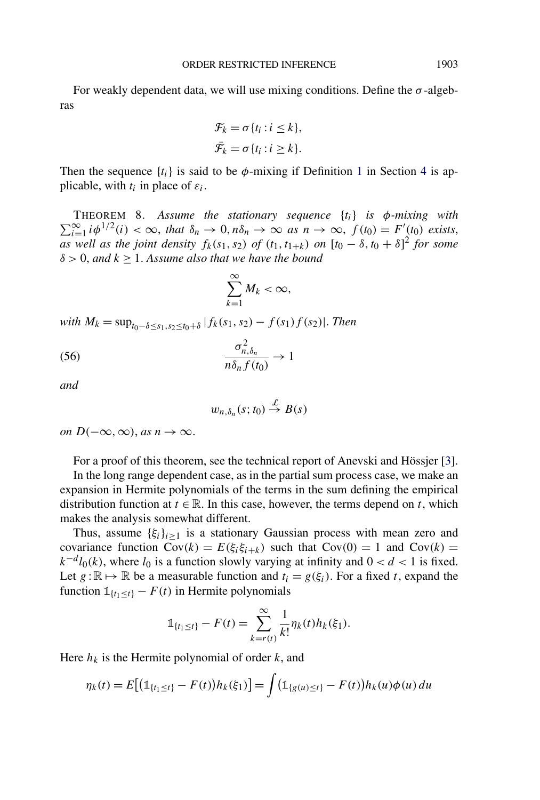<span id="page-29-0"></span>For weakly dependent data, we will use mixing conditions. Define the  $\sigma$ -algebras

$$
\mathcal{F}_k = \sigma \{ t_i : i \leq k \},
$$
  

$$
\bar{\mathcal{F}}_k = \sigma \{ t_i : i \geq k \}.
$$

Then the sequence  $\{t_i\}$  is said to be  $\phi$ -mixing if Definition [1](#page-12-0) in Section [4](#page-27-0) is applicable, with  $t_i$  in place of  $\varepsilon_i$ .

THEOREM 8. *Assume the stationary sequence* {*ti*} *is φ-mixing with*  $\sum_{i=1}^{\infty} i \phi^{1/2}(i) < \infty$ , that  $\delta_n \to 0$ ,  $n\delta_n \to \infty$  as  $n \to \infty$ ,  $f(t_0) = F'(t_0)$  exists, *as well as the joint density*  $f_k(s_1, s_2)$  *of*  $(t_1, t_{1+k})$  *on*  $[t_0 - \delta, t_0 + \delta]^2$  *for some δ >* 0, *and k* ≥ 1. *Assume also that we have the bound*

$$
\sum_{k=1}^{\infty} M_k < \infty
$$

*with*  $M_k$  = sup<sub>*t*0−*δ*<*s*<sub>1</sub>*,s*<sub>2</sub><*t*<sub>0</sub>+*δ*</sub> |*f<sub>k</sub>*(*s*<sub>1</sub>*, s*<sub>2</sub>) − *f*(*s*<sub>1</sub>)*f*(*s*<sub>2</sub>)|. *Then* 

$$
\frac{\sigma_{n,\delta_n}^2}{n\delta_n f(t_0)} \to 1
$$

*and*

$$
w_{n,\delta_n}(s;t_0)\stackrel{\mathcal{L}}{\rightarrow}B(s)
$$

*on*  $D(-\infty, \infty)$ , *as*  $n \to \infty$ .

For a proof of this theorem, see the technical report of Anevski and Hössjer [\[3\]](#page-54-0).

In the long range dependent case, as in the partial sum process case, we make an expansion in Hermite polynomials of the terms in the sum defining the empirical distribution function at  $t \in \mathbb{R}$ . In this case, however, the terms depend on *t*, which makes the analysis somewhat different.

Thus, assume  $\{\xi_i\}_{i\geq 1}$  is a stationary Gaussian process with mean zero and covariance function  $Cov(k) = E(\xi_i \xi_{i+k})$  such that  $Cov(0) = 1$  and  $Cov(k) =$  $k^{-d}l_0(k)$ , where  $l_0$  is a function slowly varying at infinity and  $0 < d < 1$  is fixed. Let  $g : \mathbb{R} \mapsto \mathbb{R}$  be a measurable function and  $t_i = g(\xi_i)$ . For a fixed *t*, expand the function  $1_{\{t_1 \le t\}} - F(t)$  in Hermite polynomials

$$
\mathbb{1}_{\{t_1 \le t\}} - F(t) = \sum_{k=r(t)}^{\infty} \frac{1}{k!} \eta_k(t) h_k(\xi_1).
$$

Here  $h_k$  is the Hermite polynomial of order  $k$ , and

$$
\eta_k(t) = E[(\mathbb{1}_{\{t_1 \le t\}} - F(t))h_k(\xi_1)] = \int (\mathbb{1}_{\{g(u) \le t\}} - F(t))h_k(u)\phi(u) du
$$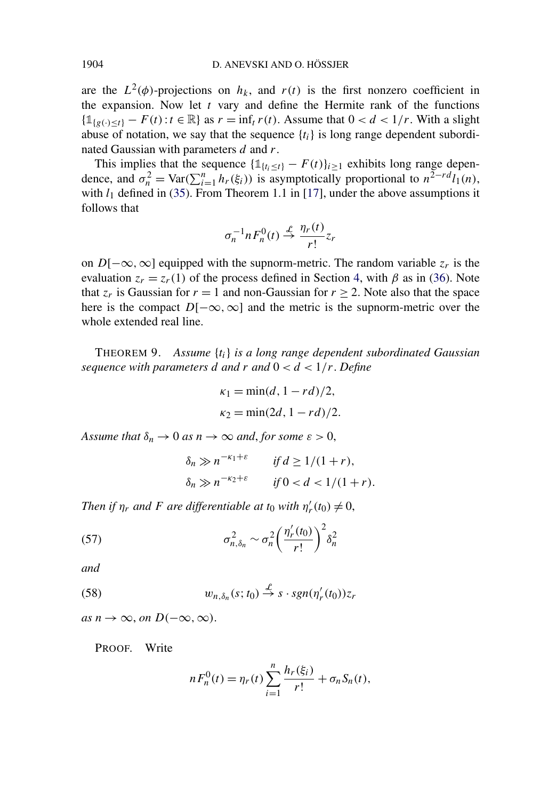are the  $L^2(\phi)$ -projections on  $h_k$ , and  $r(t)$  is the first nonzero coefficient in the expansion. Now let *t* vary and define the Hermite rank of the functions  ${\{\mathbb{1}_{\{g(\cdot) < t\}}} - F(t) : t \in \mathbb{R}\}$  as  $r = \inf_t r(t)$ . Assume that  $0 < d < 1/r$ . With a slight abuse of notation, we say that the sequence  $\{t_i\}$  is long range dependent subordinated Gaussian with parameters *d* and *r*.

This implies that the sequence  $\{1\{t_i \le t\} - F(t)\}_{i \ge 1}$  exhibits long range dependence, and  $\sigma_n^2 = \text{Var}(\sum_{i=1}^n h_r(\xi_i))$  is asymptotically proportional to  $n^{\frac{1}{2}-rd}l_1(n)$ , with  $l_1$  defined in [\(35\)](#page-14-0). From Theorem 1.1 in [\[17\]](#page-55-0), under the above assumptions it follows that

$$
\sigma_n^{-1} n F_n^0(t) \stackrel{\mathcal{L}}{\rightarrow} \frac{\eta_r(t)}{r!} z_r
$$

on *D*[ $−∞$ *,* ∞] equipped with the supnorm-metric. The random variable  $z_r$  is the evaluation  $z_r = z_r(1)$  of the process defined in Section [4,](#page-27-0) with  $\beta$  as in [\(36\)](#page-14-0). Note that  $z_r$  is Gaussian for  $r = 1$  and non-Gaussian for  $r \ge 2$ . Note also that the space here is the compact  $D[-\infty, \infty]$  and the metric is the supnorm-metric over the whole extended real line.

THEOREM 9. *Assume* {*ti*} *is a long range dependent subordinated Gaussian sequence with parameters d* and *r* and  $0 < d < 1/r$ . Define

$$
\kappa_1 = \min(d, 1 - rd)/2,
$$
  
\n $\kappa_2 = \min(2d, 1 - rd)/2.$ 

*Assume that*  $\delta_n \to 0$  *as*  $n \to \infty$  *and, for some*  $\varepsilon > 0$ ,

$$
\delta_n \gg n^{-\kappa_1+\varepsilon} \qquad \text{if } d \ge 1/(1+r),
$$
  

$$
\delta_n \gg n^{-\kappa_2+\varepsilon} \qquad \text{if } 0 < d < 1/(1+r).
$$

*Then if*  $\eta_r$  *and F are differentiable at t*<sub>0</sub> *with*  $\eta'_r(t_0) \neq 0$ ,

(57) 
$$
\sigma_{n,\delta_n}^2 \sim \sigma_n^2 \left(\frac{\eta_r'(t_0)}{r!}\right)^2 \delta_n^2
$$

*and*

(58) 
$$
w_{n,\delta_n}(s;t_0) \stackrel{\mathcal{L}}{\rightarrow} s \cdot sgn(\eta'_r(t_0))z_r
$$

 $as n \to \infty$ *, on*  $D(-\infty, \infty)$ .

PROOF. Write

$$
n F_n^{0}(t) = \eta_r(t) \sum_{i=1}^n \frac{h_r(\xi_i)}{r!} + \sigma_n S_n(t),
$$

<span id="page-30-0"></span>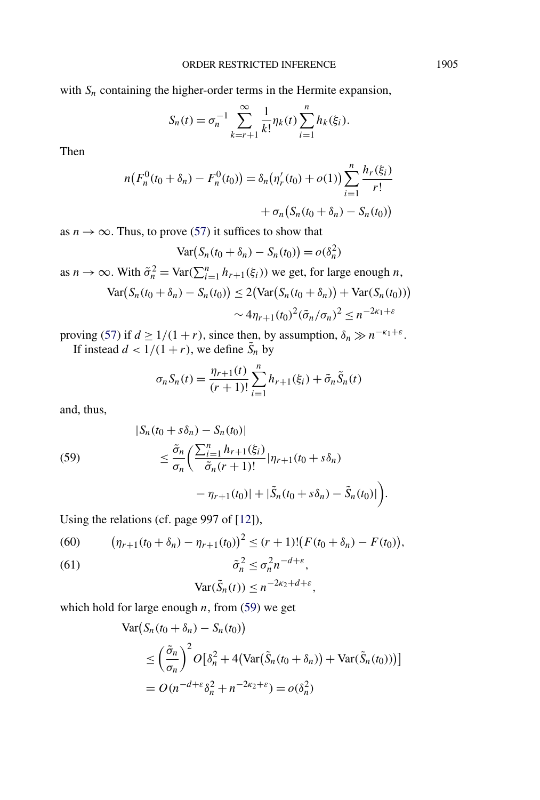<span id="page-31-0"></span>with  $S_n$  containing the higher-order terms in the Hermite expansion,

$$
S_n(t) = \sigma_n^{-1} \sum_{k=r+1}^{\infty} \frac{1}{k!} \eta_k(t) \sum_{i=1}^n h_k(\xi_i).
$$

Then

$$
n(F_n^0(t_0 + \delta_n) - F_n^0(t_0)) = \delta_n(\eta'_r(t_0) + o(1)) \sum_{i=1}^n \frac{h_r(\xi_i)}{r!} + \sigma_n(S_n(t_0 + \delta_n) - S_n(t_0))
$$

as  $n \to \infty$ . Thus, to prove [\(57\)](#page-30-0) it suffices to show that

$$
Var(S_n(t_0 + \delta_n) - S_n(t_0)) = o(\delta_n^2)
$$

as  $n \to \infty$ . With  $\tilde{\sigma}_n^2 = \text{Var}(\sum_{i=1}^n h_{r+1}(\xi_i))$  we get, for large enough *n*,

$$
\operatorname{Var}(S_n(t_0 + \delta_n) - S_n(t_0)) \le 2(\operatorname{Var}(S_n(t_0 + \delta_n)) + \operatorname{Var}(S_n(t_0)))
$$

$$
\sim 4\eta_{r+1}(t_0)^2(\tilde{\sigma}_n/\sigma_n)^2 \le n^{-2\kappa_1 + \varepsilon}
$$

proving [\(57\)](#page-30-0) if  $d \ge 1/(1+r)$ , since then, by assumption,  $\delta_n \gg n^{-\kappa_1+\varepsilon}$ . If instead  $d < 1/(1+r)$ , we define  $\tilde{S}_n$  by

$$
\sigma_n S_n(t) = \frac{\eta_{r+1}(t)}{(r+1)!} \sum_{i=1}^n h_{r+1}(\xi_i) + \tilde{\sigma}_n \tilde{S}_n(t)
$$

and, thus,

(59)  
\n
$$
\begin{aligned}\n|S_n(t_0 + s\delta_n) - S_n(t_0)| \\
&\leq \frac{\tilde{\sigma}_n}{\sigma_n} \left( \frac{\sum_{i=1}^n h_{r+1}(\xi_i)}{\tilde{\sigma}_n(r+1)!} |\eta_{r+1}(t_0 + s\delta_n) - \tilde{S}_n(t_0)| \right) \\
&\quad - \eta_{r+1}(t_0) | + |\tilde{S}_n(t_0 + s\delta_n) - \tilde{S}_n(t_0)| \right).\n\end{aligned}
$$

Using the relations (cf. page 997 of [\[12\]](#page-55-0)),

(60) 
$$
(\eta_{r+1}(t_0+\delta_n)-\eta_{r+1}(t_0))^2\leq (r+1)!(F(t_0+\delta_n)-F(t_0)),
$$

(61) 
$$
\tilde{\sigma}_n^2 \leq \sigma_n^2 n^{-d+\varepsilon},
$$

$$
\text{Var}(\tilde{S}_n(t)) \leq n^{-2\kappa_2 + d + \varepsilon},
$$

which hold for large enough *n*, from (59) we get

$$
\begin{aligned} \text{Var}\big(S_n(t_0 + \delta_n) - S_n(t_0)\big) \\ &\le \left(\frac{\tilde{\sigma}_n}{\sigma_n}\right)^2 O\big[\delta_n^2 + 4\big(\text{Var}\big(\tilde{S}_n(t_0 + \delta_n)\big) + \text{Var}\big(\tilde{S}_n(t_0)\big)\big)\big] \\ &= O\big(n^{-d + \varepsilon} \delta_n^2 + n^{-2\kappa_2 + \varepsilon}\big) = o(\delta_n^2) \end{aligned}
$$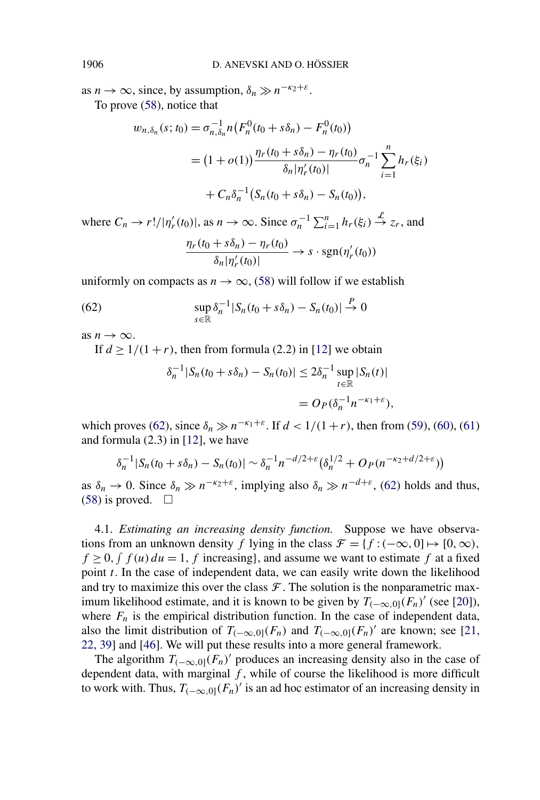<span id="page-32-0"></span>as  $n \to \infty$ , since, by assumption,  $\delta_n \gg n^{-\kappa_2 + \varepsilon}$ . To prove [\(58\)](#page-30-0), notice that

$$
w_{n,\delta_n}(s;t_0) = \sigma_{n,\delta_n}^{-1} n \big( F_n^0(t_0 + s\delta_n) - F_n^0(t_0) \big)
$$
  
=  $(1 + o(1)) \frac{\eta_r(t_0 + s\delta_n) - \eta_r(t_0)}{\delta_n |\eta'_r(t_0)|} \sigma_n^{-1} \sum_{i=1}^n h_r(\xi_i)$   
+  $C_n \delta_n^{-1} \big( S_n(t_0 + s\delta_n) - S_n(t_0) \big),$ 

where  $C_n \to r!/|\eta'_r(t_0)|$ , as  $n \to \infty$ . Since  $\sigma_n^{-1} \sum_{i=1}^n h_r(\xi_i) \stackrel{\mathcal{L}}{\to} z_r$ , and *ηr(t*<sup>0</sup> + *sδn)* − *ηr(t*0*)*

$$
\frac{\eta_r(t_0+s\delta_n)-\eta_r(t_0)}{\delta_n|\eta'_r(t_0)|}\to s\cdot\text{sgn}(\eta'_r(t_0))
$$

uniformly on compacts as  $n \to \infty$ , [\(58\)](#page-30-0) will follow if we establish

(62) 
$$
\sup_{s \in \mathbb{R}} \delta_n^{-1} |S_n(t_0 + s\delta_n) - S_n(t_0)| \stackrel{P}{\to} 0
$$

as  $n \to \infty$ .

If  $d > 1/(1+r)$ , then from formula (2.2) in [\[12\]](#page-55-0) we obtain

$$
\delta_n^{-1}|S_n(t_0+s\delta_n)-S_n(t_0)| \leq 2\delta_n^{-1}\sup_{t\in\mathbb{R}}|S_n(t)|
$$
  
=  $O_P(\delta_n^{-1}n^{-\kappa_1+\varepsilon}),$ 

which proves (62), since  $\delta_n \gg n^{-\kappa_1+\varepsilon}$ . If  $d < 1/(1+r)$ , then from [\(59\)](#page-31-0), [\(60\)](#page-31-0), [\(61\)](#page-31-0) and formula (2.3) in [\[12\]](#page-55-0), we have

$$
\delta_n^{-1} |S_n(t_0+s\delta_n) - S_n(t_0)| \sim \delta_n^{-1} n^{-d/2+\varepsilon} (\delta_n^{1/2} + O_P(n^{-\kappa_2+d/2+\varepsilon}))
$$

as  $\delta_n \to 0$ . Since  $\delta_n \gg n^{-\kappa_2 + \varepsilon}$ , implying also  $\delta_n \gg n^{-d+\varepsilon}$ , (62) holds and thus,  $(58)$  is proved.  $\Box$ 

4.1. *Estimating an increasing density function.* Suppose we have observations from an unknown density *f* lying in the class  $\mathcal{F} = \{f : (-\infty, 0] \mapsto [0, \infty),\}$  $f \geq 0$ ,  $\int f(u) du = 1$ ,  $f$  increasing}, and assume we want to estimate  $f$  at a fixed point *t*. In the case of independent data, we can easily write down the likelihood and try to maximize this over the class  $\mathcal F$ . The solution is the nonparametric maximum likelihood estimate, and it is known to be given by  $T_{(-\infty,0]}(F_n)'$  (see [\[20\]](#page-55-0)), where  $F_n$  is the empirical distribution function. In the case of independent data, also the limit distribution of  $T_{(-\infty,0]}(F_n)$  and  $T_{(-\infty,0]}(F_n)'$  are known; see [\[21,](#page-55-0) [22, 39\]](#page-55-0) and [\[46\]](#page-56-0). We will put these results into a more general framework.

The algorithm  $T_{(-\infty,0]}(F_n)'$  produces an increasing density also in the case of dependent data, with marginal *f* , while of course the likelihood is more difficult to work with. Thus,  $T_{(-\infty,0]}(F_n)'$  is an ad hoc estimator of an increasing density in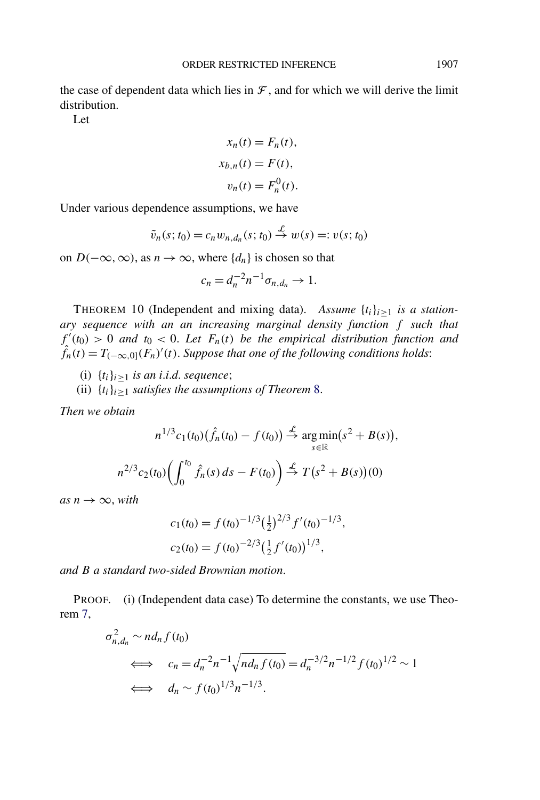<span id="page-33-0"></span>the case of dependent data which lies in  $\mathcal F$ , and for which we will derive the limit distribution.

Let

$$
x_n(t) = F_n(t),
$$
  
\n
$$
x_{b,n}(t) = F(t),
$$
  
\n
$$
v_n(t) = F_n^{0}(t).
$$

Under various dependence assumptions, we have

$$
\tilde{v}_n(s; t_0) = c_n w_{n,d_n}(s; t_0) \stackrel{\mathcal{L}}{\rightarrow} w(s) =: v(s; t_0)
$$

on *D*( $-\infty$ *,* ∞), as *n* → ∞, where {*d<sub>n</sub>*} is chosen so that

$$
c_n = d_n^{-2} n^{-1} \sigma_{n,d_n} \to 1.
$$

THEOREM 10 (Independent and mixing data). Assume  $\{t_i\}_{i\geq 1}$  is a station*ary sequence with an an increasing marginal density function f such that*  $f'(t_0) > 0$  *and*  $t_0 < 0$ . Let  $F_n(t)$  be the empirical distribution function and  $\hat{f}_n(t) = T_{(-\infty,0]}(F_n)'(t)$ . *Suppose that one of the following conditions holds*:

- (i)  $\{t_i\}_{i\geq 1}$  *is an i.i.d. sequence*;
- (ii)  $\{t_i\}_{i\geq 1}$  *satisfies the assumptions of Theorem [8.](#page-29-0)*

*Then we obtain*

$$
n^{1/3}c_1(t_0)\left(\hat{f}_n(t_0) - f(t_0)\right) \stackrel{\mathcal{L}}{\to} \argmin_{s \in \mathbb{R}} (s^2 + B(s)),
$$
  

$$
n^{2/3}c_2(t_0)\left(\int_0^{t_0} \hat{f}_n(s) ds - F(t_0)\right) \stackrel{\mathcal{L}}{\to} T(s^2 + B(s))(0)
$$

 $as n \rightarrow \infty$ , *with* 

$$
c_1(t_0) = f(t_0)^{-1/3} \left(\frac{1}{2}\right)^{2/3} f'(t_0)^{-1/3},
$$
  

$$
c_2(t_0) = f(t_0)^{-2/3} \left(\frac{1}{2} f'(t_0)\right)^{1/3},
$$

*and B a standard two-sided Brownian motion*.

PROOF. (i) (Independent data case) To determine the constants, we use Theorem [7,](#page-28-0)

$$
\sigma_{n,d_n}^2 \sim nd_n f(t_0)
$$
\n
$$
\iff c_n = d_n^{-2} n^{-1} \sqrt{n d_n f(t_0)} = d_n^{-3/2} n^{-1/2} f(t_0)^{1/2} \sim 1
$$
\n
$$
\iff d_n \sim f(t_0)^{1/3} n^{-1/3}.
$$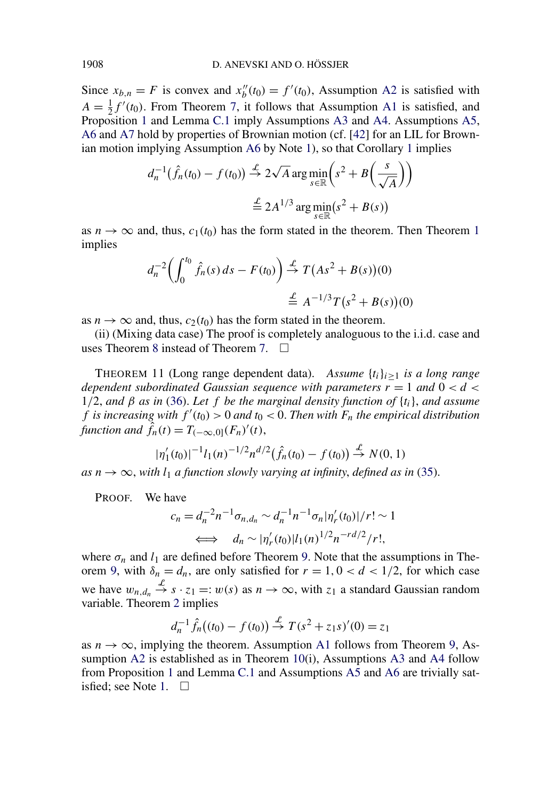Since  $x_{b,n} = F$  is convex and  $x''_b(t_0) = f'(t_0)$ , Assumption [A2](#page-6-0) is satisfied with  $A = \frac{1}{2} f'(t_0)$ . From Theorem [7,](#page-28-0) it follows that Assumption [A1](#page-5-0) is satisfied, and Proposition [1](#page-7-0) and Lemma [C.1](#page-52-0) imply Assumptions [A3](#page-6-0) and [A4.](#page-6-0) Assumptions [A5,](#page-7-0) [A6](#page-8-0) and [A7](#page-10-0) hold by properties of Brownian motion (cf. [\[42\]](#page-56-0) for an LIL for Brownian motion implying Assumption [A6](#page-8-0) by Note [1\)](#page-8-0), so that Corollary [1](#page-10-0) implies

$$
d_n^{-1}(\hat{f}_n(t_0) - f(t_0)) \stackrel{\mathcal{L}}{\rightarrow} 2\sqrt{A} \arg \min_{s \in \mathbb{R}} \left( s^2 + B\left(\frac{s}{\sqrt{A}}\right) \right)
$$

$$
\stackrel{\mathcal{L}}{\equiv} 2A^{1/3} \arg \min_{s \in \mathbb{R}} (s^2 + B(s))
$$

as  $n \to \infty$  and, thus,  $c_1(t_0)$  $c_1(t_0)$  $c_1(t_0)$  has the form stated in the theorem. Then Theorem 1 implies

$$
d_n^{-2} \left( \int_0^{t_0} \hat{f}_n(s) \, ds - F(t_0) \right) \stackrel{\mathcal{L}}{\to} T\left( As^2 + B(s)\right)(0)
$$
  

$$
\stackrel{\mathcal{L}}{\to} A^{-1/3} T\left(s^2 + B(s)\right)(0)
$$

as  $n \to \infty$  and, thus,  $c_2(t_0)$  has the form stated in the theorem.

(ii) (Mixing data case) The proof is completely analoguous to the i.i.d. case and uses Theorem [8](#page-29-0) instead of Theorem [7.](#page-28-0)  $\Box$ 

THEOREM 11 (Long range dependent data). *Assume*  $\{t_i\}_{i\geq 1}$  *is a long range dependent subordinated Gaussian sequence with parameters*  $r = 1$  *and*  $0 < d <$ 1*/*2, *and β as in* [\(36\)](#page-14-0). *Let f be the marginal density function of* {*ti*}, *and assume f* is increasing with  $f'(t_0) > 0$  and  $t_0 < 0$ . Then with  $F_n$  the empirical distribution *function and*  $\hat{f}_n(t) = T_{(-\infty,0]}(F_n)'(t)$ ,

$$
|\eta_1'(t_0)|^{-1}l_1(n)^{-1/2}n^{d/2}(\hat{f}_n(t_0) - f(t_0)) \stackrel{\mathcal{L}}{\to} N(0, 1)
$$

 $as n \rightarrow \infty$ , with  $l_1$  *a* function slowly varying at infinity, defined as in [\(35\)](#page-14-0).

PROOF. We have

$$
c_n = d_n^{-2} n^{-1} \sigma_{n,d_n} \sim d_n^{-1} n^{-1} \sigma_n |\eta'_r(t_0)|/r! \sim 1
$$
  

$$
\iff d_n \sim |\eta'_r(t_0)| l_1(n)^{1/2} n^{-rd/2}/r!,
$$

where  $\sigma_n$  and  $l_1$  are defined before Theorem [9.](#page-30-0) Note that the assumptions in The-orem [9,](#page-30-0) with  $\delta_n = d_n$ , are only satisfied for  $r = 1, 0 < d < 1/2$ , for which case we have  $w_{n,d_n} \stackrel{\mathcal{L}}{\rightarrow} s \cdot z_1 =: w(s)$  as  $n \rightarrow \infty$ , with  $z_1$  a standard Gaussian random variable. Theorem [2](#page-9-0) implies

$$
d_n^{-1}\hat{f}_n((t_0) - f(t_0)) \stackrel{\mathcal{L}}{\to} T(s^2 + z_1 s)'(0) = z_1
$$

as  $n \to \infty$ , implying the theorem. Assumption [A1](#page-5-0) follows from Theorem [9,](#page-30-0) As-sumption [A2](#page-6-0) is established as in Theorem [10\(](#page-33-0)i), Assumptions [A3](#page-6-0) and [A4](#page-6-0) follow from Proposition [1](#page-7-0) and Lemma [C.1](#page-52-0) and Assumptions [A5](#page-7-0) and [A6](#page-8-0) are trivially sat-isfied; see Note [1.](#page-8-0)  $\square$ 

<span id="page-34-0"></span>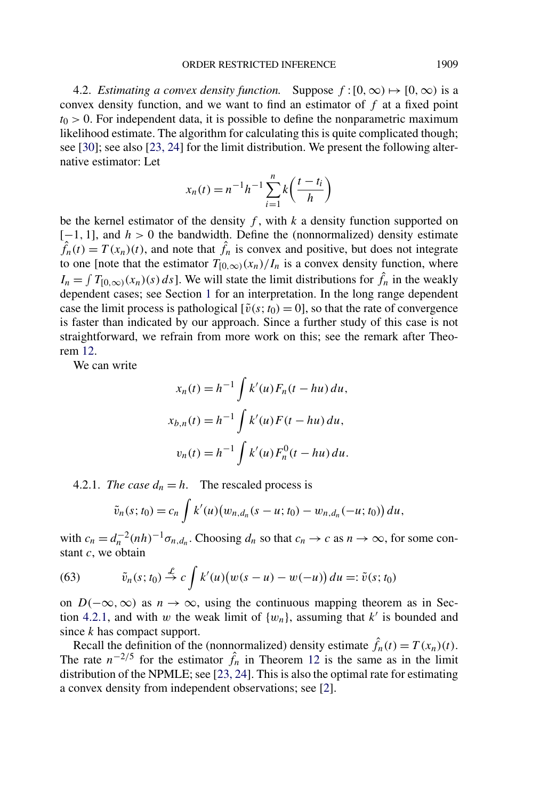<span id="page-35-0"></span>4.2. *Estimating a convex density function.* Suppose  $f:[0,\infty) \mapsto [0,\infty)$  is a convex density function, and we want to find an estimator of *f* at a fixed point  $t<sub>0</sub> > 0$ . For independent data, it is possible to define the nonparametric maximum likelihood estimate. The algorithm for calculating this is quite complicated though; see [\[30\]](#page-55-0); see also [\[23, 24\]](#page-55-0) for the limit distribution. We present the following alternative estimator: Let

$$
x_n(t) = n^{-1}h^{-1}\sum_{i=1}^n k\left(\frac{t - t_i}{h}\right)
$$

be the kernel estimator of the density *f* , with *k* a density function supported on [−1*,* 1], and *h >* 0 the bandwidth. Define the (nonnormalized) density estimate  $\hat{f}_n(t) = T(x_n)(t)$ , and note that  $\hat{f}_n$  is convex and positive, but does not integrate to one [note that the estimator  $T_{[0,\infty)}(x_n)/I_n$  is a convex density function, where  $I_n = \int T_{[0,\infty)}(x_n)(s) ds$ . We will state the limit distributions for  $\hat{f}_n$  in the weakly dependent cases; see Section [1](#page-0-0) for an interpretation. In the long range dependent case the limit process is pathological  $[\tilde{v}(s; t_0) = 0]$ , so that the rate of convergence is faster than indicated by our approach. Since a further study of this case is not straightforward, we refrain from more work on this; see the remark after Theorem [12.](#page-36-0)

We can write

$$
x_n(t) = h^{-1} \int k'(u) F_n(t - hu) du,
$$
  
\n
$$
x_{b,n}(t) = h^{-1} \int k'(u) F(t - hu) du,
$$
  
\n
$$
v_n(t) = h^{-1} \int k'(u) F_n^{0}(t - hu) du.
$$

4.2.1. *The case*  $d_n = h$ . The rescaled process is

$$
\tilde{v}_n(s;t_0) = c_n \int k'(u) (w_{n,d_n}(s-u;t_0) - w_{n,d_n}(-u;t_0)) du,
$$

with  $c_n = d_n^{-2}(nh)^{-1} \sigma_{n,d_n}$ . Choosing  $d_n$  so that  $c_n \to c$  as  $n \to \infty$ , for some constant *c*, we obtain

(63) 
$$
\tilde{v}_n(s;t_0) \stackrel{\mathcal{L}}{\rightarrow} c \int k'(u) (w(s-u) - w(-u)) du =: \tilde{v}(s;t_0)
$$

on  $D(-\infty, \infty)$  as  $n \to \infty$ , using the continuous mapping theorem as in Section 4.2.1, and with *w* the weak limit of  $\{w_n\}$ , assuming that *k'* is bounded and since *k* has compact support.

Recall the definition of the (nonnormalized) density estimate  $\hat{f}_n(t) = T(x_n)(t)$ . The rate  $n^{-2/5}$  for the estimator  $\hat{f}_n$  in Theorem [12](#page-36-0) is the same as in the limit distribution of the NPMLE; see [\[23, 24\]](#page-55-0). This is also the optimal rate for estimating a convex density from independent observations; see [\[2\]](#page-54-0).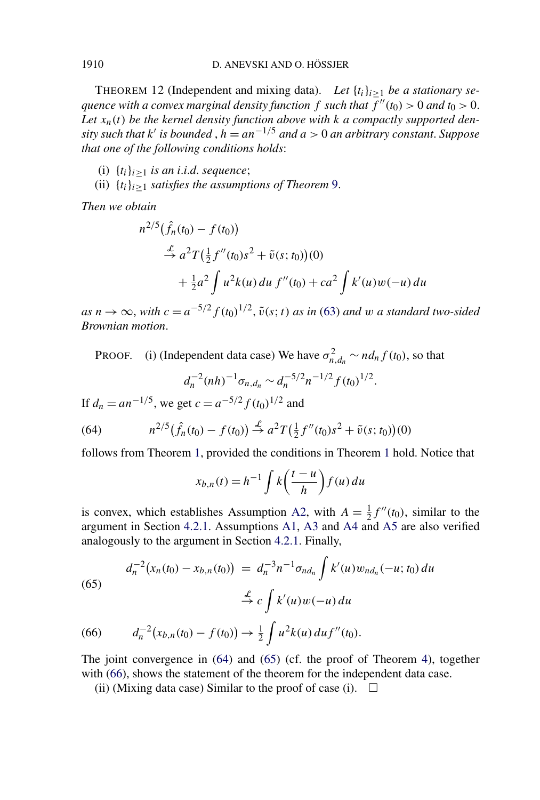THEOREM 12 (Independent and mixing data). Let  $\{t_i\}_{i\geq 1}$  be a stationary se*quence with a convex marginal density function*  $f$  *such that*  $f''(t_0) > 0$  *and*  $t_0 > 0$ . Let  $x_n(t)$  be the kernel density function above with k a compactly supported den*sity such that*  $k'$  *is bounded*,  $h = an^{-1/5}$  *and*  $a > 0$  *an arbitrary constant. Suppose that one of the following conditions holds*:

- (i)  $\{t_i\}_{i\geq 1}$  *is an i.i.d. sequence*;
- (ii)  $\{t_i\}_{i\geq 1}$  *satisfies the assumptions of Theorem* [9.](#page-30-0)

*Then we obtain*

$$
n^{2/5}(\hat{f}_n(t_0) - f(t_0))
$$
  
\n
$$
\stackrel{\mathcal{L}}{\rightarrow} a^2 T(\frac{1}{2}f''(t_0)s^2 + \tilde{v}(s; t_0))(0)
$$
  
\n
$$
+ \frac{1}{2}a^2 \int u^2 k(u) du f''(t_0) + ca^2 \int k'(u)w(-u) du
$$

 $as n \rightarrow \infty$ , with  $c = a^{-5/2} f(t_0)^{1/2}$ ,  $\tilde{v}(s; t)$  *as in* [\(63\)](#page-35-0) *and w a standard two-sided Brownian motion*.

PROOF. (i) (Independent data case) We have  $\sigma_{n,d_n}^2 \sim nd_n f(t_0)$ , so that

$$
d_n^{-2}(nh)^{-1}\sigma_{n,d_n} \sim d_n^{-5/2}n^{-1/2}f(t_0)^{1/2}.
$$

If  $d_n = a n^{-1/5}$ , we get  $c = a^{-5/2} f(t_0)^{1/2}$  and

(64) 
$$
n^{2/5}(\hat{f}_n(t_0) - f(t_0)) \stackrel{\mathcal{L}}{\rightarrow} a^2 T(\frac{1}{2}f''(t_0)s^2 + \tilde{v}(s;t_0))(0)
$$

follows from Theorem [1,](#page-7-0) provided the conditions in Theorem [1](#page-7-0) hold. Notice that

$$
x_{b,n}(t) = h^{-1} \int k\left(\frac{t-u}{h}\right) f(u) \, du
$$

is convex, which establishes Assumption [A2,](#page-6-0) with  $A = \frac{1}{2} f''(t_0)$ , similar to the argument in Section [4.2.1.](#page-35-0) Assumptions [A1,](#page-5-0) [A3](#page-6-0) and [A4](#page-6-0) and [A5](#page-7-0) are also verified analogously to the argument in Section [4.2.1.](#page-35-0) Finally,

(65)  

$$
d_n^{-2}(x_n(t_0) - x_{b,n}(t_0)) = d_n^{-3}n^{-1}\sigma_{nd_n} \int k'(u)w_{nd_n}(-u; t_0) du
$$

$$
\stackrel{\mathcal{L}}{\to} c \int k'(u)w(-u) du
$$

(66) 
$$
d_n^{-2}(x_{b,n}(t_0)-f(t_0))\to \frac{1}{2}\int u^2k(u)\,du f''(t_0).
$$

The joint convergence in (64) and (65) (cf. the proof of Theorem [4\)](#page-20-0), together with (66), shows the statement of the theorem for the independent data case.

(ii) (Mixing data case) Similar to the proof of case (i).  $\Box$ 

<span id="page-36-0"></span>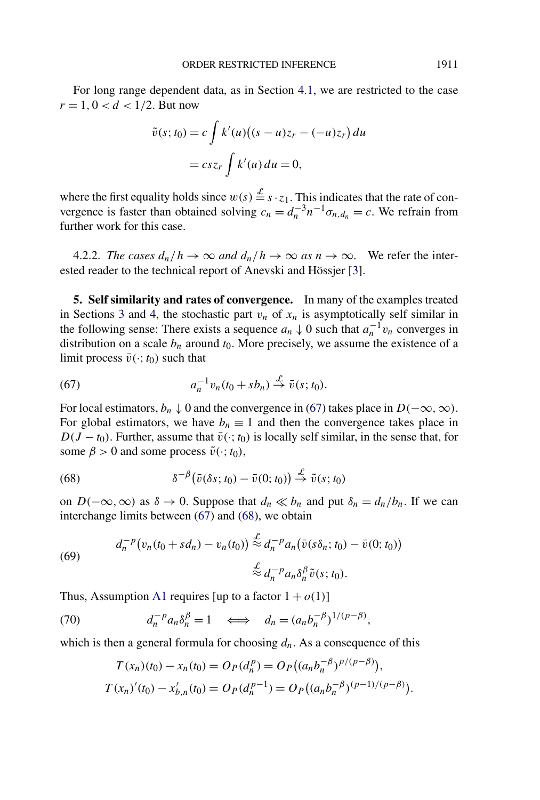<span id="page-37-0"></span>For long range dependent data, as in Section [4.1,](#page-32-0) we are restricted to the case  $r = 1, 0 < d < 1/2$ . But now

$$
\tilde{v}(s; t_0) = c \int k'(u)((s - u)z_r - (-u)z_r) du
$$

$$
= csz_r \int k'(u) du = 0,
$$

where the first equality holds since  $w(s) \stackrel{\mathcal{L}}{=} s \cdot z_1$ . This indicates that the rate of convergence is faster than obtained solving  $c_n = d_n^{-3} n^{-1} \sigma_{n,d_n} = c$ . We refrain from further work for this case.

4.2.2. *The cases*  $d_n/h \to \infty$  *and*  $d_n/h \to \infty$  *as*  $n \to \infty$ . We refer the interested reader to the technical report of Anevski and Hössjer [\[3\]](#page-54-0).

**5. Self similarity and rates of convergence.** In many of the examples treated in Sections [3](#page-11-0) and [4,](#page-27-0) the stochastic part  $v_n$  of  $x_n$  is asymptotically self similar in the following sense: There exists a sequence  $a_n \downarrow 0$  such that  $a_n^{-1} v_n$  converges in distribution on a scale  $b_n$  around  $t_0$ . More precisely, we assume the existence of a limit process  $\bar{v}(\cdot; t_0)$  such that

(67) 
$$
a_n^{-1}v_n(t_0 + sb_n) \stackrel{\mathcal{L}}{\rightarrow} \bar{v}(s; t_0).
$$

For local estimators,  $b_n \downarrow 0$  and the convergence in (67) takes place in  $D(-\infty, \infty)$ . For global estimators, we have  $b_n \equiv 1$  and then the convergence takes place in  $D(J - t_0)$ . Further, assume that  $\bar{v}(\cdot; t_0)$  is locally self similar, in the sense that, for some  $\beta > 0$  and some process  $\tilde{v}(\cdot; t_0)$ ,

(68) 
$$
\delta^{-\beta}(\bar{v}(\delta s; t_0) - \bar{v}(0; t_0)) \stackrel{\mathcal{L}}{\rightarrow} \tilde{v}(s; t_0)
$$

on  $D(-\infty, \infty)$  as  $\delta \to 0$ . Suppose that  $d_n \ll b_n$  and put  $\delta_n = d_n/b_n$ . If we can interchange limits between (67) and (68), we obtain

(69) 
$$
d_n^{-p}(v_n(t_0 + sd_n) - v_n(t_0)) \stackrel{\mathcal{L}}{\approx} d_n^{-p} a_n(\bar{v}(s\delta_n; t_0) - \bar{v}(0; t_0))
$$

$$
\stackrel{\mathcal{L}}{\approx} d_n^{-p} a_n \delta_n^{\beta} \tilde{v}(s; t_0).
$$

Thus, Assumption [A1](#page-5-0) requires [up to a factor  $1 + o(1)$ ]

 $d_n^{-p} a_n \delta_n^{\beta} = 1 \iff d_n = (a_n b_n^{-\beta})^{1/(p-\beta)},$ 

which is then a general formula for choosing  $d_n$ . As a consequence of this

$$
T(x_n)(t_0) - x_n(t_0) = O_P(d_n^p) = O_P((a_n b_n^{-\beta})^{p/(p-\beta)}),
$$
  
\n
$$
T(x_n)'(t_0) - x'_{b,n}(t_0) = O_P(d_n^{p-1}) = O_P((a_n b_n^{-\beta})^{(p-1)/(p-\beta)}).
$$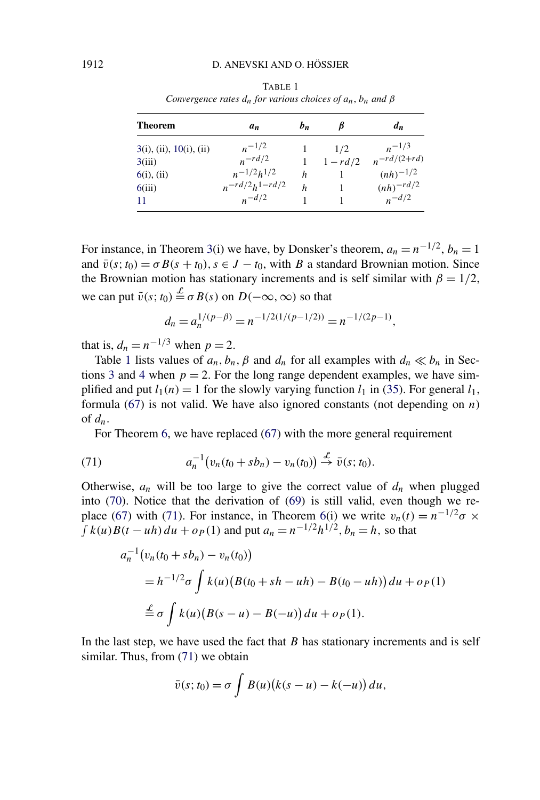| <b>Theorem</b>          | аn                    | $b_n$ |            | $d_n$          |
|-------------------------|-----------------------|-------|------------|----------------|
| 3(i), (ii), 10(i), (ii) | $n^{-1/2}$            |       | 1/2        | $n^{-1/3}$     |
| 3(iii)                  | $n-rd/2$              |       | $1 - rd/2$ | $n-rd/(2+r d)$ |
| $6(i)$ , (ii)           | $n^{-1/2}h^{1/2}$     | h     |            | $(nh)^{-1/2}$  |
| 6(iii)                  | $n^{-rd/2}h^{1-rd/2}$ | h     |            | $(nh)^{-rd/2}$ |
| 11                      | $n-d/2$               |       |            | $n^{-d/2}$     |

TABLE 1 *Convergence rates*  $d_n$  *for various choices of*  $a_n$ *,*  $b_n$  *and*  $\beta$ 

For instance, in Theorem [3\(](#page-15-0)i) we have, by Donsker's theorem,  $a_n = n^{-1/2}$ ,  $b_n = 1$ and  $\bar{v}(s; t_0) = \sigma B(s + t_0)$ ,  $s \in J - t_0$ , with *B* a standard Brownian motion. Since the Brownian motion has stationary increments and is self similar with  $\beta = 1/2$ , we can put  $\tilde{v}(s; t_0) \stackrel{\mathcal{L}}{=} \sigma B(s)$  on  $D(-\infty, \infty)$  so that

$$
d_n = a_n^{1/(p-\beta)} = n^{-1/2(1/(p-1/2))} = n^{-1/(2p-1)},
$$

that is,  $d_n = n^{-1/3}$  when  $p = 2$ .

Table 1 lists values of  $a_n$ ,  $b_n$ ,  $\beta$  and  $d_n$  for all examples with  $d_n \ll b_n$  in Sec-tions [3](#page-11-0) and [4](#page-27-0) when  $p = 2$ . For the long range dependent examples, we have simplified and put  $l_1(n) = 1$  for the slowly varying function  $l_1$  in [\(35\)](#page-14-0). For general  $l_1$ , formula [\(67\)](#page-37-0) is not valid. We have also ignored constants (not depending on *n*) of *dn*.

For Theorem [6,](#page-26-0) we have replaced [\(67\)](#page-37-0) with the more general requirement

(71) 
$$
a_n^{-1}(v_n(t_0 + sb_n) - v_n(t_0)) \stackrel{\mathcal{L}}{\to} \bar{v}(s; t_0).
$$

Otherwise,  $a_n$  will be too large to give the correct value of  $d_n$  when plugged into [\(70\)](#page-37-0). Notice that the derivation of *(*[69](#page-37-0)*)* is still valid, even though we re-place [\(67\)](#page-37-0) with (71). For instance, in Theorem [6\(](#page-26-0)i) we write  $v_n(t) = n^{-1/2}\sigma \times$ *f k*(*u*)*B*(*t* − *uh*)*du* + *o*<sub>*P*</sub>(1) and put  $a_n = n^{-1/2}h^{1/2}$ ,  $b_n = h$ , so that

$$
a_n^{-1}(v_n(t_0 + sb_n) - v_n(t_0))
$$
  
=  $h^{-1/2}\sigma \int k(u)(B(t_0 + sh - uh) - B(t_0 - uh)) du + o_P(1)$   

$$
\stackrel{\mathcal{L}}{=} \sigma \int k(u)(B(s - u) - B(-u)) du + o_P(1).
$$

In the last step, we have used the fact that *B* has stationary increments and is self similar. Thus, from (71) we obtain

$$
\bar{v}(s;t_0) = \sigma \int B(u)(k(s-u) - k(-u)) du,
$$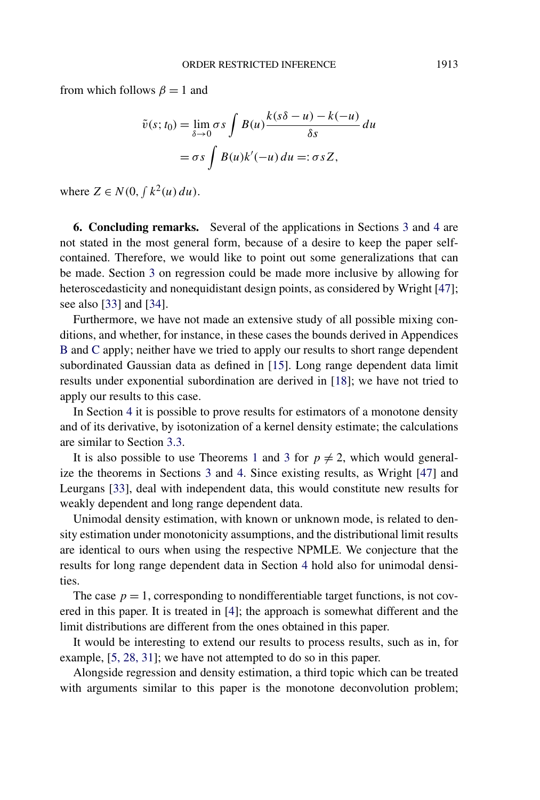<span id="page-39-0"></span>from which follows  $\beta = 1$  and

$$
\tilde{v}(s; t_0) = \lim_{\delta \to 0} \sigma s \int B(u) \frac{k(s\delta - u) - k(-u)}{\delta s} du
$$

$$
= \sigma s \int B(u)k'(-u) du =: \sigma s Z,
$$

where  $Z \in N(0, \int k^2(u) du)$ .

**6. Concluding remarks.** Several of the applications in Sections [3](#page-11-0) and [4](#page-27-0) are not stated in the most general form, because of a desire to keep the paper selfcontained. Therefore, we would like to point out some generalizations that can be made. Section [3](#page-11-0) on regression could be made more inclusive by allowing for heteroscedasticity and nonequidistant design points, as considered by Wright [\[47\]](#page-56-0); see also [\[33\]](#page-56-0) and [\[34\]](#page-56-0).

Furthermore, we have not made an extensive study of all possible mixing conditions, and whether, for instance, in these cases the bounds derived in Appendices [B](#page-46-0) and [C](#page-52-0) apply; neither have we tried to apply our results to short range dependent subordinated Gaussian data as defined in [\[15\]](#page-55-0). Long range dependent data limit results under exponential subordination are derived in [\[18\]](#page-55-0); we have not tried to apply our results to this case.

In Section [4](#page-27-0) it is possible to prove results for estimators of a monotone density and of its derivative, by isotonization of a kernel density estimate; the calculations are similar to Section [3.3.](#page-22-0)

It is also possible to use Theorems [1](#page-7-0) and [3](#page-15-0) for  $p \neq 2$ , which would generalize the theorems in Sections [3](#page-11-0) and [4.](#page-27-0) Since existing results, as Wright [\[47\]](#page-56-0) and Leurgans [\[33\]](#page-56-0), deal with independent data, this would constitute new results for weakly dependent and long range dependent data.

Unimodal density estimation, with known or unknown mode, is related to density estimation under monotonicity assumptions, and the distributional limit results are identical to ours when using the respective NPMLE. We conjecture that the results for long range dependent data in Section [4](#page-27-0) hold also for unimodal densities.

The case  $p = 1$ , corresponding to nondifferentiable target functions, is not covered in this paper. It is treated in [\[4\]](#page-54-0); the approach is somewhat different and the limit distributions are different from the ones obtained in this paper.

It would be interesting to extend our results to process results, such as in, for example, [\[5, 28, 31\]](#page-54-0); we have not attempted to do so in this paper.

Alongside regression and density estimation, a third topic which can be treated with arguments similar to this paper is the monotone deconvolution problem;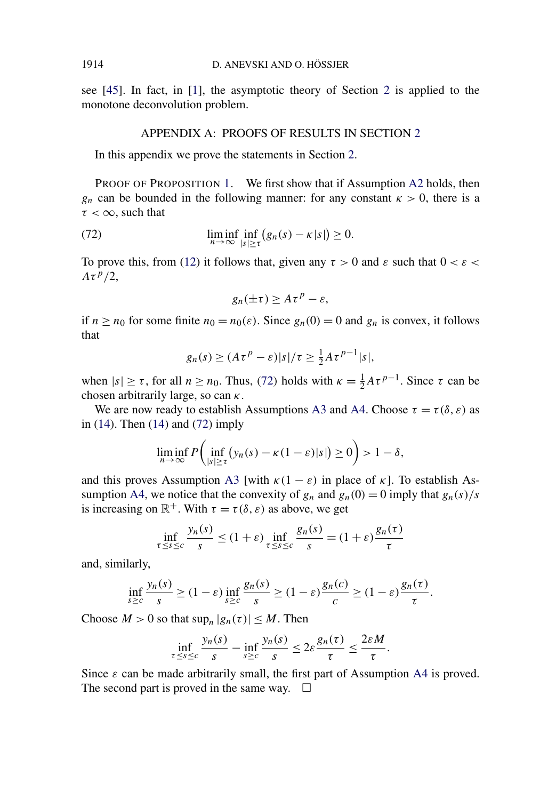<span id="page-40-0"></span>see [\[45\]](#page-56-0). In fact, in [\[1\]](#page-54-0), the asymptotic theory of Section [2](#page-4-0) is applied to the monotone deconvolution problem.

## APPENDIX A: PROOFS OF RESULTS IN SECTION [2](#page-4-0)

In this appendix we prove the statements in Section [2.](#page-4-0)

PROOF OF PROPOSITION [1.](#page-7-0) We first show that if Assumption [A2](#page-6-0) holds, then *g<sub>n</sub>* can be bounded in the following manner: for any constant  $\kappa > 0$ , there is a *τ <* ∞, such that

(72) 
$$
\liminf_{n \to \infty} \inf_{|s| \ge \tau} (g_n(s) - \kappa |s|) \ge 0.
$$

To prove this, from [\(12\)](#page-6-0) it follows that, given any  $\tau > 0$  and  $\varepsilon$  such that  $0 < \varepsilon < \varepsilon$ *Aτ p/*2,

$$
g_n(\pm \tau) \ge A \tau^p - \varepsilon,
$$

if  $n \ge n_0$  for some finite  $n_0 = n_0(\varepsilon)$ . Since  $g_n(0) = 0$  and  $g_n$  is convex, it follows that

$$
g_n(s) \ge (A\tau^p - \varepsilon)|s|/\tau \ge \frac{1}{2}A\tau^{p-1}|s|,
$$

when  $|s| \ge \tau$ , for all  $n \ge n_0$ . Thus, (72) holds with  $\kappa = \frac{1}{2} A \tau^{p-1}$ . Since  $\tau$  can be chosen arbitrarily large, so can *κ*.

We are now ready to establish Assumptions [A3](#page-6-0) and [A4.](#page-6-0) Choose  $\tau = \tau(\delta, \varepsilon)$  as in [\(14\)](#page-7-0). Then [\(14\)](#page-7-0) and (72) imply

$$
\liminf_{n\to\infty} P\left(\inf_{|s|\geq\tau} (y_n(s)-\kappa(1-\varepsilon)|s|)\geq 0\right)>1-\delta,
$$

and this proves Assumption [A3](#page-6-0) [with  $\kappa(1 - \varepsilon)$  in place of  $\kappa$ ]. To establish As-sumption [A4,](#page-6-0) we notice that the convexity of  $g_n$  and  $g_n(0) = 0$  imply that  $g_n(s)/s$ is increasing on  $\mathbb{R}^+$ . With  $\tau = \tau(\delta, \varepsilon)$  as above, we get

$$
\inf_{\tau \le s \le c} \frac{y_n(s)}{s} \le (1+\varepsilon) \inf_{\tau \le s \le c} \frac{g_n(s)}{s} = (1+\varepsilon) \frac{g_n(\tau)}{\tau}
$$

and, similarly,

$$
\inf_{s\geq c}\frac{y_n(s)}{s}\geq (1-\varepsilon)\inf_{s\geq c}\frac{g_n(s)}{s}\geq (1-\varepsilon)\frac{g_n(c)}{c}\geq (1-\varepsilon)\frac{g_n(\tau)}{\tau}.
$$

Choose  $M > 0$  so that  $\sup_n |g_n(\tau)| \leq M$ . Then

$$
\inf_{\tau \leq s \leq c} \frac{y_n(s)}{s} - \inf_{s \geq c} \frac{y_n(s)}{s} \leq 2\varepsilon \frac{g_n(\tau)}{\tau} \leq \frac{2\varepsilon M}{\tau}.
$$

Since  $\varepsilon$  can be made arbitrarily small, the first part of Assumption [A4](#page-6-0) is proved. The second part is proved in the same way.  $\square$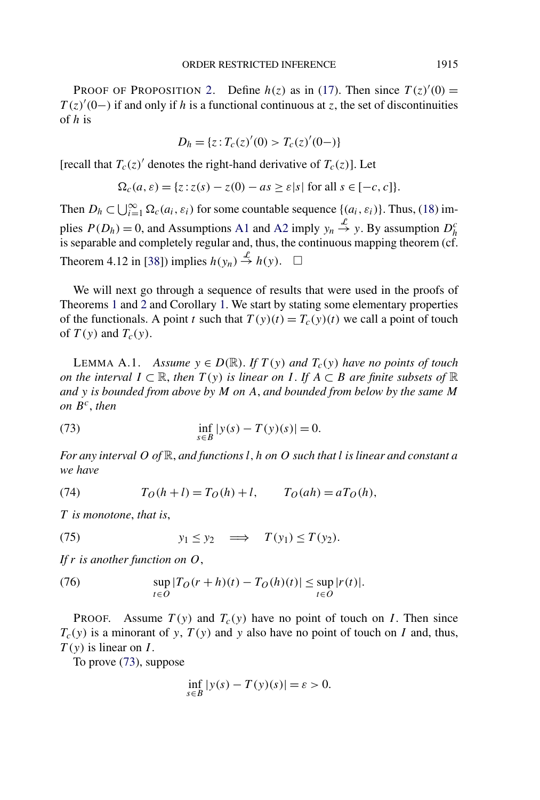<span id="page-41-0"></span>PROOF OF PROPOSITION [2.](#page-8-0) Define  $h(z)$  as in [\(17\)](#page-8-0). Then since  $T(z)'(0) =$  $T(z)'(0-)$  if and only if *h* is a functional continuous at *z*, the set of discontinuities of *h* is

$$
D_h = \{ z : T_c(z)'(0) > T_c(z)'(0-) \}
$$

[recall that  $T_c(z)$ <sup>*'*</sup> denotes the right-hand derivative of  $T_c(z)$ ]. Let

$$
\Omega_c(a,\varepsilon) = \{ z : z(s) - z(0) - as \ge \varepsilon |s| \text{ for all } s \in [-c,c] \}.
$$

Then  $D_h \subset \bigcup_{i=1}^{\infty} \Omega_c(a_i, \varepsilon_i)$  for some countable sequence  $\{(a_i, \varepsilon_i)\}\)$ . Thus, [\(18\)](#page-8-0) implies  $P(D_h) = 0$ , and Assumptions [A1](#page-5-0) and [A2](#page-6-0) imply  $y_n \stackrel{\mathcal{L}}{\rightarrow} y$ . By assumption  $D_h^c$ is separable and completely regular and, thus, the continuous mapping theorem (cf. Theorem 4.12 in [\[38\]](#page-56-0)) implies  $h(y_n) \stackrel{\mathcal{L}}{\rightarrow} h(y)$ .  $\Box$ 

We will next go through a sequence of results that were used in the proofs of Theorems [1](#page-7-0) and [2](#page-9-0) and Corollary [1.](#page-10-0) We start by stating some elementary properties of the functionals. A point *t* such that  $T(y)(t) = T_c(y)(t)$  we call a point of touch of  $T(y)$  and  $T_c(y)$ .

LEMMA A.1. *Assume*  $y \in D(\mathbb{R})$ . If  $T(y)$  and  $T_c(y)$  have no points of touch *on the interval*  $I ⊂ ℝ$ , *then*  $T(y)$  *is linear on*  $I$ . If  $A ⊂ B$  *are finite subsets of* ℝ *and y is bounded from above by M on A*, *and bounded from below by the same M on Bc*, *then*

(73) 
$$
\inf_{s \in B} |y(s) - T(y)(s)| = 0.
$$

*For any interval O of* R, *and functions l,h on O such that l is linear and constant a we have*

(74) 
$$
T_O(h+l) = T_O(h) + l
$$
,  $T_O(ah) = aT_O(h)$ ,

*T is monotone*, *that is*,

(75) 
$$
y_1 \le y_2 \implies T(y_1) \le T(y_2)
$$
.

*If r is another function on O*,

(76) 
$$
\sup_{t \in O} |T_O(r+h)(t) - T_O(h)(t)| \le \sup_{t \in O} |r(t)|.
$$

**PROOF.** Assume  $T(y)$  and  $T_c(y)$  have no point of touch on *I*. Then since  $T_c(y)$  is a minorant of *y*,  $T(y)$  and *y* also have no point of touch on *I* and, thus, *T (y)* is linear on *I* .

To prove (73), suppose

$$
\inf_{s \in B} |y(s) - T(y)(s)| = \varepsilon > 0.
$$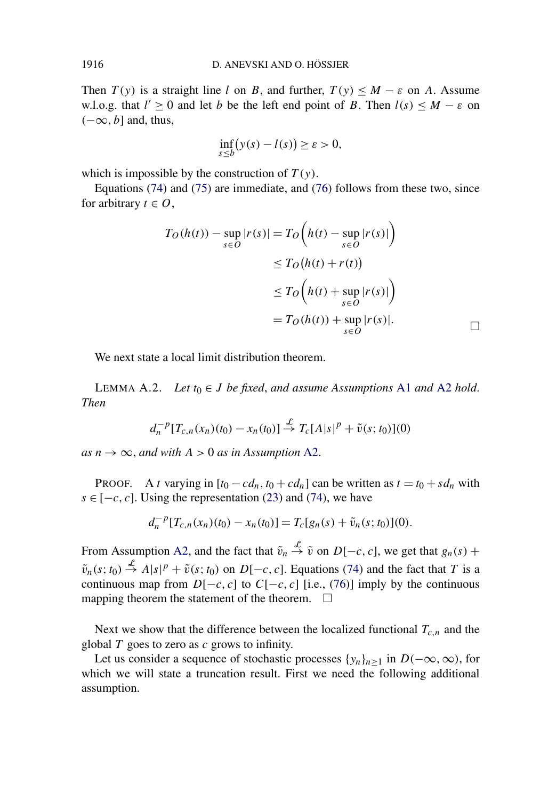<span id="page-42-0"></span>Then  $T(y)$  is a straight line *l* on *B*, and further,  $T(y) \leq M - \varepsilon$  on *A*. Assume w.l.o.g. that  $l' \geq 0$  and let *b* be the left end point of *B*. Then  $l(s) \leq M - \varepsilon$  on *(*−∞*, b*] and, thus,

$$
\inf_{s\leq b}\bigl(y(s)-l(s)\bigr)\geq \varepsilon>0,
$$

which is impossible by the construction of  $T(y)$ .

Equations [\(74\)](#page-41-0) and [\(75\)](#page-41-0) are immediate, and [\(76\)](#page-41-0) follows from these two, since for arbitrary  $t \in O$ ,

$$
T_O(h(t)) - \sup_{s \in O} |r(s)| = T_O\left(h(t) - \sup_{s \in O} |r(s)|\right)
$$
  
\n
$$
\leq T_O\left(h(t) + r(t)\right)
$$
  
\n
$$
\leq T_O\left(h(t) + \sup_{s \in O} |r(s)|\right)
$$
  
\n
$$
= T_O(h(t)) + \sup_{s \in O} |r(s)|.
$$

We next state a local limit distribution theorem.

LEMMA A.2. *Let*  $t_0$  ∈ *J be* fixed, and assume Assumptions [A1](#page-5-0) and [A2](#page-6-0) hold. *Then*

$$
d_n^{-p}[T_{c,n}(x_n)(t_0) - x_n(t_0)] \stackrel{\mathcal{L}}{\to} T_c[A|s|^p + \tilde{v}(s;t_0)](0)
$$

 $as n \rightarrow \infty$ , and with  $A > 0$  as in Assumption [A2.](#page-6-0)

PROOF. A *t* varying in  $[t_0 - cd_n, t_0 + cd_n]$  can be written as  $t = t_0 + sd_n$  with  $s \in [-c, c]$ . Using the representation [\(23\)](#page-9-0) and [\(74\)](#page-41-0), we have

$$
d_n^{-p}[T_{c,n}(x_n)(t_0)-x_n(t_0)]=T_c[g_n(s)+\tilde{v}_n(s;t_0)](0).
$$

From Assumption [A2,](#page-6-0) and the fact that  $\tilde{v}_n \stackrel{\mathcal{L}}{\rightarrow} \tilde{v}$  on  $D[-c, c]$ , we get that  $g_n(s)$  +  $\tilde{v}_n(s; t_0) \stackrel{\mathcal{L}}{\rightarrow} A|s|^p + \tilde{v}(s; t_0)$  on  $D[-c, c]$ . Equations [\(74\)](#page-41-0) and the fact that *T* is a continuous map from  $D[-c, c]$  to  $C[-c, c]$  [i.e., [\(76\)](#page-41-0)] imply by the continuous mapping theorem the statement of the theorem.  $\Box$ 

Next we show that the difference between the localized functional  $T_{c,n}$  and the global *T* goes to zero as *c* grows to infinity.

Let us consider a sequence of stochastic processes  $\{y_n\}_{n>1}$  in  $D(-\infty, \infty)$ , for which we will state a truncation result. First we need the following additional assumption.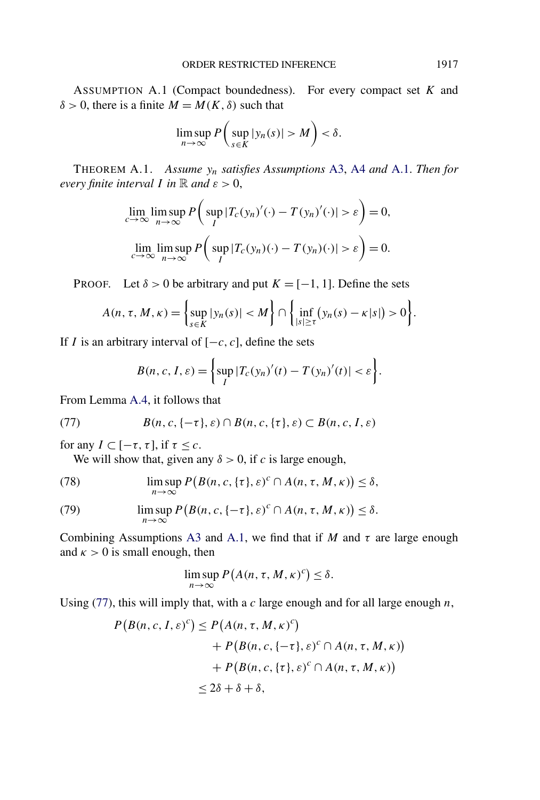<span id="page-43-0"></span>ASSUMPTION A.1 (Compact boundedness). For every compact set *K* and  $δ > 0$ , there is a finite  $M = M(K, δ)$  such that

$$
\limsup_{n\to\infty} P\bigg(\sup_{s\in K} |y_n(s)| > M\bigg) < \delta.
$$

THEOREM A.1. *Assume yn satisfies Assumptions* [A3,](#page-6-0) [A4](#page-6-0) *and* A.1. *Then for every finite interval I in*  $\mathbb{R}$  *and*  $\varepsilon > 0$ ,

$$
\lim_{c \to \infty} \limsup_{n \to \infty} P\left(\sup_{I} |T_c(y_n)'(\cdot) - T(y_n)'(\cdot)| > \varepsilon\right) = 0,
$$
  

$$
\lim_{c \to \infty} \limsup_{n \to \infty} P\left(\sup_{I} |T_c(y_n)(\cdot) - T(y_n)(\cdot)| > \varepsilon\right) = 0.
$$

PROOF. Let  $\delta > 0$  be arbitrary and put  $K = [-1, 1]$ . Define the sets

$$
A(n, \tau, M, \kappa) = \left\{ \sup_{s \in K} |y_n(s)| < M \right\} \cap \left\{ \inf_{|s| \geq \tau} \left( y_n(s) - \kappa |s| \right) > 0 \right\}.
$$

If *I* is an arbitrary interval of [−*c, c*], define the sets

$$
B(n, c, I, \varepsilon) = \left\{ \sup_{I} |T_c(y_n)'(t) - T(y_n)'(t)| < \varepsilon \right\}.
$$

From Lemma [A.4,](#page-46-0) it follows that

(77) 
$$
B(n, c, \{-\tau\}, \varepsilon) \cap B(n, c, \{\tau\}, \varepsilon) \subset B(n, c, I, \varepsilon)
$$

for any  $I \subset [-\tau, \tau]$ , if  $\tau \leq c$ .

We will show that, given any  $\delta > 0$ , if *c* is large enough,

(78) 
$$
\limsup_{n\to\infty} P(B(n,c,\{\tau\},\varepsilon)^c \cap A(n,\tau,M,\kappa)) \leq \delta,
$$

(79) 
$$
\limsup_{n\to\infty} P(B(n,c,\{-\tau\},\varepsilon)^c \cap A(n,\tau,M,\kappa)) \leq \delta.
$$

Combining Assumptions [A3](#page-6-0) and A.1, we find that if *M* and  $\tau$  are large enough and  $\kappa > 0$  is small enough, then

$$
\limsup_{n\to\infty} P(A(n,\tau,M,\kappa)^c) \leq \delta.
$$

Using (77), this will imply that, with a *c* large enough and for all large enough *n*,

$$
P(B(n, c, I, \varepsilon)^c) \le P(A(n, \tau, M, \kappa)^c)
$$
  
+  $P(B(n, c, \{-\tau\}, \varepsilon)^c \cap A(n, \tau, M, \kappa))$   
+  $P(B(n, c, \{\tau\}, \varepsilon)^c \cap A(n, \tau, M, \kappa))$   
 $\le 2\delta + \delta + \delta,$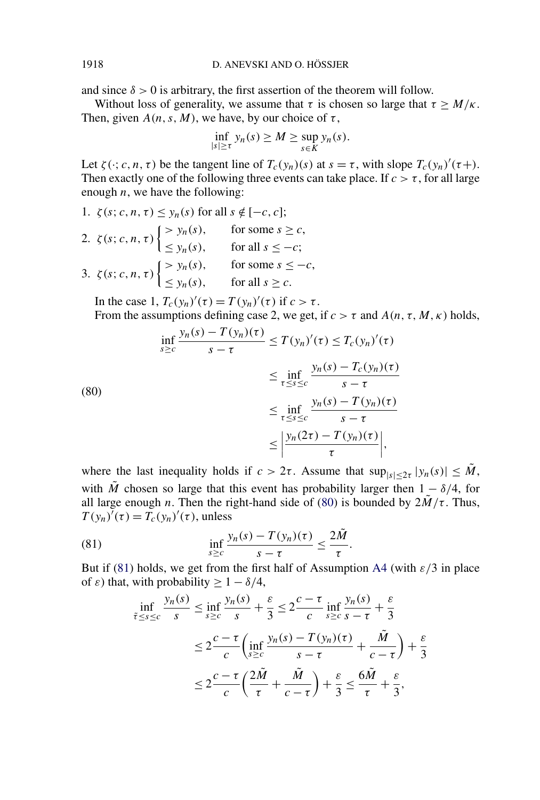and since  $\delta > 0$  is arbitrary, the first assertion of the theorem will follow.

Without loss of generality, we assume that  $\tau$  is chosen so large that  $\tau \geq M/\kappa$ . Then, given  $A(n, s, M)$ , we have, by our choice of  $\tau$ ,

$$
\inf_{|s|\geq \tau} y_n(s) \geq M \geq \sup_{s\in K} y_n(s).
$$

Let  $\zeta(\cdot; c, n, \tau)$  be the tangent line of  $T_c(y_n)(s)$  at  $s = \tau$ , with slope  $T_c(y_n)'(\tau+)$ . Then exactly one of the following three events can take place. If  $c > \tau$ , for all large enough *n*, we have the following:

\n- 1. 
$$
\zeta(s; c, n, \tau) \leq y_n(s)
$$
 for all  $s \notin [-c, c]$ ;
\n- 2.  $\zeta(s; c, n, \tau) \begin{cases} > y_n(s), & \text{for some } s \geq c, \\ \leq y_n(s), & \text{for all } s \leq -c; \end{cases}$
\n- 3.  $\zeta(s; c, n, \tau) \begin{cases} > y_n(s), & \text{for some } s \leq -c, \\ \leq y_n(s), & \text{for all } s \geq c. \end{cases}$
\n

In the case 1,  $T_c(y_n)'(\tau) = T(y_n)'(\tau)$  if  $c > \tau$ . From the assumptions defining case 2, we get, if  $c > \tau$  and  $A(n, \tau, M, \kappa)$  holds,

(80)  

$$
\inf_{s \ge c} \frac{y_n(s) - T(y_n)(\tau)}{s - \tau} \le T(y_n)'(\tau) \le T_c(y_n)'(\tau)
$$

$$
\le \inf_{\tau \le s \le c} \frac{y_n(s) - T_c(y_n)(\tau)}{s - \tau}
$$

$$
\le \inf_{\tau \le s \le c} \frac{y_n(s) - T(y_n)(\tau)}{s - \tau}
$$

$$
\le \left| \frac{y_n(2\tau) - T(y_n)(\tau)}{\tau} \right|,
$$

where the last inequality holds if  $c > 2\tau$ . Assume that  $\sup_{|s| < 2\tau} |y_n(s)| \leq \tilde{M}$ , with  $\tilde{M}$  chosen so large that this event has probability larger then  $1 - \delta/4$ , for all large enough *n*. Then the right-hand side of (80) is bounded by  $2\tilde{M}/\tau$ . Thus,  $T(y_n)'(\tau) = T_c(y_n)'(\tau)$ , unless

(81) 
$$
\inf_{s \geq c} \frac{y_n(s) - T(y_n)(\tau)}{s - \tau} \leq \frac{2\tilde{M}}{\tau}.
$$

But if (81) holds, we get from the first half of Assumption [A4](#page-6-0) (with  $\varepsilon/3$  in place of  $\varepsilon$ ) that, with probability >  $1 - \delta/4$ ,

$$
\inf_{\tilde{\tau} \le s \le c} \frac{y_n(s)}{s} \le \inf_{s \ge c} \frac{y_n(s)}{s} + \frac{\varepsilon}{3} \le 2 \frac{c - \tau}{c} \inf_{s \ge c} \frac{y_n(s)}{s - \tau} + \frac{\varepsilon}{3}
$$
\n
$$
\le 2 \frac{c - \tau}{c} \left( \inf_{s \ge c} \frac{y_n(s) - T(y_n)(\tau)}{s - \tau} + \frac{\tilde{M}}{c - \tau} \right) + \frac{\varepsilon}{3}
$$
\n
$$
\le 2 \frac{c - \tau}{c} \left( \frac{2\tilde{M}}{\tau} + \frac{\tilde{M}}{c - \tau} \right) + \frac{\varepsilon}{3} \le \frac{6\tilde{M}}{\tau} + \frac{\varepsilon}{3},
$$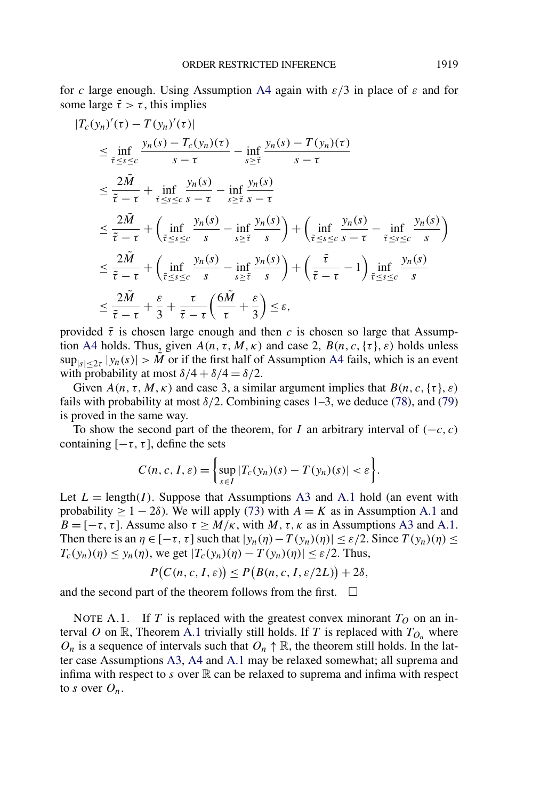<span id="page-45-0"></span>for *c* large enough. Using Assumption [A4](#page-6-0) again with *ε/*3 in place of *ε* and for some large  $\tilde{\tau} > \tau$ , this implies

$$
|T_c(y_n)'(\tau) - T(y_n)'(\tau)|
$$
  
\n
$$
\leq \inf_{\tilde{\tau} \leq s \leq c} \frac{y_n(s) - T_c(y_n)(\tau)}{s - \tau} - \inf_{s \geq \tilde{\tau}} \frac{y_n(s) - T(y_n)(\tau)}{s - \tau}
$$
  
\n
$$
\leq \frac{2\tilde{M}}{\tilde{\tau} - \tau} + \inf_{\tilde{\tau} \leq s \leq c} \frac{y_n(s)}{s - \tau} - \inf_{s \geq \tilde{\tau}} \frac{y_n(s)}{s - \tau}
$$
  
\n
$$
\leq \frac{2\tilde{M}}{\tilde{\tau} - \tau} + \left(\inf_{\tilde{\tau} \leq s \leq c} \frac{y_n(s)}{s} - \inf_{s \geq \tilde{\tau}} \frac{y_n(s)}{s}\right) + \left(\inf_{\tilde{\tau} \leq s \leq c} \frac{y_n(s)}{s - \tau} - \inf_{\tilde{\tau} \leq s \leq c} \frac{y_n(s)}{s}\right)
$$
  
\n
$$
\leq \frac{2\tilde{M}}{\tilde{\tau} - \tau} + \left(\inf_{\tilde{\tau} \leq s \leq c} \frac{y_n(s)}{s} - \inf_{s \geq \tilde{\tau}} \frac{y_n(s)}{s}\right) + \left(\frac{\tilde{\tau}}{\tilde{\tau} - \tau} - 1\right) \inf_{\tilde{\tau} \leq s \leq c} \frac{y_n(s)}{s}
$$
  
\n
$$
\leq \frac{2\tilde{M}}{\tilde{\tau} - \tau} + \frac{\varepsilon}{3} + \frac{\tau}{\tilde{\tau} - \tau} \left(\frac{6\tilde{M}}{\tau} + \frac{\varepsilon}{3}\right) \leq \varepsilon,
$$

provided  $\tilde{\tau}$  is chosen large enough and then *c* is chosen so large that Assump-tion [A4](#page-6-0) holds. Thus, given  $A(n, \tau, M, \kappa)$  and case 2,  $B(n, c, {\tau}, \varepsilon)$  holds unless  $\sup_{|s|<2\tau} |y_n(s)| > \tilde{M}$  or if the first half of Assumption [A4](#page-6-0) fails, which is an event with probability at most  $\delta/4 + \delta/4 = \delta/2$ .

Given  $A(n, \tau, M, \kappa)$  and case 3, a similar argument implies that  $B(n, c, {\tau}, \varepsilon)$ fails with probability at most  $\delta/2$ . Combining cases 1–3, we deduce [\(78\)](#page-43-0), and [\(79\)](#page-43-0) is proved in the same way.

To show the second part of the theorem, for *I* an arbitrary interval of  $(-c, c)$ containing  $[-\tau, \tau]$ , define the sets

$$
C(n, c, I, \varepsilon) = \left\{ \sup_{s \in I} |T_c(y_n)(s) - T(y_n)(s)| < \varepsilon \right\}.
$$

Let  $L = \text{length}(I)$ . Suppose that Assumptions [A3](#page-6-0) and [A.1](#page-43-0) hold (an event with probability  $\geq 1 - 2\delta$ ). We will apply [\(73\)](#page-41-0) with  $A = K$  as in Assumption [A.1](#page-43-0) and  $B = [-\tau, \tau]$ . Assume also  $\tau \geq M/\kappa$ , with *M*,  $\tau, \kappa$  as in Assumptions [A3](#page-6-0) and [A.1.](#page-43-0) Then there is an  $\eta \in [-\tau, \tau]$  such that  $|y_n(\eta) - T(y_n)(\eta)| \leq \varepsilon/2$ . Since  $T(y_n)(\eta) \leq$  $T_c(y_n)(\eta) \le y_n(\eta)$ , we get  $|T_c(y_n)(\eta) - T(y_n)(\eta)| \le \varepsilon/2$ . Thus,

$$
P(C(n, c, I, \varepsilon)) \le P(B(n, c, I, \varepsilon/2L)) + 2\delta,
$$

and the second part of the theorem follows from the first.  $\Box$ 

NOTE A.1. If *T* is replaced with the greatest convex minorant  $T<sub>O</sub>$  on an interval *O* on R, Theorem [A.1](#page-43-0) trivially still holds. If *T* is replaced with  $T_{O_n}$  where  $O_n$  is a sequence of intervals such that  $O_n \uparrow \mathbb{R}$ , the theorem still holds. In the latter case Assumptions [A3,](#page-6-0) [A4](#page-6-0) and [A.1](#page-43-0) may be relaxed somewhat; all suprema and infima with respect to  $s$  over  $\mathbb R$  can be relaxed to suprema and infima with respect to *s* over  $O_n$ .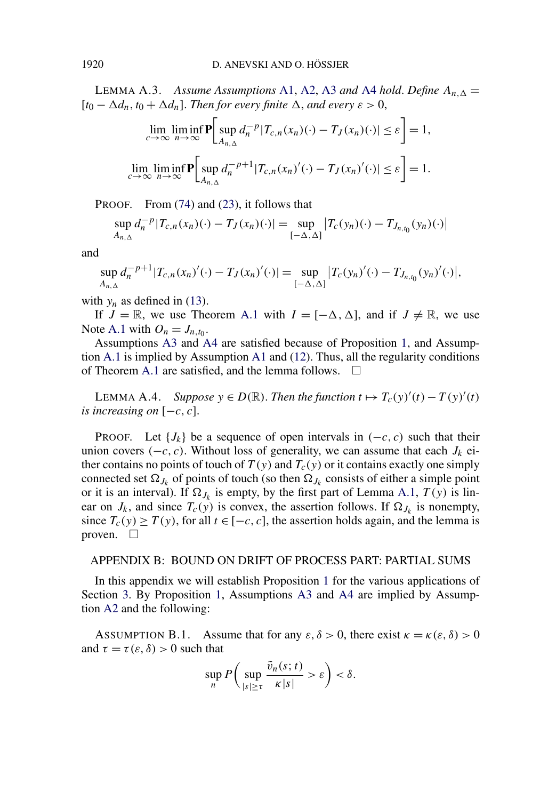<span id="page-46-0"></span>LEMMA A.3. *Assume Assumptions* [A1,](#page-5-0) [A2,](#page-6-0) [A3](#page-6-0) *and* [A4](#page-6-0) *hold*. *Define*  $A_{n,\Delta} =$  $[t_0 - \Delta d_n, t_0 + \Delta d_n]$ . *Then for every finite*  $\Delta$ , *and every*  $\varepsilon > 0$ ,

$$
\lim_{c \to \infty} \lim_{n \to \infty} \inf \mathbf{P} \bigg[ \sup_{A_{n,\Delta}} d_n^{-p} |T_{c,n}(x_n)(\cdot) - T_J(x_n)(\cdot)| \le \varepsilon \bigg] = 1,
$$
  

$$
\lim_{c \to \infty} \lim_{n \to \infty} \inf \mathbf{P} \bigg[ \sup_{A_{n,\Delta}} d_n^{-p+1} |T_{c,n}(x_n)'(\cdot) - T_J(x_n)'(\cdot)| \le \varepsilon \bigg] = 1.
$$

PROOF. From [\(74\)](#page-41-0) and [\(23\)](#page-9-0), it follows that

$$
\sup_{A_{n,\Delta}} d_n^{-p} |T_{c,n}(x_n)(\cdot) - T_J(x_n)(\cdot)| = \sup_{[-\Delta,\Delta]} |T_c(y_n)(\cdot) - T_{J_{n,I_0}}(y_n)(\cdot)|
$$

and

$$
\sup_{A_{n,\Delta}} d_n^{-p+1} |T_{c,n}(x_n)'(\cdot) - T_J(x_n)'(\cdot)| = \sup_{[-\Delta,\Delta]} |T_c(y_n)'(\cdot) - T_{J_{n,t_0}}(y_n)'(\cdot)|,
$$

with  $y_n$  as defined in [\(13\)](#page-6-0).

If  $J = \mathbb{R}$ , we use Theorem [A.1](#page-43-0) with  $I = [-\Delta, \Delta]$ , and if  $J \neq \mathbb{R}$ , we use Note [A.1](#page-45-0) with  $O_n = J_{n,t_0}$ .

Assumptions [A3](#page-6-0) and [A4](#page-6-0) are satisfied because of Proposition [1,](#page-7-0) and Assumption [A.1](#page-43-0) is implied by Assumption [A1](#page-5-0) and [\(12\)](#page-6-0). Thus, all the regularity conditions of Theorem [A.1](#page-43-0) are satisfied, and the lemma follows.  $\Box$ 

LEMMA A.4. *Suppose*  $y \in D(\mathbb{R})$ . *Then the function*  $t \mapsto T_c(y)'(t) - T(y)'(t)$ *is increasing on*  $[-c, c]$ .

PROOF. Let  $\{J_k\}$  be a sequence of open intervals in  $(-c, c)$  such that their union covers  $(-c, c)$ . Without loss of generality, we can assume that each *J<sub>k</sub>* either contains no points of touch of  $T(y)$  and  $T_c(y)$  or it contains exactly one simply connected set  $\Omega_{J_k}$  of points of touch (so then  $\Omega_{J_k}$  consists of either a simple point or it is an interval). If  $\Omega_{J_k}$  is empty, by the first part of Lemma [A.1,](#page-41-0)  $T(y)$  is linear on  $J_k$ , and since  $T_c(y)$  is convex, the assertion follows. If  $\Omega_{J_k}$  is nonempty, since  $T_c(y) \geq T(y)$ , for all  $t \in [-c, c]$ , the assertion holds again, and the lemma is proven.  $\square$ 

#### APPENDIX B: BOUND ON DRIFT OF PROCESS PART: PARTIAL SUMS

In this appendix we will establish Proposition [1](#page-7-0) for the various applications of Section [3.](#page-11-0) By Proposition [1,](#page-7-0) Assumptions [A3](#page-6-0) and [A4](#page-6-0) are implied by Assumption [A2](#page-6-0) and the following:

ASSUMPTION B.1. Assume that for any  $\varepsilon$ ,  $\delta > 0$ , there exist  $\kappa = \kappa(\varepsilon, \delta) > 0$ and  $\tau = \tau(\varepsilon, \delta) > 0$  such that

$$
\sup_n P\bigg(\sup_{|s|\geq \tau} \frac{\tilde{v}_n(s;t)}{\kappa|s|} > \varepsilon\bigg) < \delta.
$$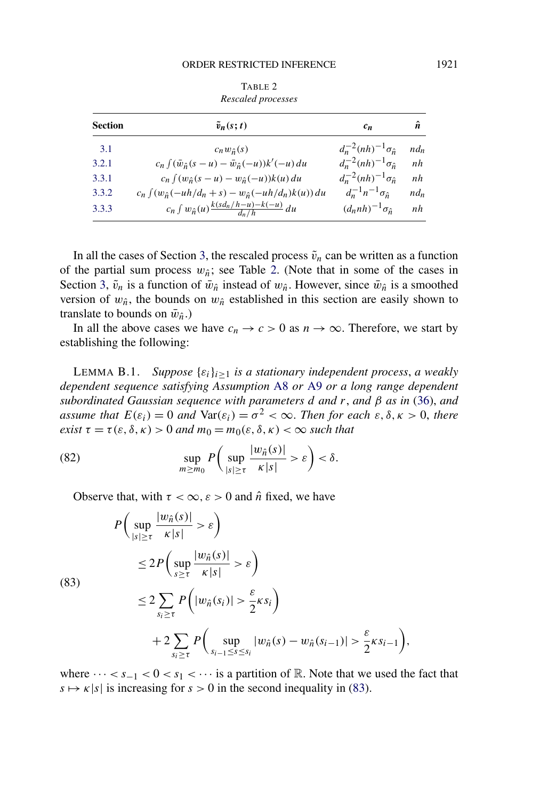<span id="page-47-0"></span>

| Rescaled processes |                                                                      |                                     |        |  |  |  |  |
|--------------------|----------------------------------------------------------------------|-------------------------------------|--------|--|--|--|--|
| <b>Section</b>     | $\tilde{v}_n(s;t)$                                                   | $c_n$                               | ñ      |  |  |  |  |
| 3.1                | $c_n w_{\hat{n}}(s)$                                                 | $d_n^{-2}(nh)^{-1}\sigma_{\hat{n}}$ | $nd_n$ |  |  |  |  |
| 3.2.1              | $c_n \int (\bar{w}_{\hat{n}}(s-u) - \bar{w}_{\hat{n}}(-u))k'(-u) du$ | $d_n^{-2}(nh)^{-1}\sigma_{\hat{n}}$ | nh     |  |  |  |  |
| 3.3.1              | $c_n \int (w_{\hat{n}}(s-u) - w_{\hat{n}}(-u))k(u) du$               | $d_n^{-2}(nh)^{-1}\sigma_{\hat{n}}$ | nh     |  |  |  |  |
| 3.3.2              | $c_n \int (w_{\hat{n}}(-uh/d_n + s) - w_{\hat{n}}(-uh/d_n)k(u)) du$  | $d_n^{-1}n^{-1}\sigma_{\hat{n}}$    | $nd_n$ |  |  |  |  |
| 3.3.3              | $c_n \int w_{\hat{n}}(u) \frac{k(s d_n/h-u)-k(-u)}{d_n/h} du$        | $(d_{n}nh)^{-1}\sigma_{\hat{n}}$    | nh     |  |  |  |  |

TABLE 2

In all the cases of Section [3,](#page-11-0) the rescaled process  $\tilde{v}_n$  can be written as a function of the partial sum process  $w_{\hat{n}}$ ; see Table 2. (Note that in some of the cases in Section [3,](#page-11-0)  $\tilde{v}_n$  is a function of  $\bar{w}_{\hat{n}}$  instead of  $w_{\hat{n}}$ . However, since  $\bar{w}_{\hat{n}}$  is a smoothed version of  $w_{\hat{n}}$ , the bounds on  $w_{\hat{n}}$  established in this section are easily shown to translate to bounds on  $\bar{w}_{\hat{n}}$ .)

In all the above cases we have  $c_n \to c > 0$  as  $n \to \infty$ . Therefore, we start by establishing the following:

LEMMA B.1. *Suppose*  $\{\varepsilon_i\}_{i\geq 1}$  *is a stationary independent process, a weakly dependent sequence satisfying Assumption* [A8](#page-13-0) *or* [A9](#page-13-0) *or a long range dependent subordinated Gaussian sequence with parameters d and r*, *and β as in* [\(36\)](#page-14-0), *and assume that*  $E(\varepsilon_i) = 0$  *and*  $Var(\varepsilon_i) = \sigma^2 < \infty$ . *Then for each*  $\varepsilon, \delta, \kappa > 0$ , *there exist*  $\tau = \tau(\epsilon, \delta, \kappa) > 0$  *and*  $m_0 = m_0(\epsilon, \delta, \kappa) < \infty$  *such that* 

(82) 
$$
\sup_{m \ge m_0} P\left(\sup_{|s| \ge \tau} \frac{|w_{\hat{n}}(s)|}{\kappa|s|} > \varepsilon\right) < \delta.
$$

Observe that, with  $\tau < \infty$ ,  $\varepsilon > 0$  and  $\hat{n}$  fixed, we have

$$
P\left(\sup_{|s|\geq \tau} \frac{|w_{\hat{n}}(s)|}{\kappa|s|} > \varepsilon\right)
$$
  
\n
$$
\leq 2P\left(\sup_{s\geq \tau} \frac{|w_{\hat{n}}(s)|}{\kappa|s|} > \varepsilon\right)
$$
  
\n(83)  
\n
$$
\leq 2\sum_{s_i\geq \tau} P\left(|w_{\hat{n}}(s_i)| > \frac{\varepsilon}{2}\kappa s_i\right)
$$
  
\n
$$
+ 2\sum_{s_i\geq \tau} P\left(\sup_{s_{i-1}\leq s\leq s_i} |w_{\hat{n}}(s) - w_{\hat{n}}(s_{i-1})| > \frac{\varepsilon}{2}\kappa s_{i-1}\right),
$$

where  $\cdots < s_{-1} < 0 < s_1 < \cdots$  is a partition of R. Note that we used the fact that  $s \mapsto \kappa |s|$  is increasing for  $s > 0$  in the second inequality in (83).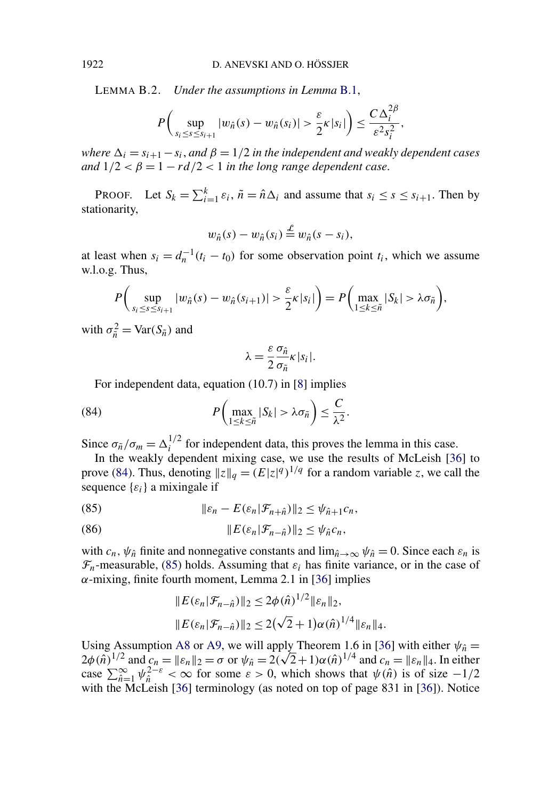<span id="page-48-0"></span>LEMMA B.2. *Under the assumptions in Lemma* [B.1,](#page-47-0)

$$
P\bigg(\sup_{s_i\leq s\leq s_{i+1}}|w_{\hat{n}}(s)-w_{\hat{n}}(s_i)|>\frac{\varepsilon}{2}\kappa|s_i|\bigg)\leq \frac{C\,\Delta_i^{2\beta}}{\varepsilon^2s_i^2},
$$

*where*  $\Delta_i = s_{i+1} - s_i$ , and  $\beta = 1/2$  *in the independent and weakly dependent cases and*  $1/2 < \beta = 1 - rd/2 < 1$  *in the long range dependent case.* 

PROOF. Let  $S_k = \sum_{i=1}^k \varepsilon_i$ ,  $\tilde{n} = \hat{n} \Delta_i$  and assume that  $s_i \leq s \leq s_{i+1}$ . Then by stationarity,

$$
w_{\hat{n}}(s) - w_{\hat{n}}(s_i) \stackrel{\mathcal{L}}{=} w_{\hat{n}}(s - s_i),
$$

at least when  $s_i = d_n^{-1}(t_i - t_0)$  for some observation point  $t_i$ , which we assume w.l.o.g. Thus,

$$
P\bigg(\sup_{s_i\leq s\leq s_{i+1}}|w_{\hat{n}}(s)-w_{\hat{n}}(s_{i+1})|>\frac{\varepsilon}{2}\kappa|s_i|\bigg)=P\bigg(\max_{1\leq k\leq \tilde{n}}|S_k|>\lambda\sigma_{\tilde{n}}\bigg),
$$

with  $\sigma_{\tilde{n}}^2 = \text{Var}(S_{\tilde{n}})$  and

$$
\lambda = \frac{\varepsilon}{2} \frac{\sigma_{\hat{n}}}{\sigma_{\tilde{n}}} \kappa |s_i|.
$$

For independent data, equation (10.7) in [\[8\]](#page-54-0) implies

(84) 
$$
P\left(\max_{1\leq k\leq \tilde{n}}|S_k|>\lambda\sigma_{\tilde{n}}\right)\leq \frac{C}{\lambda^2}.
$$

Since  $\sigma_{\tilde{n}}/\sigma_m = \Delta_i^{1/2}$  for independent data, this proves the lemma in this case.

In the weakly dependent mixing case, we use the results of McLeish [\[36\]](#page-56-0) to prove (84). Thus, denoting  $||z||_q = (E|z|^q)^{1/q}$  for a random variable *z*, we call the sequence  $\{\varepsilon_i\}$  a mixingale if

(85) 
$$
\|\varepsilon_n - E(\varepsilon_n|\mathcal{F}_{n+\hat{n}})\|_2 \leq \psi_{\hat{n}+1}c_n,
$$

(86) *E(εn*|F*n*− ˆ*n)*<sup>2</sup> ≤ *ψn*ˆ*cn,*

with  $c_n$ ,  $\psi_{\hat{n}}$  finite and nonnegative constants and  $\lim_{\hat{n}\to\infty}\psi_{\hat{n}}=0$ . Since each  $\varepsilon_n$  is  $\mathcal{F}_n$ -measurable, (85) holds. Assuming that  $\varepsilon_i$  has finite variance, or in the case of *α*-mixing, finite fourth moment, Lemma 2.1 in [\[36\]](#page-56-0) implies

$$
||E(\varepsilon_n|\mathcal{F}_{n-\hat{n}})||_2 \le 2\phi(\hat{n})^{1/2}||\varepsilon_n||_2,
$$
  

$$
||E(\varepsilon_n|\mathcal{F}_{n-\hat{n}})||_2 \le 2(\sqrt{2}+1)\alpha(\hat{n})^{1/4}||\varepsilon_n||_4.
$$

Using Assumption [A8](#page-13-0) or [A9,](#page-13-0) we will apply Theorem 1.6 in [\[36\]](#page-56-0) with either  $\psi_{\hat{n}} =$ Using Assumption A8 or A9, we will apply Theorem 1.6 in [36] with either  $\psi_{\hat{n}} = 2\phi(\hat{n})^{1/2}$  and  $c_n = ||\varepsilon_n||_2 = \sigma$  or  $\psi_{\hat{n}} = 2(\sqrt{2}+1)\alpha(\hat{n})^{1/4}$  and  $c_n = ||\varepsilon_n||_4$ . In either case  $\sum_{n=1}^{\infty} \psi_n^{2-\varepsilon} < \infty$  for some  $\varepsilon > 0$ , which shows that  $\psi(n)$  is of size  $-1/2$ with the McLeish [\[36\]](#page-56-0) terminology (as noted on top of page 831 in [36]). Notice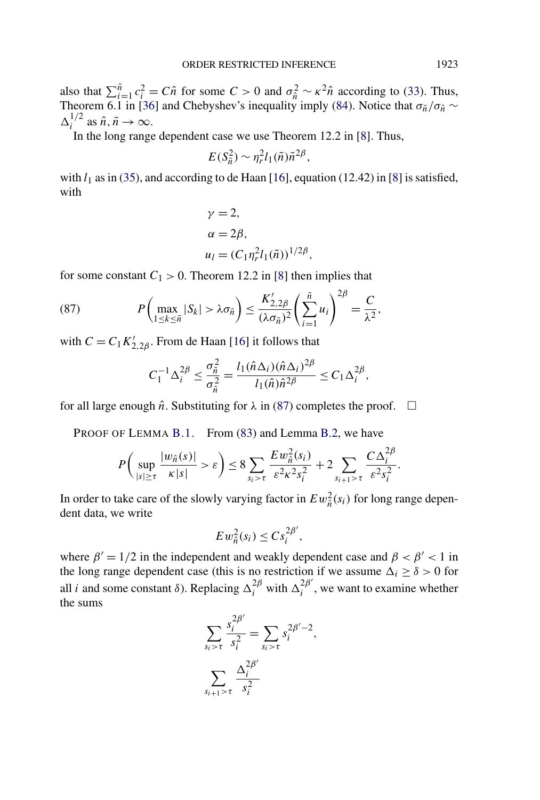also that  $\sum_{i=1}^{\hat{n}} c_i^2 = C\hat{n}$  for some  $C > 0$  and  $\sigma_{\hat{n}}^2 \sim \kappa^2 \hat{n}$  according to [\(33\)](#page-13-0). Thus, Theorem 6.1 in [\[36\]](#page-56-0) and Chebyshev's inequality imply [\(84\)](#page-48-0). Notice that  $\sigma_{\tilde{n}}/\sigma_{\hat{n}} \sim$  $\Delta_i^{1/2}$  as  $\hat{n}, \tilde{n} \to \infty$ .

In the long range dependent case we use Theorem 12.2 in [\[8\]](#page-54-0). Thus,

$$
E(S_{\tilde{n}}^2) \sim \eta_r^2 l_1(\tilde{n}) \tilde{n}^{2\beta},
$$

with  $l_1$  as in [\(35\)](#page-14-0), and according to de Haan [\[16\]](#page-55-0), equation (12.42) in [\[8\]](#page-54-0) is satisfied, with

$$
\gamma = 2,
$$
  
\n
$$
\alpha = 2\beta,
$$
  
\n
$$
u_l = (C_1 \eta_r^2 l_1(\tilde{n}))^{1/2\beta},
$$

for some constant  $C_1 > 0$ . Theorem 12.2 in [\[8\]](#page-54-0) then implies that

(87) 
$$
P\left(\max_{1\leq k\leq \tilde{n}}|S_k|>\lambda\sigma_{\tilde{n}}\right)\leq \frac{K'_{2,2\beta}}{(\lambda\sigma_{\tilde{n}})^2}\left(\sum_{i=1}^{\tilde{n}}u_i\right)^{2\beta}=\frac{C}{\lambda^2},
$$

with  $C = C_1 K'_{2,2\beta}$ . From de Haan [\[16\]](#page-55-0) it follows that

$$
C_1^{-1}\Delta_i^{2\beta} \leq \frac{\sigma_{\tilde{n}}^2}{\sigma_{\hat{n}}^2} = \frac{l_1(\hat{n}\Delta_i)(\hat{n}\Delta_i)^{2\beta}}{l_1(\hat{n})\hat{n}^{2\beta}} \leq C_1\Delta_i^{2\beta},
$$

for all large enough  $\hat{n}$ . Substituting for  $\lambda$  in (87) completes the proof.  $\Box$ 

PROOF OF LEMMA [B.1.](#page-47-0) From [\(83\)](#page-47-0) and Lemma [B.2,](#page-48-0) we have

$$
P\left(\sup_{|s|\geq \tau} \frac{|w_{\hat{n}}(s)|}{\kappa|s|} > \varepsilon\right) \leq 8 \sum_{s_i > \tau} \frac{E w_{\hat{n}}^2(s_i)}{\varepsilon^2 \kappa^2 s_i^2} + 2 \sum_{s_{i+1} > \tau} \frac{C \Delta_i^{2\beta}}{\varepsilon^2 s_i^2}.
$$

In order to take care of the slowly varying factor in  $E w_{\hat{n}}^2(s_i)$  for long range dependent data, we write

$$
E w_{\hat{n}}^2(s_i) \leq C s_i^{2\beta'},
$$

where  $\beta' = 1/2$  in the independent and weakly dependent case and  $\beta < \beta' < 1$  in the long range dependent case (this is no restriction if we assume  $\Delta_i \geq \delta > 0$  for all *i* and some constant  $\delta$ ). Replacing  $\Delta_i^{2\beta}$  with  $\Delta_i^{2\beta'}$ , we want to examine whether the sums

$$
\sum_{s_i > \tau} \frac{s_i^{2\beta'}}{s_i^2} = \sum_{s_i > \tau} s_i^{2\beta'-2},
$$

$$
\sum_{s_{i+1} > \tau} \frac{\Delta_i^{2\beta'}}{s_i^2}
$$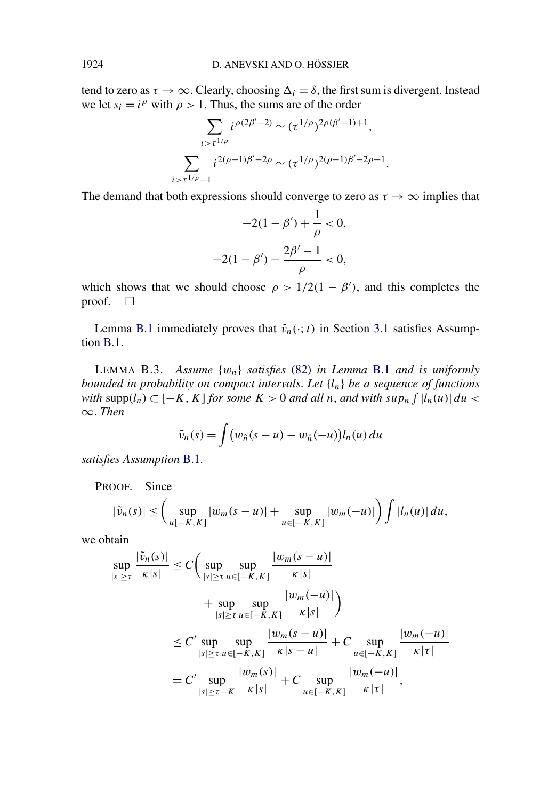<span id="page-50-0"></span>tend to zero as  $\tau \to \infty$ . Clearly, choosing  $\Delta_i = \delta$ , the first sum is divergent. Instead we let  $s_i = i^{\rho}$  with  $\rho > 1$ . Thus, the sums are of the order

$$
\sum_{i>\tau^{1/\rho}} i^{\rho(2\beta'-2)} \sim (\tau^{1/\rho})^{2\rho(\beta'-1)+1},
$$
  

$$
\sum_{i>\tau^{1/\rho}-1} i^{2(\rho-1)\beta'-2\rho} \sim (\tau^{1/\rho})^{2(\rho-1)\beta'-2\rho+1}.
$$

The demand that both expressions should converge to zero as  $\tau \to \infty$  implies that

$$
-2(1 - \beta') + \frac{1}{\rho} < 0,
$$
\n
$$
-2(1 - \beta') - \frac{2\beta' - 1}{\rho} < 0,
$$

which shows that we should choose  $\rho > 1/2(1 - \beta')$ , and this completes the proof.  $\Box$ 

Lemma [B.1](#page-47-0) immediately proves that  $\tilde{v}_n(\cdot; t)$  in Section [3.1](#page-14-0) satisfies Assumption [B.1.](#page-46-0)

LEMMA B.3. *Assume* {*wn*} *satisfies* [\(82\)](#page-47-0) *in Lemma* [B.1](#page-47-0) *and is uniformly bounded in probability on compact intervals*. *Let* {*ln*} *be a sequence of functions with* supp $(l_n)$  ⊂  $[-K, K]$  *for some*  $K > 0$  *and all n*, *and with sup<sub>n</sub>*  $\int |l_n(u)| du$  < ∞. *Then*

$$
\tilde{v}_n(s) = \int (w_{\hat{n}}(s-u) - w_{\hat{n}}(-u))l_n(u) du
$$

*satisfies Assumption* [B.1.](#page-46-0)

PROOF. Since

$$
|\tilde{v}_n(s)| \leq \bigg(\sup_{u[-K,K]}|w_m(s-u)| + \sup_{u \in [-K,K]}|w_m(-u)|\bigg) \int |l_n(u)| \, du,
$$

we obtain

$$
\sup_{|s| \ge \tau} \frac{|\tilde{v}_n(s)|}{\kappa|s|} \le C \Big( \sup_{|s| \ge \tau} \sup_{u \in [-K, K]} \frac{|w_m(s - u)|}{\kappa|s|} + \sup_{|s| \ge \tau} \sup_{u \in [-K, K]} \frac{|w_m(-u)|}{\kappa|s|} \Big)
$$
  

$$
\le C' \sup_{|s| \ge \tau} \sup_{u \in [-K, K]} \frac{|w_m(s - u)|}{\kappa|s - u|} + C \sup_{u \in [-K, K]} \frac{|w_m(-u)|}{\kappa|\tau|}
$$
  

$$
= C' \sup_{|s| \ge \tau - K} \frac{|w_m(s)|}{\kappa|s|} + C \sup_{u \in [-K, K]} \frac{|w_m(-u)|}{\kappa|\tau|},
$$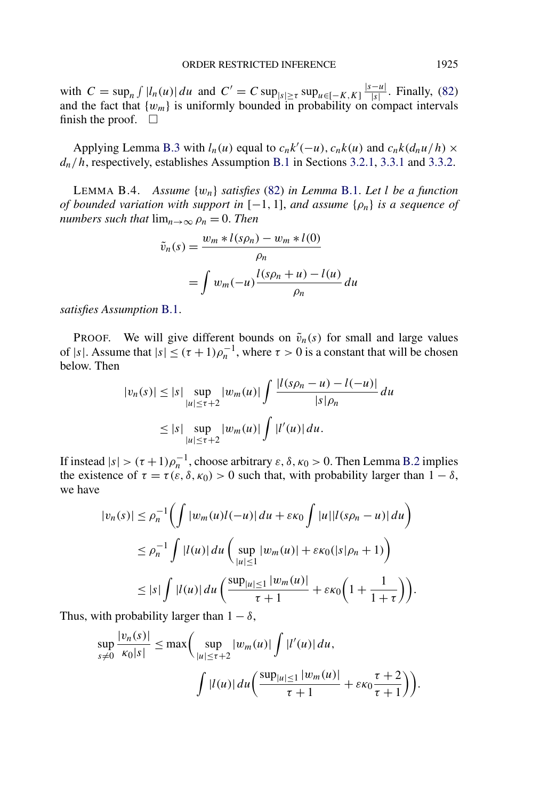<span id="page-51-0"></span>with  $C = \sup_n \int |l_n(u)| du$  and  $C' = C \sup_{|s| \ge \tau} \sup_{u \in [-K, K]} \frac{|s - u|}{|s|}$ . Finally, [\(82\)](#page-47-0) and the fact that  $\{w_m\}$  is uniformly bounded in probability on compact intervals finish the proof.  $\Box$ 

Applying Lemma [B.3](#page-50-0) with  $l_n(u)$  equal to  $c_n k'(-u)$ ,  $c_n k(u)$  and  $c_n k(d_n u/h) \times$ *dn/h*, respectively, establishes Assumption [B.1](#page-46-0) in Sections [3.2.1,](#page-19-0) [3.3.1](#page-23-0) and [3.3.2.](#page-24-0)

LEMMA B.4. *Assume* {*wn*} *satisfies* [\(82\)](#page-47-0) *in Lemma* [B.1.](#page-47-0) *Let l be a function of bounded variation with support in*  $[-1, 1]$ *, and assume*  $\{\rho_n\}$  *is a sequence of numbers such that*  $\lim_{n\to\infty} \rho_n = 0$ . *Then* 

$$
\tilde{v}_n(s) = \frac{w_m * l(s\rho_n) - w_m * l(0)}{\rho_n}
$$

$$
= \int w_m(-u) \frac{l(s\rho_n + u) - l(u)}{\rho_n} du
$$

*satisfies Assumption* [B.1.](#page-46-0)

**PROOF.** We will give different bounds on  $\tilde{v}_n(s)$  for small and large values of |s|. Assume that  $|s| \leq (\tau + 1)\rho_n^{-1}$ , where  $\tau > 0$  is a constant that will be chosen below. Then

$$
|v_n(s)| \le |s| \sup_{|u| \le \tau+2} |w_m(u)| \int \frac{|l(s\rho_n - u) - l(-u)|}{|s|\rho_n} du
$$
  
 
$$
\le |s| \sup_{|u| \le \tau+2} |w_m(u)| \int |l'(u)| du.
$$

If instead  $|s| > (\tau + 1)\rho_n^{-1}$ , choose arbitrary  $\varepsilon$ ,  $\delta$ ,  $\kappa_0 > 0$ . Then Lemma [B.2](#page-48-0) implies the existence of  $\tau = \tau(\epsilon, \delta, \kappa_0) > 0$  such that, with probability larger than  $1 - \delta$ , we have

$$
|v_n(s)| \le \rho_n^{-1} \Big( \int |w_m(u)l(-u)| \, du + \varepsilon \kappa_0 \int |u| |l(s\rho_n - u)| \, du \Big)
$$
  
\n
$$
\le \rho_n^{-1} \int |l(u)| \, du \Big( \sup_{|u| \le 1} |w_m(u)| + \varepsilon \kappa_0 (|s|\rho_n + 1) \Big)
$$
  
\n
$$
\le |s| \int |l(u)| \, du \Big( \frac{\sup_{|u| \le 1} |w_m(u)|}{\tau + 1} + \varepsilon \kappa_0 \Big( 1 + \frac{1}{1 + \tau} \Big) \Big).
$$

Thus, with probability larger than  $1 - \delta$ ,

|*vn(s)*|

$$
\sup_{s\neq 0} \frac{|v_n(s)|}{\kappa_0|s|} \leq \max\bigg(\sup_{|u|\leq \tau+2} |w_m(u)| \int |l'(u)| du,
$$

$$
\int |l(u)| du \bigg(\frac{\sup_{|u|\leq 1} |w_m(u)|}{\tau+1} + \varepsilon \kappa_0 \frac{\tau+2}{\tau+1}\bigg)\bigg).
$$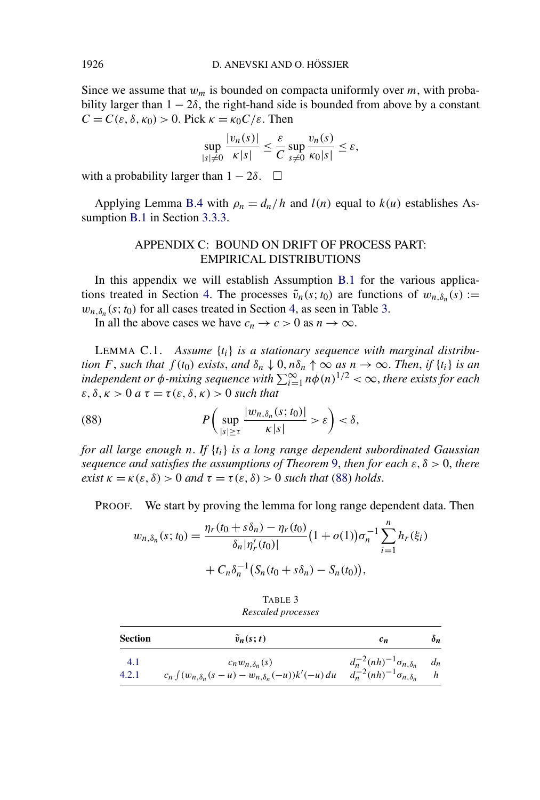Since we assume that  $w_m$  is bounded on compacta uniformly over  $m$ , with probability larger than  $1 - 2\delta$ , the right-hand side is bounded from above by a constant *C* = *C*(*ε*,  $\delta$ ,  $κ_0$ ) > 0. Pick  $κ = κ_0C/ε$ . Then

$$
\sup_{|s|\neq 0} \frac{|v_n(s)|}{\kappa|s|} \leq \frac{\varepsilon}{C} \sup_{s\neq 0} \frac{v_n(s)}{\kappa_0|s|} \leq \varepsilon,
$$

with a probability larger than  $1 - 2\delta$ .  $\Box$ 

Applying Lemma [B.4](#page-51-0) with  $\rho_n = d_n/h$  and  $l(n)$  equal to  $k(u)$  establishes Assumption [B.1](#page-46-0) in Section [3.3.3.](#page-25-0)

## APPENDIX C: BOUND ON DRIFT OF PROCESS PART: EMPIRICAL DISTRIBUTIONS

In this appendix we will establish Assumption [B.1](#page-46-0) for the various applica-tions treated in Section [4.](#page-27-0) The processes  $\tilde{v}_n(s; t_0)$  are functions of  $w_{n,\delta_n}(s) :=$  $w_{n,\delta_n}(s; t_0)$  for all cases treated in Section [4,](#page-27-0) as seen in Table 3.

In all the above cases we have  $c_n \to c > 0$  as  $n \to \infty$ .

LEMMA C.1. *Assume* {*ti*} *is a stationary sequence with marginal distribution F*, *such that*  $f(t_0)$  *exists*, *and*  $\delta_n \downarrow 0$ ,  $n\delta_n \uparrow \infty$  *as*  $n \to \infty$ . *Then*, *if*  $\{t_i\}$  *is an independent or*  $\phi$ *-mixing sequence with*  $\sum_{i=1}^{\infty} n\phi(n)^{1/2} < \infty$ , *there exists for each*  $\varepsilon, \delta, \kappa > 0$  *a*  $\tau = \tau(\varepsilon, \delta, \kappa) > 0$  *such that* 

(88) 
$$
P\left(\sup_{|s|\geq \tau} \frac{|w_{n,\delta_n}(s;t_0)|}{\kappa|s|} > \varepsilon\right) < \delta,
$$

*for all large enough n*. *If* {*ti*} *is a long range dependent subordinated Gaussian sequence and satisfies the assumptions of Theorem* [9,](#page-30-0) *then for each ε, δ >* 0, *there exist*  $\kappa = \kappa(\varepsilon, \delta) > 0$  *and*  $\tau = \tau(\varepsilon, \delta) > 0$  *such that* (88) *holds*.

PROOF. We start by proving the lemma for long range dependent data. Then

$$
w_{n,\delta_n}(s;t_0) = \frac{\eta_r(t_0 + s\delta_n) - \eta_r(t_0)}{\delta_n|\eta'_r(t_0)|} (1 + o(1))\sigma_n^{-1} \sum_{i=1}^n h_r(\xi_i)
$$
  
+  $C_n \delta_n^{-1} (S_n(t_0 + s\delta_n) - S_n(t_0)),$ 

TABLE 3 *Rescaled processes*

| Section | $\tilde{v}_n(s;t)$                                             | $c_n$                                  | $\delta_n$ |
|---------|----------------------------------------------------------------|----------------------------------------|------------|
| 4.1     | $c_n w_{n,\delta_n}(s)$                                        | $d_n^{-2}(nh)^{-1}\sigma_{n,\delta_n}$ | $d_n$      |
| 4.2.1   | $c_n \int (w_{n,\delta_n}(s-u) - w_{n,\delta_n}(-u))k'(-u) du$ | $d_n^{-2}(nh)^{-1}\sigma_{n,\delta_n}$ | h          |

<span id="page-52-0"></span>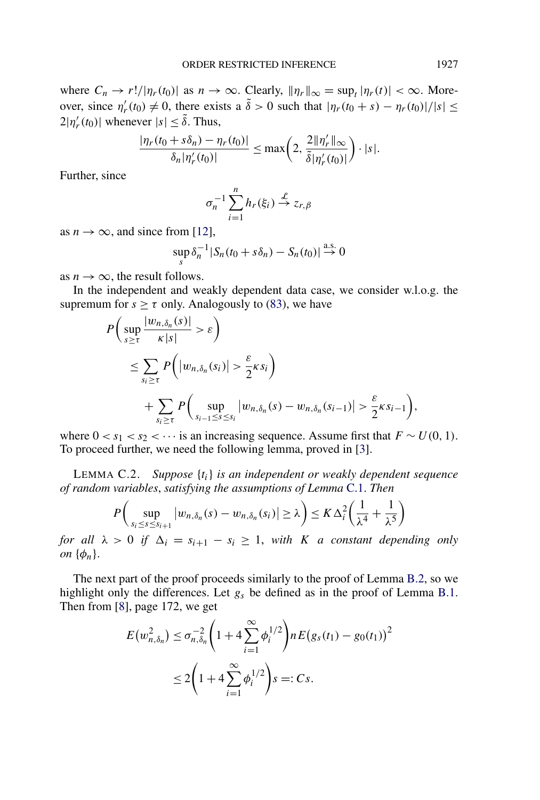<span id="page-53-0"></span>where  $C_n \to r!/|\eta_r(t_0)|$  as  $n \to \infty$ . Clearly,  $\|\eta_r\|_{\infty} = \sup_t |\eta_r(t)| < \infty$ . Moreover, since  $\eta'_r(t_0) \neq 0$ , there exists a  $\tilde{\delta} > 0$  such that  $|\eta_r(t_0 + s) - \eta_r(t_0)|/|s| \leq$  $2|\eta'_r(t_0)|$  whenever  $|s| \leq \tilde{\delta}$ . Thus,

$$
\frac{|\eta_r(t_0+s\delta_n)-\eta_r(t_0)|}{\delta_n|\eta'_r(t_0)|}\leq \max\bigg(2,\frac{2\|\eta'_r\|_{\infty}}{\tilde{\delta}|\eta'_r(t_0)|}\bigg)\cdot|s|.
$$

Further, since

$$
\sigma_n^{-1} \sum_{i=1}^n h_r(\xi_i) \stackrel{\mathcal{L}}{\rightarrow} z_{r,\beta}
$$

as  $n \to \infty$ , and since from [\[12\]](#page-55-0),

$$
\sup_{s} \delta_n^{-1} |S_n(t_0 + s\delta_n) - S_n(t_0)| \stackrel{\text{a.s.}}{\to} 0
$$

as  $n \to \infty$ , the result follows.

In the independent and weakly dependent data case, we consider w.l.o.g. the supremum for  $s \ge \tau$  only. Analogously to [\(83\)](#page-47-0), we have

$$
P\left(\sup_{s\geq\tau} \frac{|w_{n,\delta_n}(s)|}{\kappa|s|} > \varepsilon\right)
$$
  
\n
$$
\leq \sum_{s_i\geq\tau} P\left(|w_{n,\delta_n}(s_i)| > \frac{\varepsilon}{2}\kappa s_i\right)
$$
  
\n
$$
+ \sum_{s_i\geq\tau} P\left(\sup_{s_{i-1}\leq s\leq s_i} |w_{n,\delta_n}(s) - w_{n,\delta_n}(s_{i-1})| > \frac{\varepsilon}{2}\kappa s_{i-1}\right),
$$

where  $0 < s_1 < s_2 < \cdots$  is an increasing sequence. Assume first that  $F \sim U(0, 1)$ . To proceed further, we need the following lemma, proved in [\[3\]](#page-54-0).

LEMMA C.2. *Suppose* {*ti*} *is an independent or weakly dependent sequence of random variables*, *satisfying the assumptions of Lemma* [C.1.](#page-52-0) *Then*

$$
P\left(\sup_{s_i\leq s\leq s_{i+1}}|w_{n,\delta_n}(s)-w_{n,\delta_n}(s_i)|\geq\lambda\right)\leq K\,\Delta_i^2\left(\frac{1}{\lambda^4}+\frac{1}{\lambda^5}\right)
$$

*for all*  $\lambda > 0$  *if*  $\Delta_i = s_{i+1} - s_i \geq 1$ , *with K a* constant depending only *on*  $\{\phi_n\}$ .

The next part of the proof proceeds similarly to the proof of Lemma [B.2,](#page-48-0) so we highlight only the differences. Let *gs* be defined as in the proof of Lemma [B.1.](#page-47-0) Then from [\[8\]](#page-54-0), page 172, we get

$$
E(w_{n,\delta_n}^2) \le \sigma_{n,\delta_n}^{-2} \left( 1 + 4 \sum_{i=1}^{\infty} \phi_i^{1/2} \right) n E(g_s(t_1) - g_0(t_1))^2
$$
  

$$
\le 2 \left( 1 + 4 \sum_{i=1}^{\infty} \phi_i^{1/2} \right) s =: Cs.
$$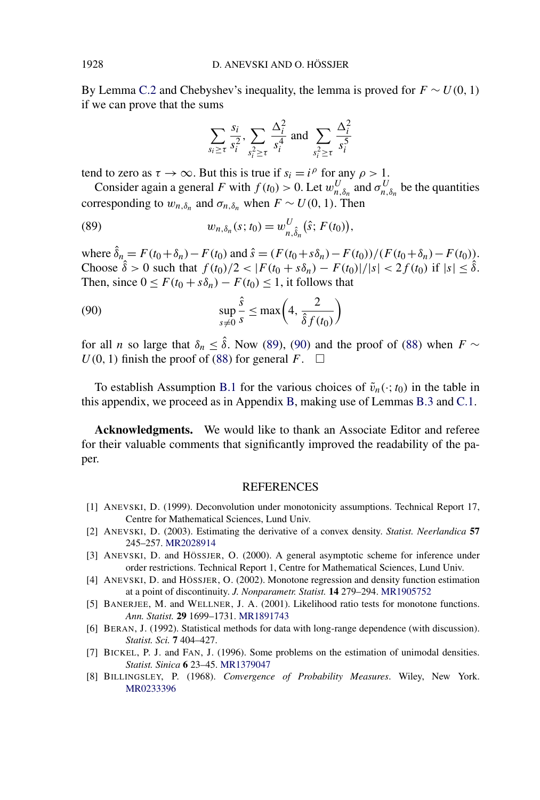<span id="page-54-0"></span>By Lemma [C.2](#page-53-0) and Chebyshev's inequality, the lemma is proved for  $F \sim U(0, 1)$ if we can prove that the sums

$$
\sum_{s_i \ge \tau} \frac{s_i}{s_i^2}, \sum_{s_i^2 \ge \tau} \frac{\Delta_i^2}{s_i^4} \text{ and } \sum_{s_i^2 \ge \tau} \frac{\Delta_i^2}{s_i^5}
$$

tend to zero as  $\tau \to \infty$ . But this is true if  $s_i = i^{\rho}$  for any  $\rho > 1$ .

Consider again a general *F* with  $f(t_0) > 0$ . Let  $w_{n,\delta_n}^U$  and  $\sigma_{n,\delta_n}^U$  be the quantities corresponding to  $w_{n,\delta_n}$  and  $\sigma_{n,\delta_n}$  when  $F \sim U(0, 1)$ . Then

(89) 
$$
w_{n,\delta_n}(s;t_0) = w_{n,\hat{\delta}_n}^U(\hat{s};F(t_0)),
$$

 $\text{where } \hat{\delta}_n = F(t_0 + \delta_n) - F(t_0) \text{ and } \hat{s} = (F(t_0 + s\delta_n) - F(t_0)) / (F(t_0 + \delta_n) - F(t_0)).$ Choose  $\hat{\delta} > 0$  such that  $f(t_0)/2 < |F(t_0 + s\delta_n) - F(t_0)|/|s| < 2f(t_0)$  if  $|s| \leq \hat{\delta}$ . Then, since  $0 \leq F(t_0 + s\delta_n) - F(t_0) \leq 1$ , it follows that

(90) 
$$
\sup_{s \neq 0} \frac{\hat{s}}{s} \leq \max\left(4, \frac{2}{\hat{\delta} f(t_0)}\right)
$$

for all *n* so large that  $\delta_n \leq \hat{\delta}$ . Now (89), (90) and the proof of [\(88\)](#page-52-0) when  $F \sim$  $U(0, 1)$  finish the proof of [\(88\)](#page-52-0) for general  $F$ .  $\square$ 

To establish Assumption [B.1](#page-46-0) for the various choices of  $\tilde{v}_n(\cdot; t_0)$  in the table in this appendix, we proceed as in Appendix [B,](#page-46-0) making use of Lemmas [B.3](#page-50-0) and [C.1.](#page-52-0)

**Acknowledgments.** We would like to thank an Associate Editor and referee for their valuable comments that significantly improved the readability of the paper.

#### REFERENCES

- [1] ANEVSKI, D. (1999). Deconvolution under monotonicity assumptions. Technical Report 17, Centre for Mathematical Sciences, Lund Univ.
- [2] ANEVSKI, D. (2003). Estimating the derivative of a convex density. *Statist. Neerlandica* **57** 245–257. [MR2028914](http://www.ams.org/mathscinet-getitem?mr=2028914)
- [3] ANEVSKI, D. and HÖSSJER, O. (2000). A general asymptotic scheme for inference under order restrictions. Technical Report 1, Centre for Mathematical Sciences, Lund Univ.
- [4] ANEVSKI, D. and HÖSSJER, O. (2002). Monotone regression and density function estimation at a point of discontinuity. *J. Nonparametr. Statist.* **14** 279–294. [MR1905752](http://www.ams.org/mathscinet-getitem?mr=1905752)
- [5] BANERJEE, M. and WELLNER, J. A. (2001). Likelihood ratio tests for monotone functions. *Ann. Statist.* **29** 1699–1731. [MR1891743](http://www.ams.org/mathscinet-getitem?mr=1891743)
- [6] BERAN, J. (1992). Statistical methods for data with long-range dependence (with discussion). *Statist. Sci.* **7** 404–427.
- [7] BICKEL, P. J. and FAN, J. (1996). Some problems on the estimation of unimodal densities. *Statist. Sinica* **6** 23–45. [MR1379047](http://www.ams.org/mathscinet-getitem?mr=1379047)
- [8] BILLINGSLEY, P. (1968). *Convergence of Probability Measures*. Wiley, New York. [MR0233396](http://www.ams.org/mathscinet-getitem?mr=0233396)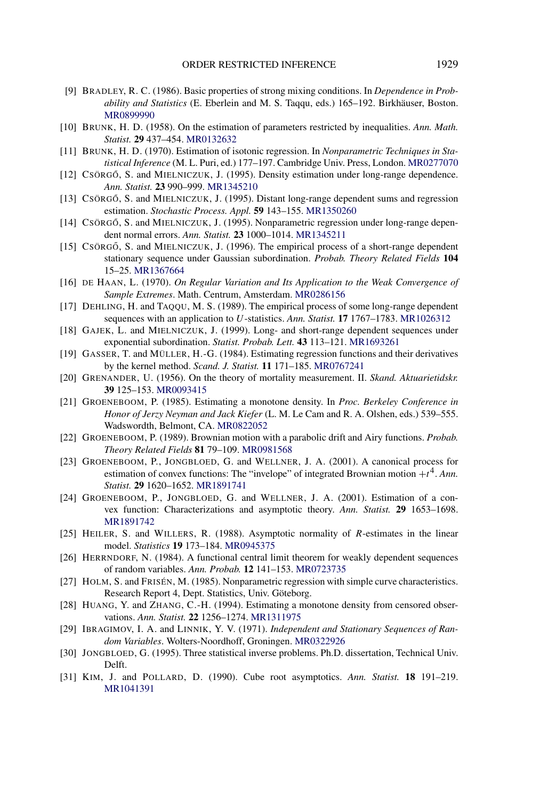- <span id="page-55-0"></span>[9] BRADLEY, R. C. (1986). Basic properties of strong mixing conditions. In *Dependence in Probability and Statistics* (E. Eberlein and M. S. Taqqu, eds.) 165–192. Birkhäuser, Boston. [MR0899990](http://www.ams.org/mathscinet-getitem?mr=0899990)
- [10] BRUNK, H. D. (1958). On the estimation of parameters restricted by inequalities. *Ann. Math. Statist.* **29** 437–454. [MR0132632](http://www.ams.org/mathscinet-getitem?mr=0132632)
- [11] BRUNK, H. D. (1970). Estimation of isotonic regression. In *Nonparametric Techniques in Statistical Inference* (M. L. Puri, ed.) 177–197. Cambridge Univ. Press, London. [MR0277070](http://www.ams.org/mathscinet-getitem?mr=0277070)
- [12] CSÖRGŐ, S. and MIELNICZUK, J. (1995). Density estimation under long-range dependence. *Ann. Statist.* **23** 990–999. [MR1345210](http://www.ams.org/mathscinet-getitem?mr=1345210)
- [13] CSÖRGŐ, S. and MIELNICZUK, J. (1995). Distant long-range dependent sums and regression estimation. *Stochastic Process. Appl.* **59** 143–155. [MR1350260](http://www.ams.org/mathscinet-getitem?mr=1350260)
- [14] CSÖRGŐ, S. and MIELNICZUK, J. (1995). Nonparametric regression under long-range dependent normal errors. *Ann. Statist.* **23** 1000–1014. [MR1345211](http://www.ams.org/mathscinet-getitem?mr=1345211)
- [15] CSÖRGŐ, S. and MIELNICZUK, J. (1996). The empirical process of a short-range dependent stationary sequence under Gaussian subordination. *Probab. Theory Related Fields* **104** 15–25. [MR1367664](http://www.ams.org/mathscinet-getitem?mr=1367664)
- [16] DE HAAN, L. (1970). *On Regular Variation and Its Application to the Weak Convergence of Sample Extremes*. Math. Centrum, Amsterdam. [MR0286156](http://www.ams.org/mathscinet-getitem?mr=0286156)
- [17] DEHLING, H. and TAQQU, M. S. (1989). The empirical process of some long-range dependent sequences with an application to *U*-statistics. *Ann. Statist.* **17** 1767–1783. [MR1026312](http://www.ams.org/mathscinet-getitem?mr=1026312)
- [18] GAJEK, L. and MIELNICZUK, J. (1999). Long- and short-range dependent sequences under exponential subordination. *Statist. Probab. Lett.* **43** 113–121. [MR1693261](http://www.ams.org/mathscinet-getitem?mr=1693261)
- [19] GASSER, T. and MÜLLER, H.-G. (1984). Estimating regression functions and their derivatives by the kernel method. *Scand. J. Statist.* **11** 171–185. [MR0767241](http://www.ams.org/mathscinet-getitem?mr=0767241)
- [20] GRENANDER, U. (1956). On the theory of mortality measurement. II. *Skand. Aktuarietidskr.* **39** 125–153. [MR0093415](http://www.ams.org/mathscinet-getitem?mr=0093415)
- [21] GROENEBOOM, P. (1985). Estimating a monotone density. In *Proc. Berkeley Conference in Honor of Jerzy Neyman and Jack Kiefer* (L. M. Le Cam and R. A. Olshen, eds.) 539–555. Wadswordth, Belmont, CA. [MR0822052](http://www.ams.org/mathscinet-getitem?mr=0822052)
- [22] GROENEBOOM, P. (1989). Brownian motion with a parabolic drift and Airy functions. *Probab. Theory Related Fields* **81** 79–109. [MR0981568](http://www.ams.org/mathscinet-getitem?mr=0981568)
- [23] GROENEBOOM, P., JONGBLOED, G. and WELLNER, J. A. (2001). A canonical process for estimation of convex functions: The "invelope" of integrated Brownian motion  $+t^4$ . *Ann. Statist.* **29** 1620–1652. [MR1891741](http://www.ams.org/mathscinet-getitem?mr=1891741)
- [24] GROENEBOOM, P., JONGBLOED, G. and WELLNER, J. A. (2001). Estimation of a convex function: Characterizations and asymptotic theory. *Ann. Statist.* **29** 1653–1698. [MR1891742](http://www.ams.org/mathscinet-getitem?mr=1891742)
- [25] HEILER, S. and WILLERS, R. (1988). Asymptotic normality of *R*-estimates in the linear model. *Statistics* **19** 173–184. [MR0945375](http://www.ams.org/mathscinet-getitem?mr=0945375)
- [26] HERRNDORF, N. (1984). A functional central limit theorem for weakly dependent sequences of random variables. *Ann. Probab.* **12** 141–153. [MR0723735](http://www.ams.org/mathscinet-getitem?mr=0723735)
- [27] HOLM, S. and FRISÉN, M. (1985). Nonparametric regression with simple curve characteristics. Research Report 4, Dept. Statistics, Univ. Göteborg.
- [28] HUANG, Y. and ZHANG, C.-H. (1994). Estimating a monotone density from censored observations. *Ann. Statist.* **22** 1256–1274. [MR1311975](http://www.ams.org/mathscinet-getitem?mr=1311975)
- [29] IBRAGIMOV, I. A. and LINNIK, Y. V. (1971). *Independent and Stationary Sequences of Random Variables*. Wolters-Noordhoff, Groningen. [MR0322926](http://www.ams.org/mathscinet-getitem?mr=0322926)
- [30] JONGBLOED, G. (1995). Three statistical inverse problems. Ph.D. dissertation, Technical Univ. Delft.
- [31] KIM, J. and POLLARD, D. (1990). Cube root asymptotics. *Ann. Statist.* **18** 191–219. [MR1041391](http://www.ams.org/mathscinet-getitem?mr=1041391)